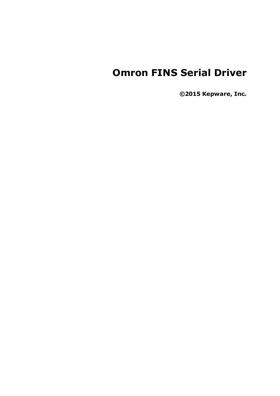# **Omron FINS Serial Driver**

**©2015 Kepware, Inc.**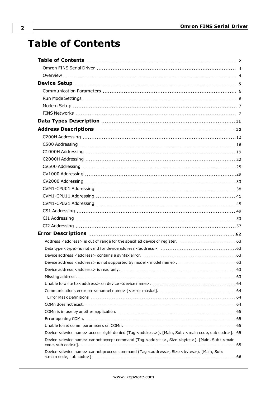# <span id="page-1-0"></span>**Table of Contents**

| Device <device name=""> access right denied (Tag <address>). [Main, Sub: <main code="" code,="" sub="">]. .65</main></address></device>                  |  |
|----------------------------------------------------------------------------------------------------------------------------------------------------------|--|
| Device <device name=""> cannot accept command (Tag <address>, Size <br/> <br/>stytes&gt;). [Main, Sub: <main< td=""><td></td></main<></address></device> |  |
| Device <device name=""> cannot process command (Tag <address>, Size <br/> <br/>sytes&gt;). [Main, Sub:</address></device>                                |  |
|                                                                                                                                                          |  |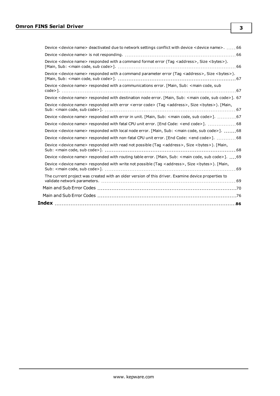| Device <device name=""> deactivated due to network settings conflict with device <device name="">66</device></device>                      |  |
|--------------------------------------------------------------------------------------------------------------------------------------------|--|
|                                                                                                                                            |  |
| Device <device name=""> responded with a command format error (Tag <address>, Size <br/> <br/>stes&gt;).</address></device>                |  |
| Device <device name=""> responded with a command parameter error (Taq <address>, Size <br/> <br/>Size <br/>&gt;&gt;.</address></device>    |  |
| Device <device name=""> responded with a communications error. [Main, Sub: <main code,="" sub<="" td=""><td></td></main></device>          |  |
| Device <device name=""> responded with destination node error. [Main, Sub: <main code="" code,="" sub="">]. 67</main></device>             |  |
| Device <device name=""> responded with error <error code=""> (Tag <address>, Size <br/> <br/>stres&gt;). [Main,</address></error></device> |  |
| Device <device name=""> responded with error in unit. [Main, Sub: <main code="" code,="" sub="">]. 67</main></device>                      |  |
| Device <device name=""> responded with fatal CPU unit error. [End Code: <end code="">]. 68</end></device>                                  |  |
| Device <device name=""> responded with local node error. [Main, Sub: <main code="" code,="" sub="">]. 68</main></device>                   |  |
| Device <device name=""> responded with non-fatal CPU unit error. [End Code: <end code="">]. 68</end></device>                              |  |
| Device <device name=""> responded with read not possible (Tag <address>, Size <br/> <br/>styles&gt;). [Main,</address></device>            |  |
| Device <device name=""> responded with routing table error. [Main, Sub: <main code="" code,="" sub="">]. 69</main></device>                |  |
| Device <device name=""> responded with write not possible (Tag <address>, Size <br/> <br/>sytes&gt;). [Main,</address></device>            |  |
| The current project was created with an older version of this driver. Examine device properties to                                         |  |
|                                                                                                                                            |  |
|                                                                                                                                            |  |
|                                                                                                                                            |  |
|                                                                                                                                            |  |

**3**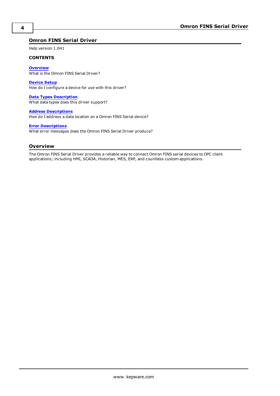## <span id="page-3-0"></span>**Omron FINS Serial Driver**

Help version 1.041

#### **CONTENTS**

**[Overview](#page-3-1)** What is the Omron FINS Serial Driver?

**[Device](#page-4-0) Setup** How do I configure a device for use with this driver?

**Data Types [Description](#page-10-0)** What data types does this driver support?

**Address [Descriptions](#page-11-0)** How do I address a data location on a Omron FINS Serial device?

#### **Error [Descriptions](#page-61-0)**

What error messages does the Omron FINS Serial Driver produce?

#### <span id="page-3-1"></span>**Overview**

The Omron FINS Serial Driver provides a reliable way to connect Omron FINS serial devices to OPC client applications; including HMI, SCADA, Historian, MES, ERP, and countless custom applications.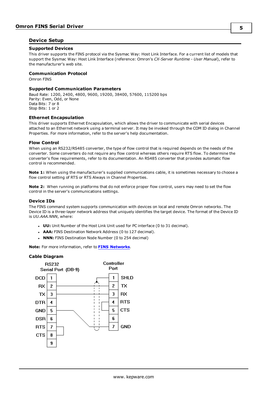#### <span id="page-4-0"></span>**Device Setup**

#### **Supported Devices**

This driver supports the FINS protocol via the Sysmac Way: Host Link Interface. For a current list of models that support the Sysmac Way: Host Link Interface (reference: Omron's *CX-Server Runtime - User Manual*), refer to the manufacturer's web site.

#### **Communication Protocol**

Omron FINS

#### **Supported Communication Parameters**

Baud Rate: 1200, 2400, 4800, 9600, 19200, 38400, 57600, 115200 bps Parity: Even, Odd, or None Data Bits: 7 or 8 Stop Bits: 1 or 2

#### **Ethernet Encapsulation**

This driver supports Ethernet Encapsulation, which allows the driver to communicate with serial devices attached to an Ethernet network using a terminal server. It may be invoked through the COM ID dialog in Channel Properties. For more information, refer to the server's help documentation.

#### **Flow Control**

When using an RS232/RS485 converter, the type of flow control that is required depends on the needs of the converter. Some converters do not require any flow control whereas others require RTS flow. To determine the converter's flow requirements, refer to its documentation. An RS485 converter that provides automatic flow control is recommended.

**Note 1:** When using the manufacturer's supplied communications cable, it is sometimes necessary to choose a flow control setting of RTS or RTS Always in Channel Properties.

**Note 2:** When running on platforms that do not enforce proper flow control, users may need to set the flow control in the server's communications settings.

#### **Device IDs**

The FINS command system supports communication with devices on local and remote Omron networks. The Device ID is a three-layer network address that uniquely identifies the target device. The format of the Device ID is *UU.AAA.NNN*, where:

- **UU:** Unit Number of the Host Link Unit used for PC interface (0 to 31 decimal).
- **AAA:** FINS Destination Network Address (0 to 127 decimal).
- **· NNN:** FINS Destination Node Number (0 to 254 decimal)

**Note:** For more information, refer to **FINS [Networks](#page-6-1)**.

#### **Cable Diagram**

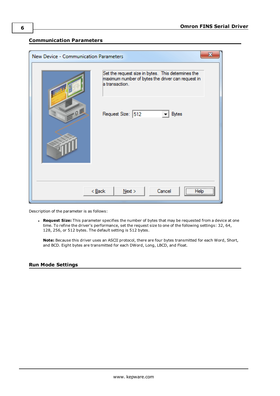## <span id="page-5-0"></span>**Communication Parameters**

| $\mathbf x$<br>New Device - Communication Parameters |                                                                                                                           |  |  |
|------------------------------------------------------|---------------------------------------------------------------------------------------------------------------------------|--|--|
|                                                      | Set the request size in bytes. This determines the<br>maximum number of bytes the driver can request in<br>a transaction. |  |  |
| $-0$                                                 | Request Size: 512<br><b>Bytes</b>                                                                                         |  |  |
|                                                      |                                                                                                                           |  |  |
|                                                      |                                                                                                                           |  |  |
| <br>$<$ Back<br>$N$ ext ><br>Cancel<br>Help          |                                                                                                                           |  |  |

Description of the parameter is as follows:

**Request Size:** This parameter specifies the number of bytes that may be requested from a device at one time. To refine the driver's performance, set the request size to one of the following settings: 32, 64, 128, 256, or 512 bytes. The default setting is 512 bytes.

**Note:** Because this driver uses an ASCII protocol, there are four bytes transmitted for each Word, Short, and BCD. Eight bytes are transmitted for each DWord, Long, LBCD, and Float.

#### <span id="page-5-1"></span>**Run Mode Settings**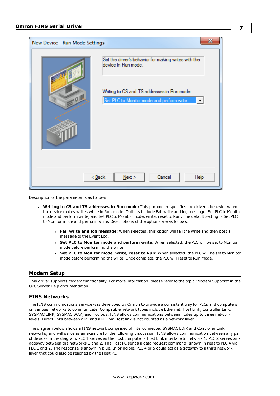

Description of the parameter is as follows:

- <sup>l</sup> **Writing to CS and TS addresses in Run mode:** This parameter specifies the driver's behavior when the device makes writes while in Run mode. Options include Fail write and log message, Set PLC to Monitor mode and perform write, and Set PLC to Monitor mode, write, reset to Run. The default setting is Set PLC to Monitor mode and perform write. Descriptions of the options are as follows:
	- <sup>l</sup> **Fail write and log message:** When selected, this option will fail the write and then post a message to the Event Log.
	- <sup>l</sup> **Set PLC to Monitor mode and perform write:** When selected, the PLC will be set to Monitor mode before performing the write.
	- <sup>l</sup> **Set PLC to Monitor mode, write, reset to Run:** When selected, the PLC will be set to Monitor mode before performing the write. Once complete, the PLC will reset to Run mode.

#### <span id="page-6-0"></span>**Modem Setup**

This driver supports modem functionality. For more information, please refer to the topic "Modem Support" in the OPC Server Help documentation.

#### <span id="page-6-1"></span>**FINS Networks**

The FINS communications service was developed by Omron to provide a consistent way for PLCs and computers on various networks to communicate. Compatible network types include Ethernet, Host Link, Controller Link, SYSMAC LINK, SYSMAC WAY, and Toolbus. FINS allows communications between nodes up to three network levels. Direct links between a PC and a PLC via Host link is not counted as a network layer.

The diagram below shows a FINS network comprised of interconnected SYSMAC LINK and Controller Link networks, and will serve as an example for the following discussion. FINS allows communication between any pair of devices in the diagram. PLC 1 serves as the host computer's Host Link interface to network 1. PLC 2 serves as a gateway between the networks 1 and 2. The Host PC sends a data request command (shown in red) to PLC 4 via PLC 1 and 2. The response is shown in blue. In principle, PLC 4 or 5 could act as a gateway to a third network layer that could also be reached by the Host PC.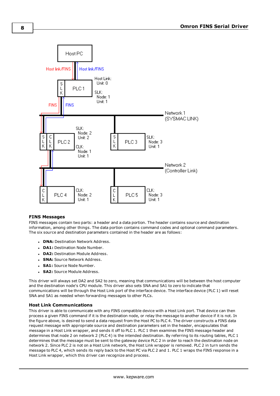

#### **FINS Messages**

FINS messages contain two parts: a header and a data portion. The header contains source and destination information, among other things. The data portion contains command codes and optional command parameters. The six source and destination parameters contained in the header are as follows:

- **. DNA: Destination Network Address.**
- **DA1:** Destination Node Number.
- **DA2: Destination Module Address.**
- **SNA:** Source Network Address.
- **SA1: Source Node Number.**
- **· SA2: Source Module Address.**

This driver will always set DA2 and SA2 to zero, meaning that communications will be between the host computer and the destination node's CPU module. This driver also sets SNA and SA1 to zero to indicate that communications will be through the Host Link port of the interface device. The interface device (PLC 1) will reset SNA and SA1 as needed when forwarding messages to other PLCs.

#### **Host Link Communications**

This driver is able to communicate with any FINS compatible device with a Host Link port. That device can then process a given FINS command if it is the destination node, or relay the message to another device if it is not. In the figure above, is desired to send a data request from the Host PC to PLC 4. The driver constructs a FINS data request message with appropriate source and destination parameters set in the header, encapsulates that message in a Host Link wrapper, and sends it off to PLC 1. PLC 1 then examines the FINS message header and determines that node 2 on network 2 (PLC 4) is the intended destination. By referring to its routing tables, PLC 1 determines that the message must be sent to the gateway device PLC 2 in order to reach the destination node on network 2. Since PLC 2 is not on a Host Link network, the Host Link wrapper is removed. PLC 2 in turn sends the message to PLC 4, which sends its reply back to the Host PC via PLC 2 and 1. PLC 1 wraps the FINS response in a Host Link wrapper, which this driver can recognize and process.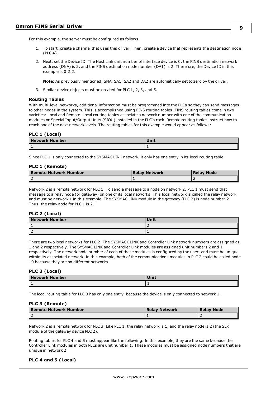For this example, the server must be configured as follows:

- 1. To start, create a channel that uses this driver. Then, create a device that represents the destination node (PLC 4).
- 2. Next, set the Device ID. The Host Link unit number of interface device is 0, the FINS destination network address (DNA) is 2, and the FINS destination node number (DA1) is 2. Therefore, the Device ID in this example is 0.2.2.

**Note:** As previously mentioned, SNA, SA1, SA2 and DA2 are automatically set to zero by the driver.

3. Similar device objects must be created for PLC 1, 2, 3, and 5.

#### **Routing Tables**

With multi-level networks, additional information must be programmed into the PLCs so they can send messages to other nodes in the system. This is accomplished using FINS routing tables. FINS routing tables come in two varieties: Local and Remote. Local routing tables associate a network number with one of the communication modules or Special Input/Output Units (SIOU) installed in the PLC's rack. Remote routing tables instruct how to reach one of the next network levels. The routing tables for this example would appear as follows:

#### **PLC 1 (Local)**

| <b>Network Number</b> | . |
|-----------------------|---|
|                       |   |

Since PLC 1 is only connected to the SYSMAC LINK network, it only has one entry in its local routing table.

#### **PLC 1 (Remote)**

| Remote Network Number | <b>Relay Network</b> | <b>Relay Node</b> |
|-----------------------|----------------------|-------------------|
|                       |                      |                   |

Network 2 is a remote network for PLC 1. To send a message to a node on network 2, PLC 1 must send that message to a relay node (or gateway) on one of its local networks. This local network is called the relay network, and must be network 1 in this example. The SYSMAC LINK module in the gateway (PLC 2) is node number 2. Thus, the relay node for PLC 1 is 2.

#### **PLC 2 (Local)**

| <b>Network Number</b> | Unit |
|-----------------------|------|
|                       |      |
|                       |      |

There are two local networks for PLC 2. The SYSMACK LINK and Controller Link network numbers are assigned as 1 and 2 respectively. The SYSMAC LINK and Controller Link modules are assigned unit numbers 2 and 1 respectively. The network node number of each of these modules is configured by the user, and must be unique within its associated network. In this example, both of the communications modules in PLC 2 could be called node 10 because they are on different networks.

#### **PLC 3 (Local)**

| <b>Network Number</b> | <b>TIME</b> |
|-----------------------|-------------|
|                       | . .         |

The local routing table for PLC 3 has only one entry, because the device is only connected to network 1.

#### **PLC 3 (Remote)**

| Remote Network Number | Relav Network | <b>Relay Node</b> |
|-----------------------|---------------|-------------------|
|                       |               |                   |

Network 2 is a remote network for PLC 3. Like PLC 1, the relay network is 1, and the relay node is 2 (the SLK module of the gateway device PLC 2).

Routing tables for PLC 4 and 5 must appear like the following. In this example, they are the same because the Controller Link modules in both PLCs are unit number 1. These modules must be assigned node numbers that are unique in network 2.

#### **PLC 4 and 5 (Local)**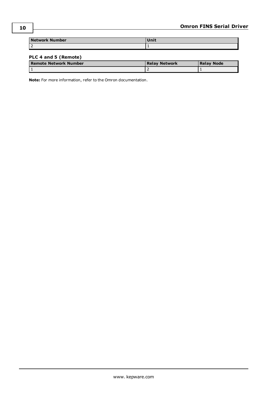| <b>Network Number</b> |  |
|-----------------------|--|
| י ו<br>ΙZ             |  |

## **PLC 4 and 5 (Remote)**

| Remote Network Number | Relay Network | <b>Relay Node</b> |
|-----------------------|---------------|-------------------|
|                       |               |                   |

**Note:** For more information, refer to the Omron documentation.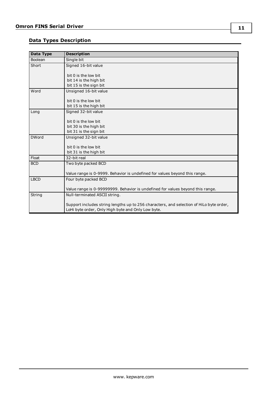## <span id="page-10-0"></span>**Data Types Description**

| <b>Description</b>                                                                      |
|-----------------------------------------------------------------------------------------|
| Single bit                                                                              |
| Signed 16-bit value                                                                     |
|                                                                                         |
| bit 0 is the low bit<br>bit 14 is the high bit                                          |
| bit 15 is the sign bit                                                                  |
| Unsigned 16-bit value                                                                   |
|                                                                                         |
| bit 0 is the low bit                                                                    |
| bit 15 is the high bit                                                                  |
| Signed 32-bit value                                                                     |
|                                                                                         |
| bit 0 is the low bit                                                                    |
| bit 30 is the high bit                                                                  |
| bit 31 is the sign bit                                                                  |
| Unsigned 32-bit value                                                                   |
| bit 0 is the low bit                                                                    |
| bit 31 is the high bit                                                                  |
| 32-bit real                                                                             |
| Two byte packed BCD                                                                     |
|                                                                                         |
| Value range is 0-9999. Behavior is undefined for values beyond this range.              |
| Four byte packed BCD                                                                    |
|                                                                                         |
| Value range is 0-99999999. Behavior is undefined for values beyond this range.          |
| Null-terminated ASCII string.                                                           |
| Support includes string lengths up to 256 characters, and selection of HiLo byte order, |
| LoHi byte order, Only High byte and Only Low byte.                                      |
|                                                                                         |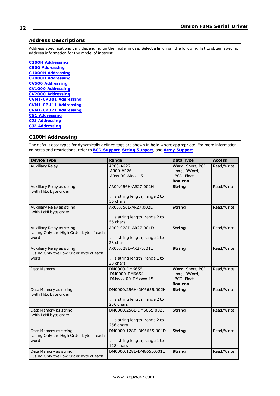## <span id="page-11-0"></span>**Address Descriptions**

Address specifications vary depending on the model in use. Select a link from the following list to obtain specific address information for the model of interest.

**C200H [Addressing](#page-11-1) C500 [Addressing](#page-15-0) C1000H [Addressing](#page-18-0) C2000H [Addressing](#page-21-0) CV500 [Addressing](#page-24-0) CV1000 [Addressing](#page-28-0) CV2000 [Addressing](#page-32-0) [CVM1-CPU01](#page-37-0) Addressing [CVM1-CPU11](#page-40-0) Addressing [CVM1-CPU21](#page-44-0) Addressing CS1 [Addressing](#page-48-0) CJ1 [Addressing](#page-52-0) CJ2 [Addressing](#page-56-0)**

## <span id="page-11-1"></span>**C200H Addressing**

| <b>Device Type</b>                                                          | Range                                                                   | Data Type                                                         | <b>Access</b> |
|-----------------------------------------------------------------------------|-------------------------------------------------------------------------|-------------------------------------------------------------------|---------------|
| <b>Auxiliary Relay</b>                                                      | AR00-AR27<br>AR00-AR26<br>ARxx.00-ARxx.15                               | Word, Short, BCD<br>Long, DWord,<br>LBCD, Float<br><b>Boolean</b> | Read/Write    |
| Auxiliary Relay as string<br>with HiLo byte order                           | AR00.056H-AR27.002H<br>.I is string length, range 2 to<br>56 chars      | <b>String</b>                                                     | Read/Write    |
| Auxiliary Relay as string<br>with LoHi byte order                           | AR00.056L-AR27.002L<br>.I is string length, range 2 to<br>56 chars      | <b>String</b>                                                     | Read/Write    |
| Auxiliary Relay as string<br>Using Only the High Order byte of each<br>word | AR00.028D-AR27.001D<br>.I is string length, range 1 to<br>28 chars      | <b>String</b>                                                     | Read/Write    |
| Auxiliary Relay as string<br>Using Only the Low Order byte of each<br>word  | AR00.028E-AR27.001E<br>.I is string length, range 1 to<br>28 chars      | <b>String</b>                                                     | Read/Write    |
| Data Memory                                                                 | DM0000-DM6655<br>DM0000-DM6654<br>DMxxxx.00-DMxxxx.15                   | Word, Short, BCD<br>Long, DWord,<br>LBCD, Float<br><b>Boolean</b> | Read/Write    |
| Data Memory as string<br>with HiLo byte order                               | DM0000.256H-DM6655.002H<br>.I is string length, range 2 to<br>256 chars | <b>String</b>                                                     | Read/Write    |
| Data Memory as string<br>with LoHi byte order                               | DM0000.256L-DM6655.002L<br>.I is string length, range 2 to<br>256 chars | <b>String</b>                                                     | Read/Write    |
| Data Memory as string<br>Using Only the High Order byte of each<br>word     | DM0000.128D-DM6655.001D<br>.I is string length, range 1 to<br>128 chars | <b>String</b>                                                     | Read/Write    |
| Data Memory as string<br>Using Only the Low Order byte of each              | DM0000.128E-DM6655.001E                                                 | <b>String</b>                                                     | Read/Write    |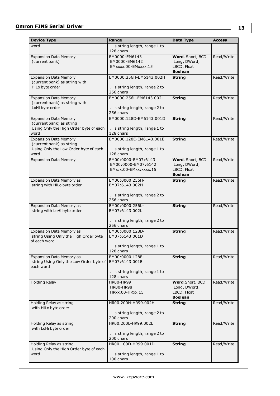| <b>Device Type</b>                                                         | Range                                        | Data Type                        | <b>Access</b> |
|----------------------------------------------------------------------------|----------------------------------------------|----------------------------------|---------------|
| word                                                                       | .I is string length, range 1 to              |                                  |               |
|                                                                            | 128 chars                                    |                                  |               |
| <b>Expansion Data Memory</b><br>(current bank)                             | EM0000-EM6143<br>EM0000-EM6142               | Word, Short, BCD<br>Long, DWord, | Read/Write    |
|                                                                            | EMxxxx.00-EMxxxx.15                          | LBCD, Float                      |               |
|                                                                            |                                              | <b>Boolean</b>                   |               |
| <b>Expansion Data Memory</b>                                               | EM0000.256H-EM6143.002H                      | <b>String</b>                    | Read/Write    |
| (current bank) as string with<br>HiLo byte order                           | .I is string length, range 2 to              |                                  |               |
|                                                                            | 256 chars                                    |                                  |               |
| <b>Expansion Data Memory</b>                                               | EM0000.256L-EM6143.002L                      | <b>String</b>                    | Read/Write    |
| (current bank) as string with<br>LoHi byte order                           |                                              |                                  |               |
|                                                                            | .I is string length, range 2 to<br>256 chars |                                  |               |
| <b>Expansion Data Memory</b>                                               | EM0000.128D-EM6143.001D                      | <b>String</b>                    | Read/Write    |
| (current bank) as string                                                   |                                              |                                  |               |
| Using Only the High Order byte of each<br>word                             | .I is string length, range 1 to<br>128 chars |                                  |               |
| <b>Expansion Data Memory</b>                                               | EM0000.128E-EM6143.001E                      | <b>String</b>                    | Read/Write    |
| (current bank) as string                                                   |                                              |                                  |               |
| Using Only the Low Order byte of each<br>word                              | .I is string length, range 1 to<br>128 chars |                                  |               |
| <b>Expansion Data Memory</b>                                               | EM00:0000-EM07:6143                          | Word, Short, BCD                 | Read/Write    |
|                                                                            | EM00:0000-EM07:6142                          | Long, DWord,                     |               |
|                                                                            | EMx:x.00-EMxx:xxxx.15                        | LBCD, Float<br><b>Boolean</b>    |               |
| Expansion Data Memory as                                                   | EM00:0000.256H-                              | <b>String</b>                    | Read/Write    |
| string with HiLo byte order                                                | EM07:6143.002H                               |                                  |               |
|                                                                            |                                              |                                  |               |
|                                                                            | .I is string length, range 2 to<br>256 chars |                                  |               |
| <b>Expansion Data Memory as</b>                                            | EM00:0000.256L-                              | <b>String</b>                    | Read/Write    |
| string with LoHi byte order                                                | EM07:6143.002L                               |                                  |               |
|                                                                            | .I is string length, range 2 to              |                                  |               |
|                                                                            | 256 chars                                    |                                  |               |
| <b>Expansion Data Memory as</b>                                            | EM00:0000.128D-                              | <b>String</b>                    | Read/Write    |
| string Using Only the High Order byte<br>of each word                      | EM07:6143.001D                               |                                  |               |
|                                                                            | .I is string length, range 1 to              |                                  |               |
|                                                                            | 128 chars                                    |                                  |               |
| <b>Expansion Data Memory as</b><br>string Using Only the Low Order byte of | EM00:0000.128E-<br>EM07:6143.001E            | <b>String</b>                    | Read/Write    |
| each word                                                                  |                                              |                                  |               |
|                                                                            | .I is string length, range 1 to              |                                  |               |
| <b>Holding Relay</b>                                                       | 128 chars<br><b>HR00-HR99</b>                | Word, Short, BCD                 | Read/Write    |
|                                                                            | <b>HR00-HR98</b>                             | Long, DWord,                     |               |
|                                                                            | HRxx.00-HRxx.15                              | LBCD, Float                      |               |
|                                                                            |                                              | <b>Boolean</b>                   |               |
| Holding Relay as string<br>with HiLo byte order                            | HR00.200H-HR99.002H                          | <b>String</b>                    | Read/Write    |
|                                                                            | .I is string length, range 2 to              |                                  |               |
|                                                                            | 200 chars                                    |                                  |               |
| Holding Relay as string<br>with LoHi byte order                            | HR00.200L-HR99.002L                          | <b>String</b>                    | Read/Write    |
|                                                                            | .I is string length, range 2 to              |                                  |               |
|                                                                            | 200 chars                                    |                                  |               |
| Holding Relay as string<br>Using Only the High Order byte of each          | HR00.100D-HR99.001D                          | <b>String</b>                    | Read/Write    |
| word                                                                       | .I is string length, range 1 to              |                                  |               |
|                                                                            | 100 chars                                    |                                  |               |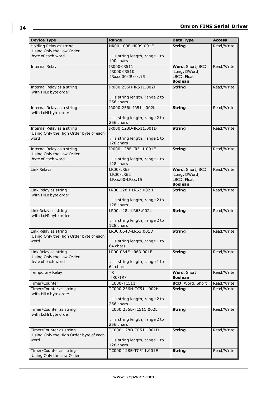| <b>Device Type</b>                                                | Range                                        | Data Type                   | <b>Access</b> |
|-------------------------------------------------------------------|----------------------------------------------|-----------------------------|---------------|
| Holding Relay as string                                           | HR00.100E-HR99.001E                          | <b>String</b>               | Read/Write    |
| Using Only the Low Order                                          |                                              |                             |               |
| byte of each word                                                 | .I is string length, range 1 to<br>100 chars |                             |               |
| <b>Internal Relay</b>                                             | IR000-IR511                                  | Word, Short, BCD            | Read/Write    |
|                                                                   | IR000-IR510                                  | Long, DWord,                |               |
|                                                                   | IRxxx.00-IRxxx.15                            | LBCD, Float                 |               |
|                                                                   |                                              | <b>Boolean</b>              |               |
| Internal Relay as a string<br>with HiLo byte order                | IR000.256H-IR511.002H                        | <b>String</b>               | Read/Write    |
|                                                                   | .I is string length, range 2 to              |                             |               |
|                                                                   | 256 chars                                    |                             |               |
| Internal Relay as a string                                        | IR000.256L-IR511.002L                        | <b>String</b>               | Read/Write    |
| with LoHi byte order                                              | .I is string length, range 2 to              |                             |               |
|                                                                   | 256 chars                                    |                             |               |
| Internal Relay as a string                                        | IR000.128D-IR511.001D                        | <b>String</b>               | Read/Write    |
| Using Only the High Order byte of each                            |                                              |                             |               |
| word                                                              | .I is string length, range 1 to<br>128 chars |                             |               |
| Internal Relay as a string                                        | IR000.128E-IR511.001E                        | <b>String</b>               | Read/Write    |
| Using Only the Low Order                                          |                                              |                             |               |
| byte of each word                                                 | .I is string length, range 1 to              |                             |               |
|                                                                   | 128 chars                                    |                             |               |
| Link Relays                                                       | LR00-LR63                                    | Word, Short, BCD            | Read/Write    |
|                                                                   | LR00-LR62<br>LRxx.00-LRxx.15                 | Long, DWord,<br>LBCD, Float |               |
|                                                                   |                                              | <b>Boolean</b>              |               |
| Link Relay as string                                              | LR00.128H-LR63.002H                          | <b>String</b>               | Read/Write    |
| with HiLo byte order                                              |                                              |                             |               |
|                                                                   | .I is string length, range 2 to<br>128 chars |                             |               |
| Link Relay as string                                              | LR00.128L-LR63.002L                          | <b>String</b>               | Read/Write    |
| with LoHI byte order                                              |                                              |                             |               |
|                                                                   | .I is string length, range 2 to              |                             |               |
|                                                                   | 128 chars                                    |                             |               |
| Link Relay as string                                              | LR00.064D-LR63.001D                          | <b>String</b>               | Read/Write    |
| Using Only the High Order byte of each<br>word                    | .I is string length, range 1 to              |                             |               |
|                                                                   | 64 chars                                     |                             |               |
| Link Relay as string                                              | LR00.064E-LR63.001E                          | <b>String</b>               | Read/Write    |
| Using Only the Low Order                                          |                                              |                             |               |
| byte of each word                                                 | .I is string length, range 1 to<br>64 chars  |                             |               |
| Temporary Relay                                                   | <b>TR</b>                                    | Word, Short                 | Read/Write    |
|                                                                   | TRO-TR7                                      | <b>Boolean</b>              |               |
| Timer/Counter                                                     | TC000-TC511                                  | BCD, Word, Short            | Read/Write    |
| Timer/Counter as string                                           | TC000.256H-TC511.002H                        | <b>String</b>               | Read/Write    |
| with HiLo byte order                                              | .I is string length, range 2 to              |                             |               |
|                                                                   | 256 chars                                    |                             |               |
| Timer/Counter as string                                           | TC000.256L-TC511.002L                        | <b>String</b>               | Read/Write    |
| with LoHi byte order                                              |                                              |                             |               |
|                                                                   | .I is string length, range 2 to              |                             |               |
|                                                                   | 256 chars                                    |                             |               |
| Timer/Counter as string<br>Using Only the High Order byte of each | TC000.128D-TC511.001D                        | <b>String</b>               | Read/Write    |
| word                                                              | .I is string length, range 1 to              |                             |               |
|                                                                   | 128 chars                                    |                             |               |
| Timer/Counter as string                                           | TC000.128E-TC511.001E                        | <b>String</b>               | Read/Write    |
| Using Only the Low Order                                          |                                              |                             |               |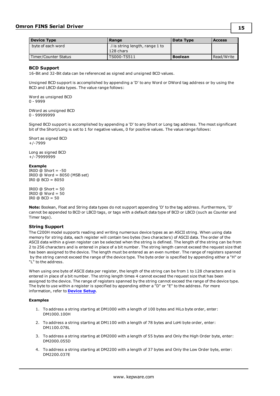| ۰.<br>. .<br>٠ |
|----------------|
|----------------|

| <b>Device Type</b>   | Range                                       | Data Type      | <b>Access</b> |
|----------------------|---------------------------------------------|----------------|---------------|
| byte of each word    | I is string length, range 1 to<br>128 chars |                |               |
| Timer/Counter Status | TS000-TS511                                 | <b>Boolean</b> | Read/Write    |

#### <span id="page-14-0"></span>**BCD Support**

16-Bit and 32-Bit data can be referenced as signed and unsigned BCD values.

Unsigned BCD support is accomplished by appending a 'D' to any Word or DWord tag address or by using the BCD and LBCD data types. The value range follows:

Word as unsigned BCD 0 - 9999

DWord as unsigned BCD 0 - 99999999

Signed BCD support is accomplished by appending a 'D' to any Short or Long tag address. The most significant bit of the Short/Long is set to 1 for negative values, 0 for positive values. The value range follows:

Short as signed BCD +/-7999

Long as signed BCD +/-79999999

#### **Example**

IROD  $\ddot{\text{o}}$  Short = -50 IR0D @ Word = 8050 (MSB set) IR0 @ BCD = 8050

 $IROD @ Short = 50$  $IROD @ Word = 50$ IRO  $@$  BCD = 50

**Note:** Boolean, Float and String data types do not support appending 'D' to the tag address. Furthermore, 'D' cannot be appended to BCD or LBCD tags, or tags with a default data type of BCD or LBCD (such as Counter and Timer tags).

#### <span id="page-14-1"></span>**String Support**

The C200H model supports reading and writing numerous device types as an ASCII string. When using data memory for string data, each register will contain two bytes (two characters) of ASCII data. The order of the ASCII data within a given register can be selected when the string is defined. The length of the string can be from 2 to 256 characters and is entered in place of a bit number. The string length cannot exceed the request size that has been assigned to the device. The length must be entered as an even number. The range of registers spanned by the string cannot exceed the range of the device type. The byte order is specified by appending either a "H" or "L" to the address.

When using one byte of ASCII data per register, the length of the string can be from 1 to 128 characters and is entered in place of a bit number. The string length times 4 cannot exceed the request size that has been assigned to the device. The range of registers spanned by the string cannot exceed the range of the device type. The byte to use within a register is specified by appending either a "D" or "E" to the address. For more information, refer to **[Device](#page-4-0) Setup**.

#### **Examples**

- 1. To address a string starting at DM1000 with a length of 100 bytes and HiLo byte order, enter: DM1000.100H
- 2. To address a string starting at DM1100 with a length of 78 bytes and LoHi byte order, enter: DM1100.078L
- 3. To address a string starting at DM2000 with a length of 55 bytes and Only the High Order byte, enter: DM2000.055D
- 4. To address a string starting at DM2200 with a length of 37 bytes and Only the Low Order byte, enter: DM2200.037E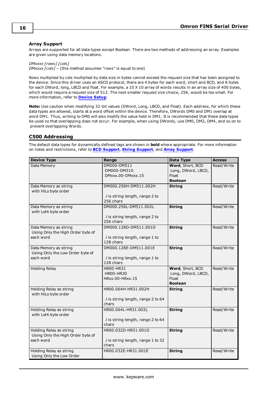#### <span id="page-15-1"></span>**Array Support**

Arrays are supported for all data types except Boolean. There are two methods of addressing an array. Examples are given using data memory locations.

*DMxxxx [rows] [cols] DMxxxx [cols]* – (this method assumes "rows" is equal to one)

Rows multiplied by cols multiplied by data size in bytes cannot exceed the request size that has been assigned to the device. Since this driver uses an ASCII protocol, there are 4 bytes for each word, short and BCD, and 8 bytes for each DWord, long, LBCD and float. For example, a 10 X 10 array of words results in an array size of 400 bytes, which would require a request size of 512. The next smaller request size choice, 256, would be too small. For more information, refer to **[Device](#page-4-0) Setup**.

**Note:** Use caution when modifying 32-bit values (DWord, Long, LBCD, and Float). Each address, for which these data types are allowed, starts at a word offset within the device. Therefore, DWords DM0 and DM1 overlap at word DM1. Thus, writing to DM0 will also modify the value held in DM1. It is recommended that these data types be used so that overlapping does not occur. For example, when using DWords, use DM0, DM2, DM4, and so on to prevent overlapping Words.

#### <span id="page-15-0"></span>**C500 Addressing**

| <b>Device Type</b>                                                        | Range                                                                 | Data Type                                                         | <b>Access</b> |
|---------------------------------------------------------------------------|-----------------------------------------------------------------------|-------------------------------------------------------------------|---------------|
| Data Memory                                                               | DM000-DM511<br>DM000-DM510<br>DMxxx.00-DMxxx.15                       | Word, Short, BCD<br>Long, DWord, LBCD,<br>Float<br><b>Boolean</b> | Read/Write    |
| Data Memory as string<br>with HiLo byte order                             | DM000.256H-DM511.002H<br>.I is string length, range 2 to<br>256 chars | <b>String</b>                                                     | Read/Write    |
| Data Memory as string<br>with LoHi byte order                             | DM000.256L-DM511.002L<br>.I is string length, range 2 to<br>256 chars | <b>String</b>                                                     | Read/Write    |
| Data Memory as string<br>Using Only the High Order byte of<br>each word   | DM000.128D-DM511.001D<br>.I is string length, range 1 to<br>128 chars | <b>String</b>                                                     | Read/Write    |
| Data Memory as string<br>Using Only the Low Order byte of<br>each word    | DM000.128E-DM511.001E<br>.I is string length, range 1 to<br>128 chars | <b>String</b>                                                     | Read/Write    |
| <b>Holding Relay</b>                                                      | HR00-HR31<br><b>HR00-HR30</b><br>HRxx.00-HRxx.15                      | Word, Short, BCD<br>Long, DWord, LBCD,<br>Float<br><b>Boolean</b> | Read/Write    |
| Holding Relay as string<br>with HiLo byte order                           | HR00.064H-HR31.002H<br>.I is string length, range 2 to 64<br>chars    | <b>String</b>                                                     | Read/Write    |
| Holding Relay as string<br>with LoHi byte order                           | HR00.064L-HR31.002L<br>.I is string length, range 2 to 64<br>chars    | <b>String</b>                                                     | Read/Write    |
| Holding Relay as string<br>Using Only the High Order byte of<br>each word | HR00.032D-HR31.001D<br>.I is string length, range 1 to 32<br>chars    | <b>String</b>                                                     | Read/Write    |
| Holding Relay as string<br>Using Only the Low Order                       | HR00.032E-HR31.001E                                                   | <b>String</b>                                                     | Read/Write    |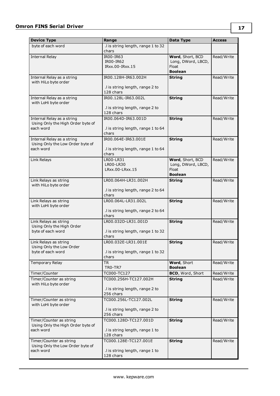| <b>Device Type</b>                                              | Range                                        | Data Type                   | <b>Access</b> |
|-----------------------------------------------------------------|----------------------------------------------|-----------------------------|---------------|
| byte of each word                                               | .I is string length, range 1 to 32           |                             |               |
|                                                                 | chars                                        |                             |               |
| <b>Internal Relay</b>                                           | IR00-IR63<br>IR00-IR62                       | Word, Short, BCD            | Read/Write    |
|                                                                 | IRxx.00-IRxx.15                              | Long, DWord, LBCD,<br>Float |               |
|                                                                 |                                              | <b>Boolean</b>              |               |
| Internal Relay as a string                                      | IR00.128H-IR63.002H                          | <b>String</b>               | Read/Write    |
| with HiLo byte order                                            |                                              |                             |               |
|                                                                 | .I is string length, range 2 to<br>128 chars |                             |               |
| Internal Relay as a string                                      | IR00.128L-IR63.002L                          | <b>String</b>               | Read/Write    |
| with LoHi byte order                                            |                                              |                             |               |
|                                                                 | .I is string length, range 2 to              |                             |               |
|                                                                 | 128 chars<br>IR00.064D-IR63.001D             | <b>String</b>               |               |
| Internal Relay as a string<br>Using Only the High Order byte of |                                              |                             | Read/Write    |
| each word                                                       | .I is string length, range 1 to 64           |                             |               |
|                                                                 | chars                                        |                             |               |
| Internal Relay as a string                                      | IR00.064E-IR63.001E                          | <b>String</b>               | Read/Write    |
| Using Only the Low Order byte of<br>each word                   | .I is string length, range 1 to 64           |                             |               |
|                                                                 | chars                                        |                             |               |
| Link Relays                                                     | LR00-LR31                                    | Word, Short, BCD            | Read/Write    |
|                                                                 | LR00-LR30                                    | Long, DWord, LBCD,          |               |
|                                                                 | LRxx.00-LRxx.15                              | Float<br><b>Boolean</b>     |               |
| Link Relays as string                                           | LR00.064H-LR31.002H                          | <b>String</b>               | Read/Write    |
| with HiLo byte order                                            |                                              |                             |               |
|                                                                 | .I is string length, range 2 to 64           |                             |               |
|                                                                 | chars<br>LR00.064L-LR31.002L                 | <b>String</b>               | Read/Write    |
| Link Relays as string<br>with LoHi byte order                   |                                              |                             |               |
|                                                                 | .I is string length, range 2 to 64           |                             |               |
|                                                                 | chars                                        |                             |               |
| Link Relays as string<br>Using Only the High Order              | LR00.032D-LR31.001D                          | <b>String</b>               | Read/Write    |
| byte of each word                                               | .I is string length, range 1 to 32           |                             |               |
|                                                                 | chars                                        |                             |               |
| Link Relays as string                                           | LR00.032E-LR31.001E                          | <b>String</b>               | Read/Write    |
| Using Only the Low Order                                        |                                              |                             |               |
| byte of each word                                               | .I is string length, range 1 to 32<br>chars  |                             |               |
| Temporary Relay                                                 | <b>TR</b>                                    | Word, Short                 | Read/Write    |
|                                                                 | TRO-TR7                                      | <b>Boolean</b>              |               |
| Timer/Counter                                                   | TC000-TC127                                  | BCD, Word, Short            | Read/Write    |
| Timer/Counter as string<br>with HiLo byte order                 | TC000.256H-TC127.002H                        | <b>String</b>               | Read/Write    |
|                                                                 | .I is string length, range 2 to              |                             |               |
|                                                                 | 256 chars                                    |                             |               |
| Timer/Counter as string                                         | TC000.256L-TC127.002L                        | <b>String</b>               | Read/Write    |
| with LoHi byte order                                            |                                              |                             |               |
|                                                                 | .I is string length, range 2 to<br>256 chars |                             |               |
| Timer/Counter as string                                         | TC000.128D-TC127.001D                        | <b>String</b>               | Read/Write    |
| Using Only the High Order byte of                               |                                              |                             |               |
| each word                                                       | .I is string length, range 1 to              |                             |               |
| Timer/Counter as string                                         | 128 chars<br>TC000.128E-TC127.001E           | <b>String</b>               | Read/Write    |
| Using Only the Low Order byte of                                |                                              |                             |               |
| each word                                                       | .I is string length, range 1 to              |                             |               |
|                                                                 | 128 chars                                    |                             |               |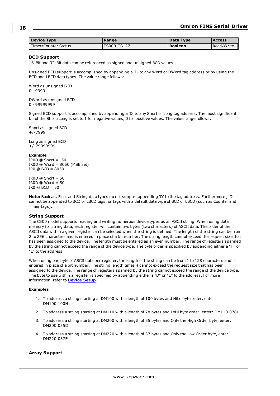<span id="page-17-0"></span>

| <b>Device Type</b>   | Range                             | Data Type      | <b>Access</b> |
|----------------------|-----------------------------------|----------------|---------------|
| Timer/Counter Status | $^{\circ}$ TS000-TS127 $^{\circ}$ | <b>Boolean</b> | Read/Write    |

#### **BCD Support**

16-Bit and 32-Bit data can be referenced as signed and unsigned BCD values.

Unsigned BCD support is accomplished by appending a 'D' to any Word or DWord tag address or by using the BCD and LBCD data types. The value range follows:

Word as unsigned BCD 0 - 9999

DWord as unsigned BCD 0 - 99999999

Signed BCD support is accomplished by appending a 'D' to any Short or Long tag address. The most significant bit of the Short/Long is set to 1 for negative values, 0 for positive values. The value range follows:

Short as signed BCD +/-7999

Long as signed BCD +/-79999999

#### **Example**

IROD  $@$  Short = -50 IR0D @ Word = 8050 (MSB set) IR0 @ BCD = 8050

 $IROD @ Short = 50$  $IROD @ Word = 50$  $IRO @ BCD = 50$ 

<span id="page-17-1"></span>**Note:** Boolean, Float and String data types do not support appending 'D' to the tag address. Furthermore , 'D' cannot be appended to BCD or LBCD tags, or tags with a default data type of BCD or LBCD (such as Counter and Timer tags).

#### **String Support**

The C500 model supports reading and writing numerous device types as an ASCII string. When using data memory for string data, each register will contain two bytes (two characters) of ASCII data. The order of the ASCII data within a given register can be selected when the string is defined. The length of the string can be from 2 to 256 characters and is entered in place of a bit number. The string length cannot exceed the request size that has been assigned to the device. The length must be entered as an even number. The range of registers spanned by the string cannot exceed the range of the device type. The byte order is specified by appending either a "H" or "L" to the address.

When using one byte of ASCII data per register, the length of the string can be from 1 to 128 characters and is entered in place of a bit number. The string length times 4 cannot exceed the request size that has been assigned to the device. The range of registers spanned by the string cannot exceed the range of the device type. The byte to use within a register is specified by appending either a "D" or "E" to the address. For more information, refer to **[Device](#page-4-0) Setup**.

#### **Examples**

- 1. To address a string starting at DM100 with a length of 100 bytes and HiLo byte order, enter: DM100.100H
- 2. To address a string starting at DM110 with a length of 78 bytes and LoHi byte order, enter: DM110.078L
- 3. To address a string starting at DM200 with a length of 55 bytes and Only the High Order byte, enter: DM200.055D
- 4. To address a string starting at DM220 with a length of 37 bytes and Only the Low Order byte, enter: DM220.037E

#### <span id="page-17-2"></span>**Array Support**

**18**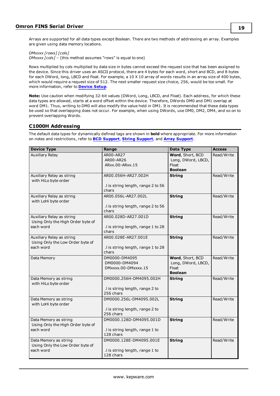**19**

Arrays are supported for all data types except Boolean. There are two methods of addressing an array. Examples are given using data memory locations.

*DMxxxx [rows] [cols]*

*DMxxxx [cols]* – (this method assumes "rows" is equal to one)

Rows multiplied by cols multiplied by data size in bytes cannot exceed the request size that has been assigned to the device. Since this driver uses an ASCII protocol, there are 4 bytes for each word, short and BCD, and 8 bytes for each DWord, long, LBCD and float. For example, a 10 X 10 array of words results in an array size of 400 bytes, which would require a request size of 512. The next smaller request size choice, 256, would be too small. For more information, refer to **[Device](#page-4-0) Setup**.

**Note:** Use caution when modifying 32-bit values (DWord, Long, LBCD, and Float). Each address, for which these data types are allowed, starts at a word offset within the device. Therefore, DWords DM0 and DM1 overlap at word DM1. Thus, writing to DM0 will also modify the value held in DM1. It is recommended that these data types be used so that overlapping does not occur. For example, when using DWords, use DM0, DM2, DM4, and so on to prevent overlapping Words.

## <span id="page-18-0"></span>**C1000H Addressing**

| <b>Device Type</b>                | Range                              | Data Type          | <b>Access</b> |
|-----------------------------------|------------------------------------|--------------------|---------------|
| <b>Auxiliary Relay</b>            | AR00-AR27                          | Word, Short, BCD   | Read/Write    |
|                                   | AR00-AR26                          | Long, DWord, LBCD, |               |
|                                   | ARxx.00-ARxx.15                    | <b>Float</b>       |               |
|                                   |                                    | <b>Boolean</b>     |               |
| Auxiliary Relay as string         | AR00.056H-AR27.002H                | <b>String</b>      | Read/Write    |
| with HiLo byte order              |                                    |                    |               |
|                                   | .I is string length, range 2 to 56 |                    |               |
|                                   | chars                              |                    |               |
| Auxiliary Relay as string         | AR00.056L-AR27.002L                | <b>String</b>      | Read/Write    |
| with LoHi byte order              |                                    |                    |               |
|                                   | .I is string length, range 2 to 56 |                    |               |
|                                   | chars                              |                    |               |
| Auxiliary Relay as string         | AR00.028D-AR27.001D                | <b>String</b>      | Read/Write    |
| Using Only the High Order byte of |                                    |                    |               |
| each word                         | .I is string length, range 1 to 28 |                    |               |
|                                   | chars                              |                    |               |
| Auxiliary Relay as string         | AR00.028E-AR27.001E                | <b>String</b>      | Read/Write    |
| Using Only the Low Order byte of  |                                    |                    |               |
| each word                         | .I is string length, range 1 to 28 |                    |               |
|                                   | chars                              |                    |               |
| Data Memory                       | DM0000-DM4095                      | Word, Short, BCD   | Read/Write    |
|                                   | DM0000-DM4094                      | Long, DWord, LBCD, |               |
|                                   | DMxxxx.00-DMxxxx.15                | Float              |               |
|                                   |                                    | <b>Boolean</b>     |               |
| Data Memory as string             | DM0000.256H-DM4095.002H            | <b>String</b>      | Read/Write    |
| with HiLo byte order              |                                    |                    |               |
|                                   | .I is string length, range 2 to    |                    |               |
|                                   | 256 chars                          |                    |               |
| Data Memory as string             | DM0000.256L-DM4095.002L            | <b>String</b>      | Read/Write    |
| with LoHi byte order              |                                    |                    |               |
|                                   | .I is string length, range 2 to    |                    |               |
|                                   | 256 chars                          |                    |               |
| Data Memory as string             | DM0000.128D-DM4095.001D            | <b>String</b>      | Read/Write    |
| Using Only the High Order byte of |                                    |                    |               |
| each word                         | .I is string length, range 1 to    |                    |               |
|                                   | 128 chars                          |                    |               |
| Data Memory as string             | DM0000.128E-DM4095.001E            | <b>String</b>      | Read/Write    |
| Using Only the Low Order byte of  |                                    |                    |               |
| each word                         | .I is string length, range 1 to    |                    |               |
|                                   | 128 chars                          |                    |               |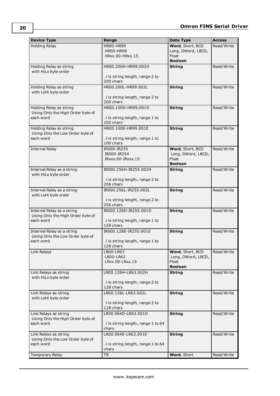| <b>Device Type</b>                                           | Range                                        | Data Type                          | <b>Access</b> |
|--------------------------------------------------------------|----------------------------------------------|------------------------------------|---------------|
| <b>Holding Relay</b>                                         | <b>HR00-HR99</b>                             | Word, Short, BCD                   | Read/Write    |
|                                                              | <b>HR00-HR98</b>                             | Long, DWord, LBCD,                 |               |
|                                                              | HRxx.00-HRxx.15                              | Float                              |               |
|                                                              |                                              | <b>Boolean</b>                     |               |
| Holding Relay as string<br>with HiLo byte order              | HR00.200H-HR99.002H                          | <b>String</b>                      | Read/Write    |
|                                                              | .I is string length, range 2 to              |                                    |               |
|                                                              | 200 chars                                    |                                    |               |
| Holding Relay as string                                      | HR00.200L-HR99.002L                          | <b>String</b>                      | Read/Write    |
| with LoHi byte order                                         |                                              |                                    |               |
|                                                              | .I is string length, range 2 to              |                                    |               |
|                                                              | 200 chars                                    |                                    |               |
| Holding Relay as string<br>Using Only the High Order byte of | HR00.100D-HR99.001D                          | <b>String</b>                      | Read/Write    |
| each word                                                    | .I is string length, range 1 to              |                                    |               |
|                                                              | 100 chars                                    |                                    |               |
| Holding Relay as string                                      | HR00.100E-HR99.001E                          | <b>String</b>                      | Read/Write    |
| Using Only the Low Order byte of                             |                                              |                                    |               |
| each word                                                    | .I is string length, range 1 to              |                                    |               |
|                                                              | 100 chars                                    |                                    |               |
| <b>Internal Relay</b>                                        | IR000-IR255                                  | Word, Short, BCD                   | Read/Write    |
|                                                              | IR000-IR254<br>IRxxx.00-IRxxx.15             | Long, DWord, LBCD,<br><b>Float</b> |               |
|                                                              |                                              | <b>Boolean</b>                     |               |
| Internal Relay as a string                                   | IR000.256H-IR255.002H                        | <b>String</b>                      | Read/Write    |
| with HiLo byte order                                         |                                              |                                    |               |
|                                                              | .I is string length, range 2 to              |                                    |               |
|                                                              | 256 chars                                    |                                    |               |
| Internal Relay as a string                                   | IR000.256L-IR255.002L                        | <b>String</b>                      | Read/Write    |
| with LoHi byte order                                         |                                              |                                    |               |
|                                                              | .I is string length, range 2 to<br>256 chars |                                    |               |
| Internal Relay as a string                                   | IR000.128D-IR255.001D                        | <b>String</b>                      | Read/Write    |
| Using Only the High Order byte of                            |                                              |                                    |               |
| each word                                                    | .I is string length, range 1 to              |                                    |               |
|                                                              | 128 chars                                    |                                    |               |
| Internal Relay as a string                                   | IR000.128E-IR255.001E                        | <b>String</b>                      | Read/Write    |
| Using Only the Low Order byte of<br>each word                |                                              |                                    |               |
|                                                              | I is string length, range 1 to<br>128 chars  |                                    |               |
| Link Relays                                                  | LR00-LR63                                    | Word, Short, BCD                   | Read/Write    |
|                                                              | LR00-LR62                                    | Long, DWord, LBCD,                 |               |
|                                                              | LRxx.00-LRxx.15                              | Float                              |               |
|                                                              |                                              | <b>Boolean</b>                     |               |
| Link Relays as string                                        | LR00.128H-LR63.002H                          | <b>String</b>                      | Read/Write    |
| with HiLo byte order                                         | .I is string length, range 2 to              |                                    |               |
|                                                              | 128 chars                                    |                                    |               |
| Link Relays as string                                        | LR00.128L-LR63.002L                          | <b>String</b>                      | Read/Write    |
| with LoHi byte order                                         |                                              |                                    |               |
|                                                              | .I is string length, range 2 to              |                                    |               |
|                                                              | 128 chars                                    |                                    |               |
| Link Relays as string                                        | LR00.064D-LR63.001D                          | <b>String</b>                      | Read/Write    |
| Using Only the High Order byte of                            |                                              |                                    |               |
| each word                                                    | .I is string length, range 1 to 64<br>chars  |                                    |               |
| Link Relays as string                                        | LR00.064E-LR63.001E                          | <b>String</b>                      | Read/Write    |
| Using Only the Low Order byte of                             |                                              |                                    |               |
| each word                                                    | .I is string length, range 1 to 64           |                                    |               |
|                                                              | chars                                        |                                    |               |
| Temporary Relay                                              | <b>TR</b>                                    | Word, Short                        | Read/Write    |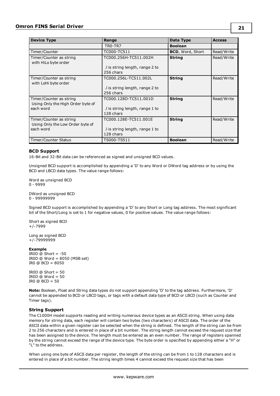| <b>Device Type</b>                                                        | Range                                                                 | Data Type               | <b>Access</b> |
|---------------------------------------------------------------------------|-----------------------------------------------------------------------|-------------------------|---------------|
|                                                                           | TRO-TR7                                                               | <b>Boolean</b>          |               |
| Timer/Counter                                                             | TC000-TC511                                                           | <b>BCD, Word, Short</b> | Read/Write    |
| Timer/Counter as string<br>with HiLo byte order                           | TC000.256H-TC511.002H<br>.I is string length, range 2 to<br>256 chars | <b>String</b>           | Read/Write    |
| Timer/Counter as string<br>with LoHi byte order                           | TC000.256L-TC511.002L<br>.I is string length, range 2 to<br>256 chars | <b>String</b>           | Read/Write    |
| Timer/Counter as string<br>Using Only the High Order byte of<br>each word | TC000.128D-TC511.001D<br>I is string length, range 1 to<br>128 chars  | <b>String</b>           | Read/Write    |
| Timer/Counter as string<br>Using Only the Low Order byte of<br>each word  | TC000.128E-TC511.001E<br>I is string length, range 1 to<br>128 chars  | <b>String</b>           | Read/Write    |
| Timer/Counter Status                                                      | TS000-TS511                                                           | <b>Boolean</b>          | Read/Write    |

#### <span id="page-20-0"></span>**BCD Support**

16-Bit and 32-Bit data can be referenced as signed and unsigned BCD values.

Unsigned BCD support is accomplished by appending a 'D' to any Word or DWord tag address or by using the BCD and LBCD data types. The value range follows:

Word as unsigned BCD 0 - 9999

DWord as unsigned BCD 0 - 99999999

Signed BCD support is accomplished by appending a 'D' to any Short or Long tag address. The most significant bit of the Short/Long is set to 1 for negative values, 0 for positive values. The value range follows:

Short as signed BCD +/-7999

Long as signed BCD +/-79999999

#### **Example**

IROD  $@$  Short =  $-50$ IR0D @ Word = 8050 (MSB set) IR0 @ BCD = 8050

 $IROD @ Short = 50$  $IROD @ Word = 50$ IR0  $@$  BCD = 50

**Note:** Boolean, Float and String data types do not support appending 'D' to the tag address. Furthermore, 'D' cannot be appended to BCD or LBCD tags, or tags with a default data type of BCD or LBCD (such as Counter and Timer tags).

#### <span id="page-20-1"></span>**String Support**

The C1000H model supports reading and writing numerous device types as an ASCII string. When using data memory for string data, each register will contain two bytes (two characters) of ASCII data. The order of the ASCII data within a given register can be selected when the string is defined. The length of the string can be from 2 to 256 characters and is entered in place of a bit number. The string length cannot exceed the request size that has been assigned to the device. The length must be entered as an even number. The range of registers spanned by the string cannot exceed the range of the device type. The byte order is specified by appending either a "H" or "L" to the address.

When using one byte of ASCII data per register, the length of the string can be from 1 to 128 characters and is entered in place of a bit number. The string length times 4 cannot exceed the request size that has been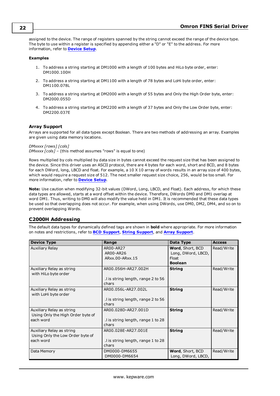assigned to the device. The range of registers spanned by the string cannot exceed the range of the device type. The byte to use within a register is specified by appending either a "D" or "E" to the address. For more information, refer to **[Device](#page-4-0) Setup**.

#### **Examples**

- 1. To address a string starting at DM1000 with a length of 100 bytes and HiLo byte order, enter: DM1000.100H
- 2. To address a string starting at DM1100 with a length of 78 bytes and LoHi byte order, enter: DM1100.078L
- 3. To address a string starting at DM2000 with a length of 55 bytes and Only the High Order byte, enter: DM2000.055D
- 4. To address a string starting at DM2200 with a length of 37 bytes and Only the Low Order byte, enter: DM2200.037E

### <span id="page-21-1"></span>**Array Support**

Arrays are supported for all data types except Boolean. There are two methods of addressing an array. Examples are given using data memory locations.

*DMxxxx [rows] [cols] DMxxxx [cols]* – (this method assumes "rows" is equal to one)

Rows multiplied by cols multiplied by data size in bytes cannot exceed the request size that has been assigned to the device. Since this driver uses an ASCII protocol, there are 4 bytes for each word, short and BCD, and 8 bytes for each DWord, long, LBCD and float. For example, a 10 X 10 array of words results in an array size of 400 bytes, which would require a request size of 512. The next smaller request size choice, 256, would be too small. For more information, refer to **[Device](#page-4-0) Setup**.

**Note:** Use caution when modifying 32-bit values (DWord, Long, LBCD, and Float). Each address, for which these data types are allowed, starts at a word offset within the device. Therefore, DWords DM0 and DM1 overlap at word DM1. Thus, writing to DM0 will also modify the value held in DM1. It is recommended that these data types be used so that overlapping does not occur. For example, when using DWords, use DM0, DM2, DM4, and so on to prevent overlapping Words.

### <span id="page-21-0"></span>**C2000H Addressing**

| <b>Device Type</b>                | Range                              | Data Type          | <b>Access</b> |
|-----------------------------------|------------------------------------|--------------------|---------------|
| Auxiliary Relay                   | AR00-AR27                          | Word, Short, BCD   | Read/Write    |
|                                   | AR00-AR26                          | Long, DWord, LBCD, |               |
|                                   | ARxx.00-ARxx.15                    | Float              |               |
|                                   |                                    | <b>Boolean</b>     |               |
| Auxiliary Relay as string         | AR00.056H-AR27.002H                | <b>String</b>      | Read/Write    |
| with HiLo byte order              |                                    |                    |               |
|                                   | .I is string length, range 2 to 56 |                    |               |
|                                   | chars                              |                    |               |
| Auxiliary Relay as string         | AR00.056L-AR27.002L                | <b>String</b>      | Read/Write    |
| with LoHi byte order              |                                    |                    |               |
|                                   | .I is string length, range 2 to 56 |                    |               |
|                                   | chars                              |                    |               |
| Auxiliary Relay as string         | AR00.028D-AR27.001D                | <b>String</b>      | Read/Write    |
| Using Only the High Order byte of |                                    |                    |               |
| each word                         | I is string length, range 1 to 28  |                    |               |
|                                   | chars                              |                    |               |
| Auxiliary Relay as string         | AR00.028E-AR27.001E                | <b>String</b>      | Read/Write    |
| Using Only the Low Order byte of  |                                    |                    |               |
| each word                         | I is string length, range 1 to 28  |                    |               |
|                                   | chars                              |                    |               |
| Data Memory                       | DM0000-DM6655                      | Word, Short, BCD   | Read/Write    |
|                                   | DM0000-DM6654                      | Long, DWord, LBCD, |               |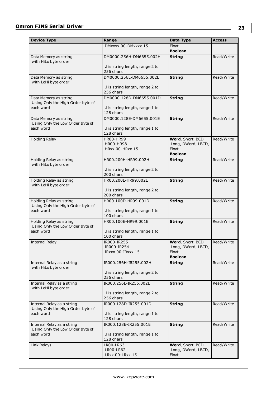| <b>Device Type</b>                                           | Range                                        | Data Type                   | <b>Access</b> |
|--------------------------------------------------------------|----------------------------------------------|-----------------------------|---------------|
|                                                              | DMxxxx.00-DMxxxx.15                          | Float                       |               |
|                                                              |                                              | <b>Boolean</b>              |               |
| Data Memory as string<br>with HiLo byte order                | DM0000.256H-DM6655.002H                      | <b>String</b>               | Read/Write    |
|                                                              | .I is string length, range 2 to<br>256 chars |                             |               |
| Data Memory as string                                        | DM0000.256L-DM6655.002L                      | <b>String</b>               | Read/Write    |
| with LoHi byte order                                         | .I is string length, range 2 to<br>256 chars |                             |               |
| Data Memory as string                                        | DM0000.128D-DM6655.001D                      | <b>String</b>               | Read/Write    |
| Using Only the High Order byte of<br>each word               | .I is string length, range 1 to<br>128 chars |                             |               |
| Data Memory as string                                        | DM0000.128E-DM6655.001E                      | <b>String</b>               | Read/Write    |
| Using Only the Low Order byte of<br>each word                | .I is string length, range 1 to<br>128 chars |                             |               |
| Holding Relay                                                | <b>HR00-HR99</b>                             | Word, Short, BCD            | Read/Write    |
|                                                              | <b>HR00-HR98</b><br>HRxx.00-HRxx.15          | Long, DWord, LBCD,<br>Float |               |
|                                                              |                                              | <b>Boolean</b>              |               |
| Holding Relay as string                                      | HR00.200H-HR99.002H                          | <b>String</b>               | Read/Write    |
| with HiLo byte order                                         |                                              |                             |               |
|                                                              | .I is string length, range 2 to              |                             |               |
| Holding Relay as string                                      | 200 chars<br>HR00.200L-HR99.002L             | <b>String</b>               | Read/Write    |
| with LoHi byte order                                         |                                              |                             |               |
|                                                              | .I is string length, range 2 to              |                             |               |
|                                                              | 200 chars                                    |                             |               |
| Holding Relay as string<br>Using Only the High Order byte of | HR00.100D-HR99.001D                          | <b>String</b>               | Read/Write    |
| each word                                                    | .I is string length, range 1 to              |                             |               |
|                                                              | 100 chars                                    |                             |               |
| Holding Relay as string                                      | HR00.100E-HR99.001E                          | <b>String</b>               | Read/Write    |
| Using Only the Low Order byte of                             |                                              |                             |               |
| each word                                                    | .I is string length, range 1 to<br>100 chars |                             |               |
| <b>Internal Relay</b>                                        | IR000-IR255                                  | Word, Short, BCD            | Read/Write    |
|                                                              | IR000-IR254                                  | Long, DWord, LBCD,          |               |
|                                                              | IRxxx.00-IRxxx.15                            | Float<br><b>Boolean</b>     |               |
| Internal Relay as a string                                   | IR000.256H-IR255.002H                        | <b>String</b>               | Read/Write    |
| with HiLo byte order                                         |                                              |                             |               |
|                                                              | .I is string length, range 2 to              |                             |               |
|                                                              | 256 chars                                    |                             |               |
| Internal Relay as a string<br>with LoHi byte order           | IR000.256L-IR255.002L                        | <b>String</b>               | Read/Write    |
|                                                              | .I is string length, range 2 to              |                             |               |
|                                                              | 256 chars                                    |                             |               |
| Internal Relay as a string                                   | IR000.128D-IR255.001D                        | <b>String</b>               | Read/Write    |
| Using Only the High Order byte of<br>each word               | .I is string length, range 1 to              |                             |               |
|                                                              | 128 chars                                    |                             |               |
| Internal Relay as a string                                   | IR000.128E-IR255.001E                        | <b>String</b>               | Read/Write    |
| Using Only the Low Order byte of                             |                                              |                             |               |
| each word                                                    | .I is string length, range 1 to<br>128 chars |                             |               |
| Link Relays                                                  | LR00-LR63                                    | Word, Short, BCD            | Read/Write    |
|                                                              | LR00-LR62                                    | Long, DWord, LBCD,          |               |
|                                                              | LRxx.00-LRxx.15                              | Float                       |               |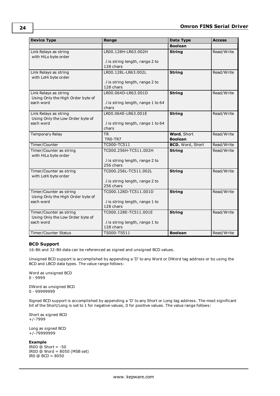| <b>Device Type</b>                                                        | Range                                                                 | Data Type                            | <b>Access</b> |
|---------------------------------------------------------------------------|-----------------------------------------------------------------------|--------------------------------------|---------------|
|                                                                           |                                                                       | <b>Boolean</b>                       |               |
| Link Relays as string<br>with HiLo byte order                             | LR00.128H-LR63.002H<br>.I is string length, range 2 to<br>128 chars   | <b>String</b>                        | Read/Write    |
| Link Relays as string<br>with LoHi byte order                             | LR00.128L-LR63.002L<br>.I is string length, range 2 to<br>128 chars   | <b>String</b>                        | Read/Write    |
| Link Relays as string<br>Using Only the High Order byte of<br>each word   | LR00.064D-LR63.001D<br>.I is string length, range 1 to 64<br>chars    | <b>String</b>                        | Read/Write    |
| Link Relays as string<br>Using Only the Low Order byte of<br>each word    | LR00.064E-LR63.001E<br>.I is string length, range 1 to 64<br>chars    | <b>String</b>                        | Read/Write    |
| Temporary Relay                                                           | <b>TR</b><br>TRO-TR7                                                  | <b>Word, Short</b><br><b>Boolean</b> | Read/Write    |
| Timer/Counter                                                             | TC000-TC511                                                           | <b>BCD, Word, Short</b>              | Read/Write    |
| Timer/Counter as string<br>with HiLo byte order                           | TC000.256H-TC511.002H<br>.I is string length, range 2 to<br>256 chars | <b>String</b>                        | Read/Write    |
| Timer/Counter as string<br>with LoHi byte order                           | TC000.256L-TC511.002L<br>.I is string length, range 2 to<br>256 chars | <b>String</b>                        | Read/Write    |
| Timer/Counter as string<br>Using Only the High Order byte of<br>each word | TC000.128D-TC511.001D<br>.I is string length, range 1 to<br>128 chars | <b>String</b>                        | Read/Write    |
| Timer/Counter as string<br>Using Only the Low Order byte of<br>each word  | TC000.128E-TC511.001E<br>.I is string length, range 1 to<br>128 chars | <b>String</b>                        | Read/Write    |
| Timer/Counter Status                                                      | TS000-TS511                                                           | <b>Boolean</b>                       | Read/Write    |

#### <span id="page-23-0"></span>**BCD Support**

16-Bit and 32-Bit data can be referenced as signed and unsigned BCD values.

Unsigned BCD support is accomplished by appending a 'D' to any Word or DWord tag address or by using the BCD and LBCD data types. The value range follows:

Word as unsigned BCD 0 - 9999

DWord as unsigned BCD 0 - 99999999

Signed BCD support is accomplished by appending a 'D' to any Short or Long tag address. The most significant bit of the Short/Long is set to 1 for negative values, 0 for positive values. The value range follows:

Short as signed BCD +/-7999

Long as signed BCD +/-79999999

#### **Example**

IROD  $@$  Short =  $-50$ IR0D @ Word = 8050 (MSB set) IR0 @ BCD = 8050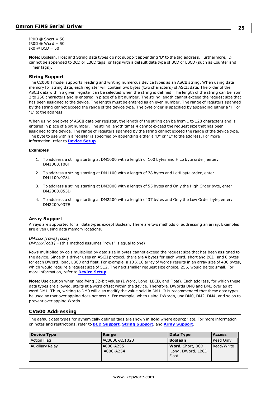IROD  $@$  Short = 50 IROD  $@$  Word = 50 IRO  $@$  BCD = 50

**Note:** Boolean, Float and String data types do not support appending 'D' to the tag address. Furthermore, 'D' cannot be appended to BCD or LBCD tags, or tags with a default data type of BCD or LBCD (such as Counter and Timer tags).

#### <span id="page-24-1"></span>**String Support**

The C2000H model supports reading and writing numerous device types as an ASCII string. When using data memory for string data, each register will contain two bytes (two characters) of ASCII data. The order of the ASCII data within a given register can be selected when the string is defined. The length of the string can be from 2 to 256 characters and is entered in place of a bit number. The string length cannot exceed the request size that has been assigned to the device. The length must be entered as an even number. The range of registers spanned by the string cannot exceed the range of the device type. The byte order is specified by appending either a "H" or "L" to the address.

When using one byte of ASCII data per register, the length of the string can be from 1 to 128 characters and is entered in place of a bit number. The string length times 4 cannot exceed the request size that has been assigned to the device. The range of registers spanned by the string cannot exceed the range of the device type. The byte to use within a register is specified by appending either a "D" or "E" to the address. For more information, refer to **[Device](#page-4-0) Setup**.

#### **Examples**

- 1. To address a string starting at DM1000 with a length of 100 bytes and HiLo byte order, enter: DM1000.100H
- 2. To address a string starting at DM1100 with a length of 78 bytes and LoHi byte order, enter: DM1100.078L
- 3. To address a string starting at DM2000 with a length of 55 bytes and Only the High Order byte, enter: DM2000.055D
- 4. To address a string starting at DM2200 with a length of 37 bytes and Only the Low Order byte, enter: DM2200.037E

#### <span id="page-24-2"></span>**Array Support**

Arrays are supported for all data types except Boolean. There are two methods of addressing an array. Examples are given using data memory locations.

*DMxxxx [rows] [cols]*

*DMxxxx [cols]* – (this method assumes "rows" is equal to one)

Rows multiplied by cols multiplied by data size in bytes cannot exceed the request size that has been assigned to the device. Since this driver uses an ASCII protocol, there are 4 bytes for each word, short and BCD, and 8 bytes for each DWord, long, LBCD and float. For example, a 10 X 10 array of words results in an array size of 400 bytes, which would require a request size of 512. The next smaller request size choice, 256, would be too small. For more information, refer to **[Device](#page-4-0) Setup**.

**Note:** Use caution when modifying 32-bit values (DWord, Long, LBCD, and Float). Each address, for which these data types are allowed, starts at a word offset within the device. Therefore, DWords DM0 and DM1 overlap at word DM1. Thus, writing to DM0 will also modify the value held in DM1. It is recommended that these data types be used so that overlapping does not occur. For example, when using DWords, use DM0, DM2, DM4, and so on to prevent overlapping Words.

#### <span id="page-24-0"></span>**CV500 Addressing**

| Device Type            | Range                  | Data Type                                              | <b>Access</b> |
|------------------------|------------------------|--------------------------------------------------------|---------------|
| <b>Action Flag</b>     | AC0000-AC1023          | <b>Boolean</b>                                         | Read Only     |
| <b>Auxiliary Relay</b> | A000-A255<br>A000-A254 | <b>Word, Short, BCD</b><br>Long, DWord, LBCD,<br>Float | Read/Write    |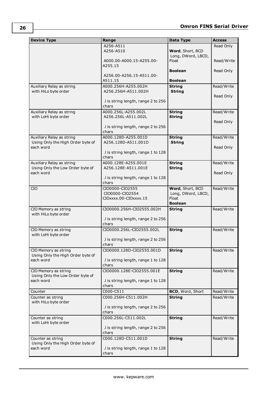| <b>Device Type</b>                                       | Range                                        | Data Type               | <b>Access</b> |
|----------------------------------------------------------|----------------------------------------------|-------------------------|---------------|
|                                                          | A256-A511                                    |                         | Read Only     |
|                                                          | A256-A510                                    | Word, Short, BCD        |               |
|                                                          |                                              | Long, DWord, LBCD,      |               |
|                                                          | A000.00-A000.15-A255.00-                     | Float                   | Read/Write    |
|                                                          | A255.15                                      | <b>Boolean</b>          | Read Only     |
|                                                          | A256.00-A256.15-A511.00-                     |                         |               |
|                                                          | A511.15                                      | <b>Boolean</b>          |               |
| Auxiliary Relay as string                                | A000.256H-A255.002H                          | <b>String</b>           | Read/Write    |
| with HiLo byte order                                     | A256.256H-A511.002H                          | <b>String</b>           |               |
|                                                          |                                              |                         | Read Only     |
|                                                          | .I is string length, range 2 to 256          |                         |               |
|                                                          | chars                                        |                         |               |
| Auxiliary Relay as string                                | A000.256L-A255.002L                          | <b>String</b>           | Read/Write    |
| with LoHi byte order                                     | A256.256L-A511.002L                          | <b>String</b>           | Read Only     |
|                                                          | .I is string length, range 2 to 256          |                         |               |
|                                                          | chars                                        |                         |               |
| Auxiliary Relay as string                                | A000.128D-A255.001D                          | <b>String</b>           | Read/Write    |
| Using Only the High Order byte of                        | A256.128D-A511.001D                          | <b>String</b>           |               |
| each word                                                |                                              |                         | Read Only     |
|                                                          | .I is string length, range 1 to 128          |                         |               |
|                                                          | chars                                        |                         |               |
| Auxiliary Relay as string                                | A000.128E-A255.001E                          | <b>String</b>           | Read/Write    |
| Using Only the Low Order byte of<br>each word            | A256.128E-A511.001E                          | <b>String</b>           |               |
|                                                          | .I is string length, range 1 to 128          |                         | Read Only     |
|                                                          | chars                                        |                         |               |
| CIO                                                      | CIO0000-CIO2555                              | Word, Short, BCD        | Read/Write    |
|                                                          | CIO0000-CIO2554                              | Long, DWord, LBCD,      |               |
|                                                          | CIOxxxx.00-CIOxxxx.15                        | Float                   |               |
|                                                          |                                              | <b>Boolean</b>          |               |
| CIO Memory as string                                     | CIO0000.256H-CIO2555.002H                    | <b>String</b>           | Read/Write    |
| with HiLo byte order                                     |                                              |                         |               |
|                                                          | .I is string length, range 2 to 256<br>chars |                         |               |
| CIO Memory as string                                     | CIO0000.256L-CIO2555.002L                    | <b>String</b>           | Read/Write    |
| with LoHi byte order                                     |                                              |                         |               |
|                                                          | .I is string length, range 2 to 256          |                         |               |
|                                                          | chars                                        |                         |               |
| CIO Memory as string                                     | CIO0000.128D-CIO2555.001D                    | <b>String</b>           | Read/Write    |
| Using Only the High Order byte of                        |                                              |                         |               |
| each word                                                | .I is string length, range 1 to 128          |                         |               |
|                                                          | chars                                        |                         |               |
| CIO Memory as string<br>Using Only the Low Order byte of | CIO0000.128E-CIO2555.001E                    | <b>String</b>           | Read/Write    |
| each word                                                | .I is string length, range 1 to 128          |                         |               |
|                                                          | chars                                        |                         |               |
| Counter                                                  | C000-C511                                    | <b>BCD, Word, Short</b> | Read/Write    |
| Counter as string                                        | C000.256H-C511.002H                          | <b>String</b>           | Read/Write    |
| with HiLo byte order                                     |                                              |                         |               |
|                                                          | .I is string length, range 2 to 256          |                         |               |
|                                                          | chars                                        |                         |               |
| Counter as string                                        | C000.256L-C511.002L                          | <b>String</b>           | Read/Write    |
| with LoHi byte order                                     | .I is string length, range 2 to 256          |                         |               |
|                                                          | chars                                        |                         |               |
| Counter as string                                        | C000.128D-C511.001D                          | <b>String</b>           | Read/Write    |
| Using Only the High Order byte of                        |                                              |                         |               |
| each word                                                | .I is string length, range 1 to 128          |                         |               |
|                                                          | chars                                        |                         |               |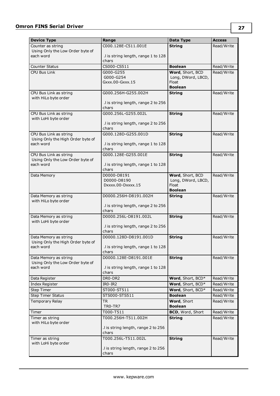| <b>Device Type</b>                                        | Range                                        | Data Type                     | <b>Access</b> |
|-----------------------------------------------------------|----------------------------------------------|-------------------------------|---------------|
| Counter as string                                         | C000.128E-C511.001E                          | <b>String</b>                 | Read/Write    |
| Using Only the Low Order byte of                          |                                              |                               |               |
| each word                                                 | .I is string length, range 1 to 128<br>chars |                               |               |
| <b>Counter Status</b>                                     | CS000-CS511                                  | <b>Boolean</b>                | Read/Write    |
| <b>CPU Bus Link</b>                                       | $G000 - G255$                                | Word, Short, BCD              | Read/Write    |
|                                                           | G000-G254                                    | Long, DWord, LBCD,            |               |
|                                                           | Gxxx.00-Gxxx.15                              | Float                         |               |
|                                                           |                                              | <b>Boolean</b>                |               |
| CPU Bus Link as string<br>with HiLo byte order            | G000.256H-G255.002H                          | <b>String</b>                 | Read/Write    |
|                                                           | .I is string length, range 2 to 256          |                               |               |
|                                                           | chars                                        |                               |               |
| CPU Bus Link as string                                    | G000.256L-G255.002L                          | <b>String</b>                 | Read/Write    |
| with LoHi byte order                                      |                                              |                               |               |
|                                                           | .I is string length, range 2 to 256<br>chars |                               |               |
| CPU Bus Link as string                                    | G000.128D-G255.001D                          | <b>String</b>                 | Read/Write    |
| Using Only the High Order byte of                         |                                              |                               |               |
| each word                                                 | .I is string length, range 1 to 128          |                               |               |
|                                                           | chars                                        |                               |               |
| CPU Bus Link as string                                    | G000.128E-G255.001E                          | <b>String</b>                 | Read/Write    |
| Using Only the Low Order byte of<br>each word             | .I is string length, range 1 to 128          |                               |               |
|                                                           | chars                                        |                               |               |
| Data Memory                                               | D0000-D8191                                  | Word, Short, BCD              | Read/Write    |
|                                                           | D0000-D8190                                  | Long, DWord, LBCD,            |               |
|                                                           | Dxxxx.00-Dxxxx.15                            | <b>Float</b>                  |               |
|                                                           |                                              | <b>Boolean</b>                |               |
| Data Memory as string<br>with HiLo byte order             | D0000.256H-D8191.002H                        | <b>String</b>                 | Read/Write    |
|                                                           | .I is string length, range 2 to 256          |                               |               |
|                                                           | chars                                        |                               |               |
| Data Memory as string                                     | D0000.256L-D8191.002L                        | <b>String</b>                 | Read/Write    |
| with LoHi byte order                                      |                                              |                               |               |
|                                                           | .I is string length, range 2 to 256<br>chars |                               |               |
| Data Memory as string                                     | D0000.128D-D8191.001D                        | <b>String</b>                 | Read/Write    |
| Using Only the High Order byte of                         |                                              |                               |               |
| each word                                                 | .I is string length, range 1 to 128          |                               |               |
|                                                           | chars                                        |                               |               |
| Data Memory as string<br>Using Only the Low Order byte of | D0000.128E-D8191.001E                        | <b>String</b>                 | Read/Write    |
| each word                                                 | I is string length, range 1 to 128           |                               |               |
|                                                           | chars                                        |                               |               |
| Data Register                                             | DR0-DR2                                      | Word, Short, BCD*             | Read/Write    |
| Index Register                                            | IR0-IR2                                      | Word, Short, BCD*             | Read/Write    |
| <b>Step Timer</b>                                         | ST000-ST511                                  | Word, Short, BCD*             | Read/Write    |
| Step Timer Status                                         | STS000-STS511                                | <b>Boolean</b>                | Read/Write    |
| Temporary Relay                                           | <b>TR</b><br>TRO-TR7                         | Word, Short<br><b>Boolean</b> | Read/Write    |
| Timer                                                     | T000-T511                                    | BCD, Word, Short              | Read/Write    |
| Timer as string                                           | T000.256H-T511.002H                          | <b>String</b>                 | Read/Write    |
| with HiLo byte order                                      |                                              |                               |               |
|                                                           | .I is string length, range 2 to 256          |                               |               |
|                                                           | chars                                        |                               |               |
| Timer as string                                           | T000.256L-T511.002L                          | <b>String</b>                 | Read/Write    |
| with LoHi byte order                                      | .I is string length, range 2 to 256          |                               |               |
|                                                           | chars                                        |                               |               |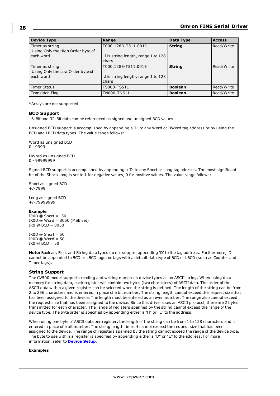| <b>Device Type</b>                                  | Range                                       | Data Type      | <b>Access</b> |
|-----------------------------------------------------|---------------------------------------------|----------------|---------------|
| Timer as string                                     | T000.128D-T511.001D                         | <b>String</b>  | Read/Write    |
| Using Only the High Order byte of<br>each word      | I is string length, range 1 to 128<br>chars |                |               |
| Timer as string<br>Using Only the Low Order byte of | T000.128E-T511.001E                         | <b>String</b>  | Read/Write    |
| each word                                           | I is string length, range 1 to 128<br>chars |                |               |
| <b>Timer Status</b>                                 | TS000-TS511                                 | <b>Boolean</b> | Read/Write    |
| <b>Transition Flag</b>                              | TN000-TN511                                 | <b>Boolean</b> | Read/Write    |

<span id="page-27-0"></span>\*Arrays are not supported.

#### **BCD Support**

16-Bit and 32-Bit data can be referenced as signed and unsigned BCD values.

Unsigned BCD support is accomplished by appending a 'D' to any Word or DWord tag address or by using the BCD and LBCD data types. The value range follows:

Word as unsigned BCD 0 - 9999

DWord as unsigned BCD 0 - 99999999

Signed BCD support is accomplished by appending a 'D' to any Short or Long tag address. The most significant bit of the Short/Long is set to 1 for negative values, 0 for positive values. The value range follows:

Short as signed BCD +/-7999

Long as signed BCD +/-79999999

#### **Example**

IROD  $@$  Short =  $-50$ IR0D @ Word = 8050 (MSB set) IR0 @ BCD = 8050

 $IROD @ Short = 50$  $IROD @ Word = 50$ IRO  $@$  BCD = 50

<span id="page-27-1"></span>**Note:** Boolean, Float and String data types do not support appending 'D' to the tag address. Furthermore, 'D' cannot be appended to BCD or LBCD tags, or tags with a default data type of BCD or LBCD (such as Counter and Timer tags).

#### **String Support**

The CV500 model supports reading and writing numerous device types as an ASCII string. When using data memory for string data, each register will contain two bytes (two characters) of ASCII data. The order of the ASCII data within a given register can be selected when the string is defined. The length of the string can be from 2 to 256 characters and is entered in place of a bit number. The string length cannot exceed the request size that has been assigned to the device. The length must be entered as an even number. The range also cannot exceed the request size that has been assigned to the device. Since this driver uses an ASCII protocol, there are 2 bytes transmitted for each character. The range of registers spanned by the string cannot exceed the range of the device type. The byte order is specified by appending either a "H" or "L" to the address.

When using one byte of ASCII data per register, the length of the string can be from 1 to 128 characters and is entered in place of a bit number. The string length times 4 cannot exceed the request size that has been assigned to the device. The range of registers spanned by the string cannot exceed the range of the device type. The byte to use within a register is specified by appending either a "D" or "E" to the address. For more information, refer to **[Device](#page-4-0) Setup**.

#### **Examples**

**28**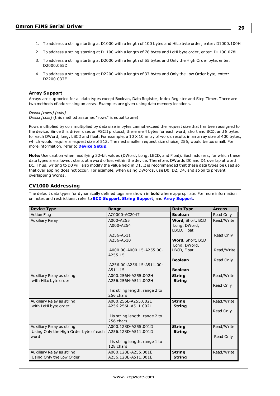- 1. To address a string starting at D1000 with a length of 100 bytes and HiLo byte order, enter: D1000.100H
- 2. To address a string starting at D1100 with a length of 78 bytes and LoHi byte order, enter: D1100.078L
- 3. To address a string starting at D2000 with a length of 55 bytes and Only the High Order byte, enter: D2000.055D
- 4. To address a string starting at D2200 with a length of 37 bytes and Only the Low Order byte, enter: D2200.037E

#### <span id="page-28-1"></span>**Array Support**

Arrays are supported for all data types except Boolean, Data Register, Index Register and Step Timer. There are two methods of addressing an array. Examples are given using data memory locations.

#### *Dxxxx [rows] [cols] Dxxxx [cols]* (this method assumes "rows" is equal to one)

Rows multiplied by cols multiplied by data size in bytes cannot exceed the request size that has been assigned to the device. Since this driver uses an ASCII protocol, there are 4 bytes for each word, short and BCD, and 8 bytes for each DWord, long, LBCD and float. For example, a 10 X 10 array of words results in an array size of 400 bytes, which would require a request size of 512. The next smaller request size choice, 256, would be too small. For more information, refer to **[Device](#page-4-0) Setup**.

**Note:** Use caution when modifying 32-bit values (DWord, Long, LBCD, and Float). Each address, for which these data types are allowed, starts at a word offset within the device. Therefore, DWords D0 and D1 overlap at word D1. Thus, writing to D0 will also modify the value held in D1. It is recommended that these data types be used so that overlapping does not occur. For example, when using DWords, use D0, D2, D4, and so on to prevent overlapping Words.

## <span id="page-28-0"></span>**CV1000 Addressing**

| <b>Device Type</b>                                                          | Range                                        | Data Type                                       | <b>Access</b>           |
|-----------------------------------------------------------------------------|----------------------------------------------|-------------------------------------------------|-------------------------|
| <b>Action Flag</b>                                                          | AC0000-AC2047                                | <b>Boolean</b>                                  | Read Only               |
| <b>Auxiliary Relay</b>                                                      | A000-A255<br>A000-A254                       | Word, Short, BCD<br>Long, DWord,<br>LBCD, Float | Read/Write              |
|                                                                             | A256-A511<br>A256-A510                       | Word, Short, BCD<br>Long, DWord,                | Read Only               |
|                                                                             | A000.00-A000.15-A255.00-<br>A255.15          | LBCD, Float                                     | Read/Write              |
|                                                                             | A256.00-A256.15-A511.00-<br>A511.15          | <b>Boolean</b><br><b>Boolean</b>                | Read Only               |
| Auxiliary Relay as string<br>with HiLo byte order                           | A000.256H-A255.002H<br>A256.256H-A511.002H   | <b>String</b><br><b>String</b>                  | Read/Write<br>Read Only |
|                                                                             | .I is string length, range 2 to<br>256 chars |                                                 |                         |
| Auxiliary Relay as string<br>with LoHi byte order                           | A000.256L-A255.002L<br>A256.256L-A511.002L   | <b>String</b><br><b>String</b>                  | Read/Write<br>Read Only |
|                                                                             | .I is string length, range 2 to<br>256 chars |                                                 |                         |
| Auxiliary Relay as string<br>Using Only the High Order byte of each<br>word | A000.128D-A255.001D<br>A256.128D-A511.001D   | <b>String</b><br><b>String</b>                  | Read/Write<br>Read Only |
|                                                                             | .I is string length, range 1 to<br>128 chars |                                                 |                         |
| Auxiliary Relay as string<br>Using Only the Low Order                       | A000.128E-A255.001E<br>A256.128E-A511.001E   | <b>String</b><br><b>String</b>                  | Read/Write              |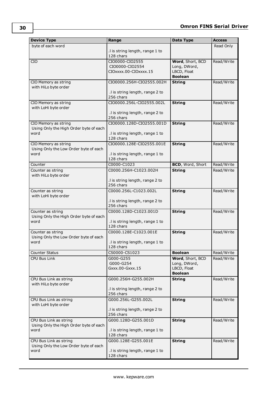| <b>Device Type</b>                                         | Range                                        | Data Type                         | <b>Access</b>            |
|------------------------------------------------------------|----------------------------------------------|-----------------------------------|--------------------------|
| byte of each word                                          |                                              |                                   | Read Only                |
|                                                            | I is string length, range 1 to               |                                   |                          |
|                                                            | 128 chars                                    |                                   |                          |
| <b>CIO</b>                                                 | CIO0000-CIO2555<br>CIO0000-CIO2554           | Word, Short, BCD<br>Long, DWord,  | Read/Write               |
|                                                            | CIOxxxx.00-CIOxxxx.15                        | LBCD, Float                       |                          |
|                                                            |                                              | <b>Boolean</b>                    |                          |
| CIO Memory as string                                       | CIO0000.256H-CIO2555.002H                    | <b>String</b>                     | Read/Write               |
| with HiLo byte order                                       |                                              |                                   |                          |
|                                                            | .I is string length, range 2 to<br>256 chars |                                   |                          |
| CIO Memory as string                                       | CIO0000.256L-CIO2555.002L                    | <b>String</b>                     | Read/Write               |
| with LoHi byte order                                       |                                              |                                   |                          |
|                                                            | .I is string length, range 2 to              |                                   |                          |
|                                                            | 256 chars                                    |                                   |                          |
| CIO Memory as string                                       | CIO0000.128D-CIO2555.001D                    | <b>String</b>                     | Read/Write               |
| Using Only the High Order byte of each<br>word             | .I is string length, range 1 to              |                                   |                          |
|                                                            | 128 chars                                    |                                   |                          |
| CIO Memory as string                                       | CIO0000.128E-CIO2555.001E                    | <b>String</b>                     | Read/Write               |
| Using Only the Low Order byte of each                      |                                              |                                   |                          |
| word                                                       | .I is string length, range 1 to              |                                   |                          |
|                                                            | 128 chars<br>C0000-C1023                     |                                   |                          |
| Counter<br>Counter as string                               | C0000.256H-C1023.002H                        | BCD, Word, Short<br><b>String</b> | Read/Write<br>Read/Write |
| with HiLo byte order                                       |                                              |                                   |                          |
|                                                            | .I is string length, range 2 to              |                                   |                          |
|                                                            | 256 chars                                    |                                   |                          |
| Counter as string                                          | C0000.256L-C1023.002L                        | <b>String</b>                     | Read/Write               |
| with LoHi byte order                                       | .I is string length, range 2 to              |                                   |                          |
|                                                            | 256 chars                                    |                                   |                          |
| Counter as string                                          | C0000.128D-C1023.001D                        | <b>String</b>                     | Read/Write               |
| Using Only the High Order byte of each                     |                                              |                                   |                          |
| word                                                       | .I is string length, range 1 to              |                                   |                          |
|                                                            | 128 chars                                    |                                   |                          |
| Counter as string<br>Using Only the Low Order byte of each | C0000.128E-C1023.001E                        | <b>String</b>                     | Read/Write               |
| word                                                       | .I is string length, range 1 to              |                                   |                          |
|                                                            | 128 chars                                    |                                   |                          |
| Counter Status                                             | CS0000-CS1023                                | <b>Boolean</b>                    | Read/Write               |
| CPU Bus Link                                               | G000-G255                                    | Word, Short, BCD                  | Read/Write               |
|                                                            | G000-G254<br>Gxxx.00-Gxxx.15                 | Long, DWord,<br>LBCD, Float       |                          |
|                                                            |                                              | <b>Boolean</b>                    |                          |
| CPU Bus Link as string                                     | G000.256H-G255.002H                          | <b>String</b>                     | Read/Write               |
| with HiLo byte order                                       |                                              |                                   |                          |
|                                                            | .I is string length, range 2 to              |                                   |                          |
|                                                            | 256 chars                                    |                                   |                          |
| CPU Bus Link as string<br>with LoHi byte order             | G000.256L-G255.002L                          | <b>String</b>                     | Read/Write               |
|                                                            | .I is string length, range 2 to              |                                   |                          |
|                                                            | 256 chars                                    |                                   |                          |
| CPU Bus Link as string                                     | G000.128D-G255.001D                          | <b>String</b>                     | Read/Write               |
| Using Only the High Order byte of each                     |                                              |                                   |                          |
| word                                                       | .I is string length, range 1 to<br>128 chars |                                   |                          |
| CPU Bus Link as string                                     | G000.128E-G255.001E                          | <b>String</b>                     | Read/Write               |
| Using Only the Low Order byte of each                      |                                              |                                   |                          |
| word                                                       | .I is string length, range 1 to              |                                   |                          |
|                                                            | 128 chars                                    |                                   |                          |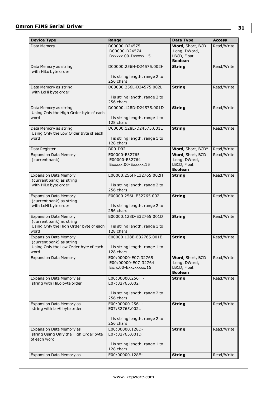| <b>Device Type</b>                                                       | Range                                        | Data Type                        | <b>Access</b> |
|--------------------------------------------------------------------------|----------------------------------------------|----------------------------------|---------------|
| Data Memory                                                              | D00000-D24575                                | Word, Short, BCD                 | Read/Write    |
|                                                                          | D00000-D24574                                | Long, DWord,                     |               |
|                                                                          | DXXXXX.00-DXXXXX.15                          | LBCD, Float                      |               |
|                                                                          |                                              | <b>Boolean</b>                   |               |
| Data Memory as string                                                    | D00000.256H-D24575.002H                      | <b>String</b>                    | Read/Write    |
| with HiLo byte order                                                     |                                              |                                  |               |
|                                                                          | .I is string length, range 2 to              |                                  |               |
|                                                                          | 256 chars                                    |                                  |               |
| Data Memory as string<br>with LoHi byte order                            | D00000.256L-D24575.002L                      | <b>String</b>                    | Read/Write    |
|                                                                          | .I is string length, range 2 to              |                                  |               |
|                                                                          | 256 chars                                    |                                  |               |
| Data Memory as string                                                    | D00000.128D-D24575.001D                      | <b>String</b>                    | Read/Write    |
| Using Only the High Order byte of each                                   |                                              |                                  |               |
| word                                                                     | .I is string length, range 1 to              |                                  |               |
|                                                                          | 128 chars                                    |                                  |               |
| Data Memory as string                                                    | D00000.128E-D24575.001E                      | <b>String</b>                    | Read/Write    |
| Using Only the Low Order byte of each                                    |                                              |                                  |               |
| word                                                                     | .I is string length, range 1 to<br>128 chars |                                  |               |
|                                                                          | DR0-DR2                                      | Word, Short, BCD*                |               |
| Data Register<br><b>Expansion Data Memory</b>                            |                                              |                                  | Read/Write    |
| (current bank)                                                           | E00000-E32765<br>E00000-E32764               | Word, Short, BCD<br>Long, DWord, | Read/Write    |
|                                                                          | Exxxxx.00-Exxxxx.15                          | LBCD, Float                      |               |
|                                                                          |                                              | <b>Boolean</b>                   |               |
| <b>Expansion Data Memory</b>                                             | E00000.256H-E32765.002H                      | <b>String</b>                    | Read/Write    |
| (current bank) as string                                                 |                                              |                                  |               |
| with HiLo byte order                                                     | .I is string length, range 2 to              |                                  |               |
|                                                                          | 256 chars                                    |                                  |               |
| <b>Expansion Data Memory</b>                                             | E00000.256L-E32765.002L                      | <b>String</b>                    | Read/Write    |
| (current bank) as string                                                 |                                              |                                  |               |
| with LoHi byte order                                                     | .I is string length, range 2 to<br>256 chars |                                  |               |
| <b>Expansion Data Memory</b>                                             | E00000.128D-E32765.001D                      | <b>String</b>                    | Read/Write    |
| (current bank) as string                                                 |                                              |                                  |               |
| Using Only the High Order byte of each                                   | .I is string length, range 1 to              |                                  |               |
| word                                                                     | 128 chars                                    |                                  |               |
| <b>Expansion Data Memory</b>                                             | E00000.128E-E32765.001E                      | <b>String</b>                    | Read/Write    |
| (current bank) as string                                                 |                                              |                                  |               |
| Using Only the Low Order byte of each   . I is string length, range 1 to |                                              |                                  |               |
| word                                                                     | 128 chars                                    |                                  |               |
| <b>Expansion Data Memory</b>                                             | E00:00000-E07:32765<br>E00:00000-E07:32764   | Word, Short, BCD<br>Long, DWord, | Read/Write    |
|                                                                          | Ex: x.00-Exx: xxxxx.15                       | LBCD, Float                      |               |
|                                                                          |                                              | <b>Boolean</b>                   |               |
| Expansion Data Memory as                                                 | E00:00000.256H -                             | <b>String</b>                    | Read/Write    |
| string with HiLo byte order                                              | E07:32765.002H                               |                                  |               |
|                                                                          |                                              |                                  |               |
|                                                                          | .I is string length, range 2 to              |                                  |               |
|                                                                          | 256 chars                                    |                                  |               |
| Expansion Data Memory as                                                 | E00:00000.256L -                             | <b>String</b>                    | Read/Write    |
| string with LoHi byte order                                              | E07:32765.002L                               |                                  |               |
|                                                                          | .I is string length, range 2 to              |                                  |               |
|                                                                          | 256 chars                                    |                                  |               |
| Expansion Data Memory as                                                 | E00:00000.128D-                              | <b>String</b>                    | Read/Write    |
| string Using Only the High Order byte                                    | E07:32765.001D                               |                                  |               |
| of each word                                                             |                                              |                                  |               |
|                                                                          | .I is string length, range 1 to              |                                  |               |
|                                                                          | 128 chars                                    |                                  |               |
| Expansion Data Memory as                                                 | E00:00000.128E-                              | <b>String</b>                    | Read/Write    |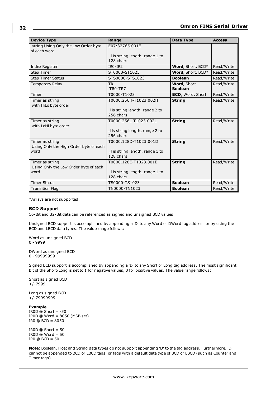| <b>Device Type</b>                                        | Range                                        | Data Type               | <b>Access</b> |
|-----------------------------------------------------------|----------------------------------------------|-------------------------|---------------|
| string Using Only the Low Order byte<br>of each word      | E07:32765.001E                               |                         |               |
|                                                           | .I is string length, range 1 to<br>128 chars |                         |               |
| Index Register                                            | $IRO-IR2$                                    | Word, Short, BCD*       | Read/Write    |
| <b>Step Timer</b>                                         | ST0000-ST1023                                | Word, Short, BCD*       | Read/Write    |
| <b>Step Timer Status</b>                                  | STS0000-STS1023                              | <b>Boolean</b>          | Read/Write    |
| <b>Temporary Relay</b>                                    | <b>TR</b>                                    | <b>Word</b> , Short     | Read/Write    |
|                                                           | TRO-TR7                                      | <b>Boolean</b>          |               |
| Timer                                                     | T0000-T1023                                  | <b>BCD, Word, Short</b> | Read/Write    |
| Timer as string                                           | T0000.256H-T1023.002H                        | <b>String</b>           | Read/Write    |
| with HiLo byte order                                      |                                              |                         |               |
|                                                           | .I is string length, range 2 to              |                         |               |
|                                                           | 256 chars                                    |                         |               |
| Timer as string                                           | T0000.256L-T1023.002L                        | <b>String</b>           | Read/Write    |
| with LoHi byte order                                      |                                              |                         |               |
|                                                           | .I is string length, range 2 to<br>256 chars |                         |               |
|                                                           |                                              |                         |               |
| Timer as string<br>Using Only the High Order byte of each | T0000.128D-T1023.001D                        | <b>String</b>           | Read/Write    |
| word                                                      | .I is string length, range 1 to              |                         |               |
|                                                           | 128 chars                                    |                         |               |
| Timer as string                                           | T0000.128E-T1023.001E                        | <b>String</b>           | Read/Write    |
| Using Only the Low Order byte of each                     |                                              |                         |               |
| word                                                      | .I is string length, range 1 to              |                         |               |
|                                                           | 128 chars                                    |                         |               |
| <b>Timer Status</b>                                       | TS0000-TS1023                                | <b>Boolean</b>          | Read/Write    |
| <b>Transition Flag</b>                                    | TN0000-TN1023                                | <b>Boolean</b>          | Read/Write    |

<span id="page-31-0"></span>\*Arrays are not supported.

#### **BCD Support**

16-Bit and 32-Bit data can be referenced as signed and unsigned BCD values.

Unsigned BCD support is accomplished by appending a 'D' to any Word or DWord tag address or by using the BCD and LBCD data types. The value range follows:

Word as unsigned BCD 0 - 9999

DWord as unsigned BCD 0 - 99999999

Signed BCD support is accomplished by appending a 'D' to any Short or Long tag address. The most significant bit of the Short/Long is set to 1 for negative values, 0 for positive values. The value range follows:

Short as signed BCD +/-7999

Long as signed BCD +/-79999999

**Example** IROD  $@$  Short =  $-50$ 

IR0D @ Word = 8050 (MSB set) IR0 @ BCD = 8050

IROD  $@$  Short = 50 IR0D @ Word = 50 IR0 @ BCD = 50

**Note:** Boolean, Float and String data types do not support appending 'D' to the tag address. Furthermore, 'D' cannot be appended to BCD or LBCD tags, or tags with a default data type of BCD or LBCD (such as Counter and Timer tags).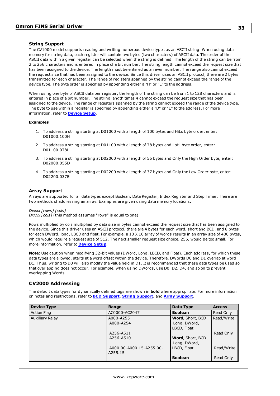#### <span id="page-32-1"></span>**String Support**

The CV1000 model supports reading and writing numerous device types as an ASCII string. When using data memory for string data, each register will contain two bytes (two characters) of ASCII data. The order of the ASCII data within a given register can be selected when the string is defined. The length of the string can be from 2 to 256 characters and is entered in place of a bit number. The string length cannot exceed the request size that has been assigned to the device. The length must be entered as an even number. The range also cannot exceed the request size that has been assigned to the device. Since this driver uses an ASCII protocol, there are 2 bytes transmitted for each character. The range of registers spanned by the string cannot exceed the range of the device type. The byte order is specified by appending either a "H" or "L" to the address.

When using one byte of ASCII data per register, the length of the string can be from 1 to 128 characters and is entered in place of a bit number. The string length times 4 cannot exceed the request size that has been assigned to the device. The range of registers spanned by the string cannot exceed the range of the device type. The byte to use within a register is specified by appending either a "D" or "E" to the address. For more information, refer to **[Device](#page-4-0) Setup**.

#### **Examples**

- 1. To address a string starting at D01000 with a length of 100 bytes and HiLo byte order, enter: D01000.100H
- 2. To address a string starting at D01100 with a length of 78 bytes and LoHi byte order, enter: D01100.078L
- 3. To address a string starting at D02000 with a length of 55 bytes and Only the High Order byte, enter: D02000.055D
- 4. To address a string starting at D02200 with a length of 37 bytes and Only the Low Order byte, enter: D02200.037E

#### <span id="page-32-2"></span>**Array Support**

Arrays are supported for all data types except Boolean, Data Register, Index Register and Step Timer. There are two methods of addressing an array. Examples are given using data memory locations.

#### *Dxxxx [rows] [cols]*

*Dxxxx [cols]* (this method assumes "rows" is equal to one)

Rows multiplied by cols multiplied by data size in bytes cannot exceed the request size that has been assigned to the device. Since this driver uses an ASCII protocol, there are 4 bytes for each word, short and BCD, and 8 bytes for each DWord, long, LBCD and float. For example, a 10 X 10 array of words results in an array size of 400 bytes, which would require a request size of 512. The next smaller request size choice, 256, would be too small. For more information, refer to **[Device](#page-4-0) Setup**.

**Note:** Use caution when modifying 32-bit values (DWord, Long, LBCD, and Float). Each address, for which these data types are allowed, starts at a word offset within the device. Therefore, DWords D0 and D1 overlap at word D1. Thus, writing to D0 will also modify the value held in D1. It is recommended that these data types be used so that overlapping does not occur. For example, when using DWords, use D0, D2, D4, and so on to prevent overlapping Words.

#### <span id="page-32-0"></span>**CV2000 Addressing**

| <b>Device Type</b> | Range                               | Data Type                               | <b>Access</b> |
|--------------------|-------------------------------------|-----------------------------------------|---------------|
| <b>Action Flag</b> | AC0000-AC2047                       | <b>Boolean</b>                          | Read Only     |
| Auxiliary Relay    | A000-A255<br>A000-A254              | <b>Word, Short, BCD</b><br>Long, DWord, | Read/Write    |
|                    | A256-A511                           | LBCD, Float                             | Read Only     |
|                    | A256-A510                           | <b>Word, Short, BCD</b><br>Long, DWord, |               |
|                    | A000.00-A000.15-A255.00-<br>A255.15 | LBCD, Float                             | Read/Write    |
|                    |                                     | <b>Boolean</b>                          | Read Only     |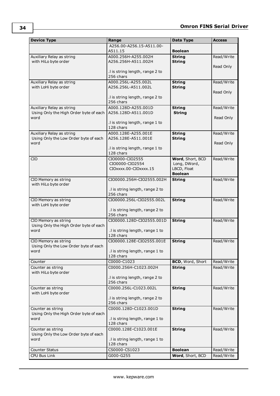| <b>Device Type</b>                                          | Range                                        | Data Type               | <b>Access</b> |
|-------------------------------------------------------------|----------------------------------------------|-------------------------|---------------|
|                                                             | A256.00-A256.15-A511.00-                     |                         |               |
|                                                             | A511.15                                      | <b>Boolean</b>          |               |
| Auxiliary Relay as string                                   | A000.256H-A255.002H                          | <b>String</b>           | Read/Write    |
| with HiLo byte order                                        | A256.256H-A511.002H                          | <b>String</b>           |               |
|                                                             |                                              |                         | Read Only     |
|                                                             | .I is string length, range 2 to              |                         |               |
|                                                             | 256 chars                                    |                         |               |
| Auxiliary Relay as string                                   | A000.256L-A255.002L                          | <b>String</b>           | Read/Write    |
| with LoHi byte order                                        | A256.256L-A511.002L                          | <b>String</b>           |               |
|                                                             |                                              |                         | Read Only     |
|                                                             | .I is string length, range 2 to              |                         |               |
|                                                             | 256 chars                                    |                         |               |
| Auxiliary Relay as string                                   | A000.128D-A255.001D                          | <b>String</b>           | Read/Write    |
| Using Only the High Order byte of each                      | A256.128D-A511.001D                          | <b>String</b>           |               |
| word                                                        |                                              |                         | Read Only     |
|                                                             | .I is string length, range 1 to<br>128 chars |                         |               |
| Auxiliary Relay as string                                   | A000.128E-A255.001E                          | <b>String</b>           |               |
| Using Only the Low Order byte of each                       | A256.128E-A511.001E                          | <b>String</b>           | Read/Write    |
| word                                                        |                                              |                         | Read Only     |
|                                                             | .I is string length, range 1 to              |                         |               |
|                                                             | 128 chars                                    |                         |               |
| <b>CIO</b>                                                  | CIO0000-CIO2555                              | Word, Short, BCD        | Read/Write    |
|                                                             | CIO0000-CIO2554                              | Long, DWord,            |               |
|                                                             | CIOxxxx.00-CIOxxxx.15                        | LBCD, Float             |               |
|                                                             |                                              | <b>Boolean</b>          |               |
| CIO Memory as string                                        | CIO0000.256H-CIO2555.002H                    | <b>String</b>           | Read/Write    |
| with HiLo byte order                                        |                                              |                         |               |
|                                                             | .I is string length, range 2 to              |                         |               |
|                                                             | 256 chars                                    |                         |               |
| CIO Memory as string                                        | CIO0000.256L-CIO2555.002L                    | <b>String</b>           | Read/Write    |
| with LoHi byte order                                        |                                              |                         |               |
|                                                             | .I is string length, range 2 to              |                         |               |
|                                                             | 256 chars                                    |                         |               |
| CIO Memory as string                                        | CIO0000.128D-CIO2555.001D                    | <b>String</b>           | Read/Write    |
| Using Only the High Order byte of each                      |                                              |                         |               |
| word                                                        | .I is string length, range 1 to              |                         |               |
|                                                             | 128 chars                                    |                         |               |
| CIO Memory as string                                        | CIO0000.128E-CIO2555.001E                    | <b>String</b>           | Read/Write    |
| Using Only the Low Order byte of each                       |                                              |                         |               |
| word                                                        | .I is string length, range 1 to              |                         |               |
|                                                             | 128 chars                                    |                         |               |
| Counter                                                     | C0000-C1023                                  | <b>BCD, Word, Short</b> | Read/Write    |
| Counter as string                                           | C0000.256H-C1023.002H                        | <b>String</b>           | Read/Write    |
| with HiLo byte order                                        |                                              |                         |               |
|                                                             | .I is string length, range 2 to              |                         |               |
|                                                             | 256 chars                                    |                         |               |
| Counter as string                                           | C0000.256L-C1023.002L                        | <b>String</b>           | Read/Write    |
| with LoHi byte order                                        |                                              |                         |               |
|                                                             | .I is string length, range 2 to<br>256 chars |                         |               |
|                                                             |                                              |                         |               |
| Counter as string<br>Using Only the High Order byte of each | C0000.128D-C1023.001D                        | <b>String</b>           | Read/Write    |
| word                                                        | .I is string length, range 1 to              |                         |               |
|                                                             | 128 chars                                    |                         |               |
| Counter as string                                           | C0000.128E-C1023.001E                        |                         | Read/Write    |
| Using Only the Low Order byte of each                       |                                              | <b>String</b>           |               |
| word                                                        | .I is string length, range 1 to              |                         |               |
|                                                             | 128 chars                                    |                         |               |
| Counter Status                                              | CS0000-CS1023                                | <b>Boolean</b>          | Read/Write    |
|                                                             |                                              |                         |               |
| CPU Bus Link                                                | G000-G255                                    | Word, Short, BCD        | Read/Write    |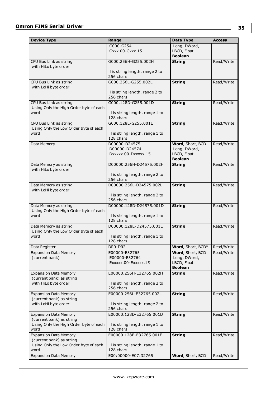| <b>Device Type</b>                                       | Range                                        | Data Type                        | <b>Access</b> |
|----------------------------------------------------------|----------------------------------------------|----------------------------------|---------------|
|                                                          | G000-G254                                    | Long, DWord,                     |               |
|                                                          | Gxxx.00-Gxxx.15                              | LBCD, Float                      |               |
|                                                          |                                              | <b>Boolean</b>                   |               |
| CPU Bus Link as string                                   | G000.256H-G255.002H                          | <b>String</b>                    | Read/Write    |
| with HiLo byte order                                     |                                              |                                  |               |
|                                                          | .I is string length, range 2 to<br>256 chars |                                  |               |
|                                                          |                                              |                                  |               |
| CPU Bus Link as string<br>with LoHi byte order           | G000.256L-G255.002L                          | <b>String</b>                    | Read/Write    |
|                                                          | .I is string length, range 2 to              |                                  |               |
|                                                          | 256 chars                                    |                                  |               |
| CPU Bus Link as string                                   | G000.128D-G255.001D                          | <b>String</b>                    | Read/Write    |
| Using Only the High Order byte of each                   |                                              |                                  |               |
| word                                                     | .I is string length, range 1 to              |                                  |               |
|                                                          | 128 chars                                    |                                  |               |
| CPU Bus Link as string                                   | G000.128E-G255.001E                          | <b>String</b>                    | Read/Write    |
| Using Only the Low Order byte of each                    |                                              |                                  |               |
| word                                                     | .I is string length, range 1 to<br>128 chars |                                  |               |
|                                                          | D00000-D24575                                | Word, Short, BCD                 | Read/Write    |
| Data Memory                                              | D00000-D24574                                | Long, DWord,                     |               |
|                                                          | DXXXXX.00-DXXXXX.15                          | LBCD, Float                      |               |
|                                                          |                                              | <b>Boolean</b>                   |               |
| Data Memory as string                                    | D00000.256H-D24575.002H                      | <b>String</b>                    | Read/Write    |
| with HiLo byte order                                     |                                              |                                  |               |
|                                                          | .I is string length, range 2 to              |                                  |               |
|                                                          | 256 chars                                    |                                  |               |
| Data Memory as string                                    | D00000.256L-D24575.002L                      | <b>String</b>                    | Read/Write    |
| with LoHi byte order                                     |                                              |                                  |               |
|                                                          | .I is string length, range 2 to<br>256 chars |                                  |               |
| Data Memory as string                                    | D00000.128D-D24575.001D                      | <b>String</b>                    | Read/Write    |
| Using Only the High Order byte of each                   |                                              |                                  |               |
| word                                                     | .I is string length, range 1 to              |                                  |               |
|                                                          | 128 chars                                    |                                  |               |
| Data Memory as string                                    | D00000.128E-D24575.001E                      | <b>String</b>                    | Read/Write    |
| Using Only the Low Order byte of each                    |                                              |                                  |               |
| word                                                     | .I is string length, range 1 to              |                                  |               |
|                                                          | 128 chars                                    |                                  |               |
| Data Register                                            | DR0-DR2                                      | Word, Short, BCD*                | Read/Write    |
| <b>Expansion Data Memory</b><br>(current bank)           | E00000-E32765<br>E00000-E32764               | Word, Short, BCD<br>Long, DWord, | Read/Write    |
|                                                          | Exxxxx.00-Exxxxx.15                          | LBCD, Float                      |               |
|                                                          |                                              | <b>Boolean</b>                   |               |
| <b>Expansion Data Memory</b>                             | E00000.256H-E32765.002H                      | <b>String</b>                    | Read/Write    |
| (current bank) as string                                 |                                              |                                  |               |
| with HiLo byte order                                     | .I is string length, range 2 to              |                                  |               |
|                                                          | 256 chars                                    |                                  |               |
| <b>Expansion Data Memory</b>                             | E00000.256L-E32765.002L                      | <b>String</b>                    | Read/Write    |
| (current bank) as string                                 |                                              |                                  |               |
| with LoHi byte order                                     | .I is string length, range 2 to              |                                  |               |
|                                                          | 256 chars                                    |                                  |               |
| <b>Expansion Data Memory</b><br>(current bank) as string | E00000.128D-E32765.001D                      | <b>String</b>                    | Read/Write    |
| Using Only the High Order byte of each                   | .I is string length, range 1 to              |                                  |               |
| word                                                     | 128 chars                                    |                                  |               |
| <b>Expansion Data Memory</b>                             | E00000.128E-E32765.001E                      | <b>String</b>                    | Read/Write    |
| (current bank) as string                                 |                                              |                                  |               |
| Using Only the Low Order byte of each                    | .I is string length, range 1 to              |                                  |               |
| word                                                     | 128 chars                                    |                                  |               |
| <b>Expansion Data Memory</b>                             | E00:00000-E07:32765                          | Word, Short, BCD                 | Read/Write    |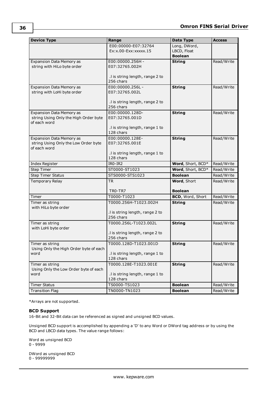| <b>Device Type</b>                                        | Range                                        | <b>Data Type</b>  | <b>Access</b> |
|-----------------------------------------------------------|----------------------------------------------|-------------------|---------------|
|                                                           | E00:00000-E07:32764                          | Long, DWord,      |               |
|                                                           | Ex: x.00-Exx: xxxxx.15                       | LBCD, Float       |               |
|                                                           |                                              | <b>Boolean</b>    |               |
| Expansion Data Memory as                                  | E00:00000.256H -                             | <b>String</b>     | Read/Write    |
| string with HiLo byte order                               | E07:32765.002H                               |                   |               |
|                                                           |                                              |                   |               |
|                                                           | .I is string length, range 2 to              |                   |               |
|                                                           | 256 chars                                    |                   |               |
| Expansion Data Memory as                                  | E00:00000.256L -                             | <b>String</b>     | Read/Write    |
| string with LoHi byte order                               | E07:32765.002L                               |                   |               |
|                                                           |                                              |                   |               |
|                                                           | .I is string length, range 2 to              |                   |               |
|                                                           | 256 chars                                    |                   |               |
| <b>Expansion Data Memory as</b>                           | E00:00000.128D-                              | <b>String</b>     | Read/Write    |
| string Using Only the High Order byte<br>of each word     | E07:32765.001D                               |                   |               |
|                                                           | .I is string length, range 1 to              |                   |               |
|                                                           | 128 chars                                    |                   |               |
| <b>Expansion Data Memory as</b>                           | E00:00000.128E-                              | <b>String</b>     | Read/Write    |
| string Using Only the Low Order byte                      | E07:32765.001E                               |                   |               |
| of each word                                              |                                              |                   |               |
|                                                           | .I is string length, range 1 to              |                   |               |
|                                                           | 128 chars                                    |                   |               |
| <b>Index Register</b>                                     | IRO-IR2                                      | Word, Short, BCD* | Read/Write    |
| <b>Step Timer</b>                                         | ST0000-ST1023                                | Word, Short, BCD* | Read/Write    |
| <b>Step Timer Status</b>                                  | STS0000-STS1023                              | <b>Boolean</b>    | Read/Write    |
| Temporary Relay                                           | TR                                           | Word, Short       | Read/Write    |
|                                                           |                                              |                   |               |
|                                                           | TRO-TR7                                      | <b>Boolean</b>    |               |
| Timer                                                     | T0000-T1023                                  | BCD, Word, Short  | Read/Write    |
| Timer as string                                           | T0000.256H-T1023.002H                        | <b>String</b>     | Read/Write    |
| with HiLo byte order                                      |                                              |                   |               |
|                                                           | .I is string length, range 2 to              |                   |               |
|                                                           | 256 chars                                    |                   |               |
| Timer as string                                           | T0000.256L-T1023.002L                        | <b>String</b>     | Read/Write    |
| with LoHi byte order                                      |                                              |                   |               |
|                                                           | .I is string length, range 2 to<br>256 chars |                   |               |
|                                                           | T0000.128D-T1023.001D                        |                   |               |
| Timer as string<br>Using Only the High Order byte of each |                                              | <b>String</b>     | Read/Write    |
| word                                                      | .I is string length, range 1 to              |                   |               |
|                                                           | 128 chars                                    |                   |               |
| Timer as string                                           | T0000.128E-T1023.001E                        | <b>String</b>     | Read/Write    |
| Using Only the Low Order byte of each                     |                                              |                   |               |
| word                                                      | .I is string length, range 1 to              |                   |               |
|                                                           | 128 chars                                    |                   |               |
| <b>Timer Status</b>                                       | TS0000-TS1023                                | <b>Boolean</b>    | Read/Write    |
| <b>Transition Flag</b>                                    | TN0000-TN1023                                | <b>Boolean</b>    | Read/Write    |

<span id="page-35-0"></span>\*Arrays are not supported.

#### **BCD Support**

16-Bit and 32-Bit data can be referenced as signed and unsigned BCD values.

Unsigned BCD support is accomplished by appending a 'D' to any Word or DWord tag address or by using the BCD and LBCD data types. The value range follows:

Word as unsigned BCD 0 - 9999

DWord as unsigned BCD 0 - 99999999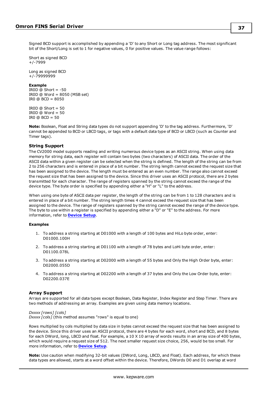Signed BCD support is accomplished by appending a 'D' to any Short or Long tag address. The most significant bit of the Short/Long is set to 1 for negative values, 0 for positive values. The value range follows:

Short as signed BCD +/-7999

Long as signed BCD +/-79999999

#### **Example**

IROD  $@$  Short =  $-50$ IR0D @ Word = 8050 (MSB set) IR0 @ BCD = 8050

IR0D  $@$  Short = 50 IROD  $@$  Word = 50 IR0 @ BCD = 50

**Note:** Boolean, Float and String data types do not support appending 'D' to the tag address. Furthermore, 'D' cannot be appended to BCD or LBCD tags, or tags with a default data type of BCD or LBCD (such as Counter and Timer tags).

# **String Support**

The CV2000 model supports reading and writing numerous device types as an ASCII string. When using data memory for string data, each register will contain two bytes (two characters) of ASCII data. The order of the ASCII data within a given register can be selected when the string is defined. The length of the string can be from 2 to 256 characters and is entered in place of a bit number. The string length cannot exceed the request size that has been assigned to the device. The length must be entered as an even number. The range also cannot exceed the request size that has been assigned to the device. Since this driver uses an ASCII protocol, there are 2 bytes transmitted for each character. The range of registers spanned by the string cannot exceed the range of the device type. The byte order is specified by appending either a "H" or "L" to the address.

When using one byte of ASCII data per register, the length of the string can be from 1 to 128 characters and is entered in place of a bit number. The string length times 4 cannot exceed the request size that has been assigned to the device. The range of registers spanned by the string cannot exceed the range of the device type. The byte to use within a register is specified by appending either a "D" or "E" to the address. For more information, refer to **[Device](#page-4-0) Setup**.

#### **Examples**

- 1. To address a string starting at D01000 with a length of 100 bytes and HiLo byte order, enter: D01000.100H
- 2. To address a string starting at D01100 with a length of 78 bytes and LoHi byte order, enter: D01100.078L
- 3. To address a string starting at D02000 with a length of 55 bytes and Only the High Order byte, enter: D02000.055D
- 4. To address a string starting at D02200 with a length of 37 bytes and Only the Low Order byte, enter: D02200.037E

# **Array Support**

Arrays are supported for all data types except Boolean, Data Register, Index Register and Step Timer. There are two methods of addressing an array. Examples are given using data memory locations.

#### *Dxxxx [rows] [cols]*

*Dxxxx [cols]* (this method assumes "rows" is equal to one)

Rows multiplied by cols multiplied by data size in bytes cannot exceed the request size that has been assigned to the device. Since this driver uses an ASCII protocol, there are 4 bytes for each word, short and BCD, and 8 bytes for each DWord, long, LBCD and float. For example, a 10 X 10 array of words results in an array size of 400 bytes, which would require a request size of 512. The next smaller request size choice, 256, would be too small. For more information, refer to **[Device](#page-4-0) Setup**.

**Note:** Use caution when modifying 32-bit values (DWord, Long, LBCD, and Float). Each address, for which these data types are allowed, starts at a word offset within the device. Therefore, DWords D0 and D1 overlap at word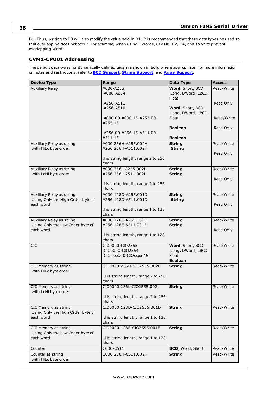D1. Thus, writing to D0 will also modify the value held in D1. It is recommended that these data types be used so that overlapping does not occur. For example, when using DWords, use D0, D2, D4, and so on to prevent overlapping Words.

# **CVM1-CPU01 Addressing**

| <b>Device Type</b>                                             | Range                                      | Data Type                              | <b>Access</b> |
|----------------------------------------------------------------|--------------------------------------------|----------------------------------------|---------------|
| <b>Auxiliary Relay</b>                                         | A000-A255                                  | Word, Short, BCD                       | Read/Write    |
|                                                                | A000-A254                                  | Long, DWord, LBCD,                     |               |
|                                                                |                                            | Float                                  |               |
|                                                                | A256-A511                                  |                                        | Read Only     |
|                                                                | A256-A510                                  | Word, Short, BCD<br>Long, DWord, LBCD, |               |
|                                                                | A000.00-A000.15-A255.00-                   | Float                                  | Read/Write    |
|                                                                | A255.15                                    |                                        |               |
|                                                                |                                            | <b>Boolean</b>                         | Read Only     |
|                                                                | A256.00-A256.15-A511.00-                   |                                        |               |
|                                                                | A511.15                                    | <b>Boolean</b>                         |               |
| Auxiliary Relay as string                                      | A000.256H-A255.002H                        | <b>String</b>                          | Read/Write    |
| with HiLo byte order                                           | A256.256H-A511.002H                        | <b>String</b>                          |               |
|                                                                |                                            |                                        | Read Only     |
|                                                                | .I is string length, range 2 to 256        |                                        |               |
|                                                                | chars                                      |                                        |               |
| Auxiliary Relay as string                                      | A000.256L-A255.002L                        | <b>String</b>                          | Read/Write    |
| with LoHi byte order                                           | A256.256L-A511.002L                        | <b>String</b>                          |               |
|                                                                |                                            |                                        | Read Only     |
|                                                                | .I is string length, range 2 to 256        |                                        |               |
|                                                                | chars                                      |                                        |               |
| Auxiliary Relay as string<br>Using Only the High Order byte of | A000.128D-A255.001D<br>A256.128D-A511.001D | <b>String</b>                          | Read/Write    |
| each word                                                      |                                            | <b>String</b>                          | Read Only     |
|                                                                | I is string length, range 1 to 128         |                                        |               |
|                                                                | chars                                      |                                        |               |
| Auxiliary Relay as string                                      | A000.128E-A255.001E                        | <b>String</b>                          | Read/Write    |
| Using Only the Low Order byte of                               | A256.128E-A511.001E                        | <b>String</b>                          |               |
| each word                                                      |                                            |                                        | Read Only     |
|                                                                | .I is string length, range 1 to 128        |                                        |               |
|                                                                | chars                                      |                                        |               |
| <b>CIO</b>                                                     | CIO0000-CIO2555                            | Word, Short, BCD                       | Read/Write    |
|                                                                | CIO0000-CIO2554                            | Long, DWord, LBCD,                     |               |
|                                                                | CIOxxxx.00-CIOxxxx.15                      | Float                                  |               |
|                                                                |                                            | <b>Boolean</b>                         |               |
| CIO Memory as string<br>with HiLo byte order                   | CIO0000.256H-CIO2555.002H                  | <b>String</b>                          | Read/Write    |
|                                                                | .I is string length, range 2 to 256        |                                        |               |
|                                                                | chars                                      |                                        |               |
| CIO Memory as string                                           | CIO0000.256L-CIO2555.002L                  | <b>String</b>                          | Read/Write    |
| with LoHi byte order                                           |                                            |                                        |               |
|                                                                | .I is string length, range 2 to 256        |                                        |               |
|                                                                | chars                                      |                                        |               |
| CIO Memory as string                                           | CIO0000.128D-CIO2555.001D                  | <b>String</b>                          | Read/Write    |
| Using Only the High Order byte of                              |                                            |                                        |               |
| each word                                                      | .I is string length, range 1 to 128        |                                        |               |
|                                                                | chars                                      |                                        |               |
| CIO Memory as string                                           | CIO0000.128E-CIO2555.001E                  | <b>String</b>                          | Read/Write    |
| Using Only the Low Order byte of                               |                                            |                                        |               |
| each word                                                      | .I is string length, range 1 to 128        |                                        |               |
|                                                                | chars                                      |                                        |               |
| Counter                                                        | C000-C511                                  | <b>BCD, Word, Short</b>                | Read/Write    |
| Counter as string                                              | C000.256H-C511.002H                        | <b>String</b>                          | Read/Write    |
| with HiLo byte order                                           |                                            |                                        |               |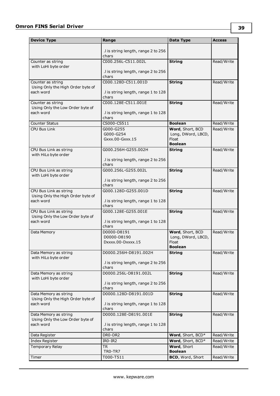| <b>Device Type</b>                             | Range                                        | Data Type               | <b>Access</b> |
|------------------------------------------------|----------------------------------------------|-------------------------|---------------|
|                                                | .I is string length, range 2 to 256          |                         |               |
|                                                | chars                                        |                         |               |
| Counter as string                              | C000.256L-C511.002L                          | <b>String</b>           | Read/Write    |
| with LoHi byte order                           | .I is string length, range 2 to 256          |                         |               |
|                                                | chars                                        |                         |               |
| Counter as string                              | C000.128D-C511.001D                          | <b>String</b>           | Read/Write    |
| Using Only the High Order byte of<br>each word |                                              |                         |               |
|                                                | .I is string length, range 1 to 128<br>chars |                         |               |
| Counter as string                              | C000.128E-C511.001E                          | <b>String</b>           | Read/Write    |
| Using Only the Low Order byte of               |                                              |                         |               |
| each word                                      | .I is string length, range 1 to 128<br>chars |                         |               |
| <b>Counter Status</b>                          | CS000-CS511                                  | <b>Boolean</b>          | Read/Write    |
| <b>CPU Bus Link</b>                            | G000-G255                                    | Word, Short, BCD        | Read/Write    |
|                                                | G000-G254                                    | Long, DWord, LBCD,      |               |
|                                                | Gxxx.00-Gxxx.15                              | Float<br><b>Boolean</b> |               |
| CPU Bus Link as string                         | G000.256H-G255.002H                          | <b>String</b>           | Read/Write    |
| with HiLo byte order                           |                                              |                         |               |
|                                                | .I is string length, range 2 to 256<br>chars |                         |               |
| CPU Bus Link as string                         | G000.256L-G255.002L                          | <b>String</b>           | Read/Write    |
| with LoHi byte order                           |                                              |                         |               |
|                                                | .I is string length, range 2 to 256<br>chars |                         |               |
| CPU Bus Link as string                         | G000.128D-G255.001D                          | <b>String</b>           | Read/Write    |
| Using Only the High Order byte of              |                                              |                         |               |
| each word                                      | .I is string length, range 1 to 128<br>chars |                         |               |
| CPU Bus Link as string                         | G000.128E-G255.001E                          | <b>String</b>           | Read/Write    |
| Using Only the Low Order byte of               |                                              |                         |               |
| each word                                      | .I is string length, range 1 to 128<br>chars |                         |               |
| Data Memory                                    | D0000-D8191                                  | Word, Short, BCD        | Read/Write    |
|                                                | D0000-D8190                                  | Long, DWord, LBCD,      |               |
|                                                | Dxxxx.00-Dxxxx.15                            | Float<br><b>Boolean</b> |               |
| Data Memory as string                          | D0000.256H-D8191.002H                        | <b>String</b>           | Read/Write    |
| with HiLo byte order                           |                                              |                         |               |
|                                                | .I is string length, range 2 to 256<br>chars |                         |               |
| Data Memory as string                          | D0000.256L-D8191.002L                        | <b>String</b>           | Read/Write    |
| with LoHi byte order                           |                                              |                         |               |
|                                                | .I is string length, range 2 to 256<br>chars |                         |               |
| Data Memory as string                          | D0000.128D-D8191.001D                        | <b>String</b>           | Read/Write    |
| Using Only the High Order byte of              |                                              |                         |               |
| each word                                      | .I is string length, range 1 to 128<br>chars |                         |               |
| Data Memory as string                          | D0000.128E-D8191.001E                        | <b>String</b>           | Read/Write    |
| Using Only the Low Order byte of               |                                              |                         |               |
| each word                                      | .I is string length, range 1 to 128          |                         |               |
| Data Register                                  | chars<br>DR0-DR2                             | Word, Short, BCD*       | Read/Write    |
| <b>Index Register</b>                          | IR0-IR2                                      | Word, Short, BCD*       | Read/Write    |
| Temporary Relay                                | TR                                           | Word, Short             | Read/Write    |
|                                                | TRO-TR7                                      | <b>Boolean</b>          |               |
| Timer                                          | T000-T511                                    | BCD, Word, Short        | Read/Write    |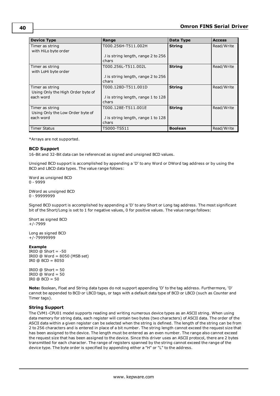| <b>Device Type</b>                                   | Range                                        | Data Type      | <b>Access</b> |
|------------------------------------------------------|----------------------------------------------|----------------|---------------|
| Timer as string<br>with HiLo byte order              | T000.256H-T511.002H                          | <b>String</b>  | Read/Write    |
|                                                      | .I is string length, range 2 to 256<br>chars |                |               |
| Timer as string<br>with LoHi byte order              | T000.256L-T511.002L                          | <b>String</b>  | Read/Write    |
|                                                      | .I is string length, range 2 to 256<br>chars |                |               |
| Timer as string<br>Using Only the High Order byte of | T000.128D-T511.001D                          | <b>String</b>  | Read/Write    |
| each word                                            | I is string length, range 1 to 128<br>chars  |                |               |
| Timer as string<br>Using Only the Low Order byte of  | T000.128E-T511.001E                          | <b>String</b>  | Read/Write    |
| each word                                            | I is string length, range 1 to 128<br>chars  |                |               |
| <b>Timer Status</b>                                  | TS000-TS511                                  | <b>Boolean</b> | Read/Write    |

<span id="page-39-0"></span>\*Arrays are not supported.

#### **BCD Support**

16-Bit and 32-Bit data can be referenced as signed and unsigned BCD values.

Unsigned BCD support is accomplished by appending a 'D' to any Word or DWord tag address or by using the BCD and LBCD data types. The value range follows:

Word as unsigned BCD 0 - 9999

DWord as unsigned BCD 0 - 99999999

Signed BCD support is accomplished by appending a 'D' to any Short or Long tag address. The most significant bit of the Short/Long is set to 1 for negative values, 0 for positive values. The value range follows:

Short as signed BCD +/-7999

Long as signed BCD +/-79999999

#### **Example**

IROD  $\ddot{\text{o}}$  Short = -50 IR0D @ Word = 8050 (MSB set) IR0 @ BCD = 8050

 $IROD @ Short = 50$  $IROD @ Word = 50$ IR0 @ BCD = 50

<span id="page-39-1"></span>**Note:** Boolean, Float and String data types do not support appending 'D' to the tag address. Furthermore, 'D' cannot be appended to BCD or LBCD tags, or tags with a default data type of BCD or LBCD (such as Counter and Timer tags).

#### **String Support**

The CVM1-CPU01 model supports reading and writing numerous device types as an ASCII string. When using data memory for string data, each register will contain two bytes (two characters) of ASCII data. The order of the ASCII data within a given register can be selected when the string is defined. The length of the string can be from 2 to 256 characters and is entered in place of a bit number. The string length cannot exceed the request size that has been assigned to the device. The length must be entered as an even number. The range also cannot exceed the request size that has been assigned to the device. Since this driver uses an ASCII protocol, there are 2 bytes transmitted for each character. The range of registers spanned by the string cannot exceed the range of the device type. The byte order is specified by appending either a "H" or "L" to the address.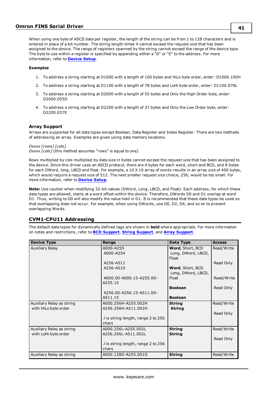# **Omron FINS Serial Driver**

When using one byte of ASCII data per register, the length of the string can be from 1 to 128 characters and is entered in place of a bit number. The string length times 4 cannot exceed the request size that has been assigned to the device. The range of registers spanned by the string cannot exceed the range of the device type. The byte to use within a register is specified by appending either a "D" or "E" to the address. For more information, refer to **[Device](#page-4-0) Setup**.

#### **Examples**

- 1. To address a string starting at D1000 with a length of 100 bytes and HiLo byte order, enter: D1000.100H
- 2. To address a string starting at D1100 with a length of 78 bytes and LoHi byte order, enter: D1100.078L
- 3. To address a string starting at D2000 with a length of 55 bytes and Only the High Order byte, enter: D2000.055D
- 4. To address a string starting at D2200 with a length of 37 bytes and Only the Low Order byte, enter: D2200.037E

#### <span id="page-40-0"></span>**Array Support**

Arrays are supported for all data types except Boolean, Data Register and Index Register. There are two methods of addressing an array. Examples are given using data memory locations.

*Dxxxx [rows] [cols]*

*Dxxxx [cols]* (this method assumes "rows" is equal to one)

Rows multiplied by cols multiplied by data size in bytes cannot exceed the request size that has been assigned to the device. Since this driver uses an ASCII protocol, there are 4 bytes for each word, short and BCD, and 8 bytes for each DWord, long, LBCD and float. For example, a 10 X 10 array of words results in an array size of 400 bytes, which would require a request size of 512. The next smaller request size choice, 256, would be too small. For more information, refer to **[Device](#page-4-0) Setup**.

**Note:** Use caution when modifying 32-bit values (DWord, Long, LBCD, and Float). Each address, for which these data types are allowed, starts at a word offset within the device. Therefore, DWords D0 and D1 overlap at word D1. Thus, writing to D0 will also modify the value held in D1. It is recommended that these data types be used so that overlapping does not occur. For example, when using DWords, use D0, D2, D4, and so on to prevent overlapping Words.

# **CVM1-CPU11 Addressing**

| <b>Device Type</b>        | Range                               | Data Type          | <b>Access</b> |
|---------------------------|-------------------------------------|--------------------|---------------|
| Auxiliary Relay           | A000-A255                           | Word, Short, BCD   | Read/Write    |
|                           | A000-A254                           | Long, DWord, LBCD, |               |
|                           |                                     | Float              |               |
|                           | A256-A511                           |                    | Read Only     |
|                           | A256-A510                           | Word, Short, BCD   |               |
|                           |                                     | Long, DWord, LBCD, |               |
|                           | A000.00-A000.15-A255.00-            | Float              | Read/Write    |
|                           | A255.15                             |                    |               |
|                           |                                     | <b>Boolean</b>     | Read Only     |
|                           | A256.00-A256.15-A511.00-            |                    |               |
|                           | A511.15                             | <b>Boolean</b>     |               |
| Auxiliary Relay as string | A000.256H-A255.002H                 | <b>String</b>      | Read/Write    |
| with HiLo byte order      | A256.256H-A511.002H                 | <b>String</b>      |               |
|                           |                                     |                    | Read Only     |
|                           | .I is string length, range 2 to 256 |                    |               |
|                           | chars                               |                    |               |
| Auxiliary Relay as string | A000.256L-A255.002L                 | <b>String</b>      | Read/Write    |
| with LoHi byte order      | A256.256L-A511.002L                 | <b>String</b>      |               |
|                           |                                     |                    | Read Only     |
|                           | .I is string length, range 2 to 256 |                    |               |
|                           | chars                               |                    |               |
| Auxiliary Relay as string | A000.128D-A255.001D                 | <b>String</b>      | Read/Write    |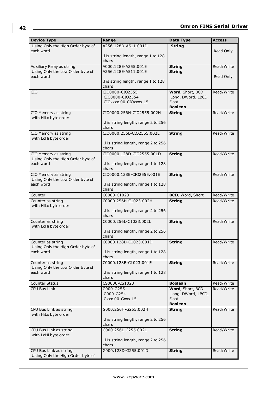| <b>Device Type</b>                | Range                                    | Data Type                              | <b>Access</b> |
|-----------------------------------|------------------------------------------|----------------------------------------|---------------|
| Using Only the High Order byte of | A256.128D-A511.001D                      | <b>String</b>                          |               |
| each word                         |                                          |                                        | Read Only     |
|                                   | .I is string length, range 1 to 128      |                                        |               |
|                                   | chars                                    |                                        |               |
| Auxiliary Relay as string         | A000.128E-A255.001E                      | <b>String</b>                          | Read/Write    |
| Using Only the Low Order byte of  | A256.128E-A511.001E                      | <b>String</b>                          |               |
| each word                         |                                          |                                        | Read Only     |
|                                   | .I is string length, range 1 to 128      |                                        |               |
|                                   | chars                                    |                                        |               |
| <b>CIO</b>                        | CIO0000-CIO2555                          | Word, Short, BCD                       | Read/Write    |
|                                   | CIO0000-CIO2554<br>CIOxxxx.00-CIOxxxx.15 | Long, DWord, LBCD,<br>Float            |               |
|                                   |                                          | <b>Boolean</b>                         |               |
| CIO Memory as string              | CIO0000.256H-CIO2555.002H                | <b>String</b>                          | Read/Write    |
| with HiLo byte order              |                                          |                                        |               |
|                                   | .I is string length, range 2 to 256      |                                        |               |
|                                   | chars                                    |                                        |               |
| CIO Memory as string              | CIO0000.256L-CIO2555.002L                | <b>String</b>                          | Read/Write    |
| with LoHi byte order              |                                          |                                        |               |
|                                   | .I is string length, range 2 to 256      |                                        |               |
|                                   | chars                                    |                                        |               |
| CIO Memory as string              | CIO0000.128D-CIO2555.001D                | <b>String</b>                          | Read/Write    |
| Using Only the High Order byte of |                                          |                                        |               |
| each word                         | .I is string length, range 1 to 128      |                                        |               |
|                                   | chars                                    |                                        |               |
| CIO Memory as string              | CIO0000.128E-CIO2555.001E                | <b>String</b>                          | Read/Write    |
| Using Only the Low Order byte of  |                                          |                                        |               |
| each word                         | .I is string length, range 1 to 128      |                                        |               |
|                                   | chars<br>C0000-C1023                     | BCD, Word, Short                       |               |
| Counter                           |                                          |                                        | Read/Write    |
| Counter as string                 | C0000.256H-C1023.002H                    | <b>String</b>                          | Read/Write    |
| with HiLo byte order              | .I is string length, range 2 to 256      |                                        |               |
|                                   | chars                                    |                                        |               |
| Counter as string                 | C0000.256L-C1023.002L                    | <b>String</b>                          | Read/Write    |
| with LoHi byte order              |                                          |                                        |               |
|                                   | .I is string length, range 2 to 256      |                                        |               |
|                                   | chars                                    |                                        |               |
| Counter as string                 | C0000.128D-C1023.001D                    | <b>String</b>                          | Read/Write    |
| Using Only the High Order byte of |                                          |                                        |               |
| each word                         | .I is string length, range 1 to 128      |                                        |               |
|                                   | chars                                    |                                        |               |
| Counter as string                 | C0000.128E-C1023.001E                    | <b>String</b>                          | Read/Write    |
| Using Only the Low Order byte of  |                                          |                                        |               |
| each word                         | .I is string length, range 1 to 128      |                                        |               |
|                                   | chars                                    |                                        |               |
| Counter Status                    | CS0000-CS1023                            | <b>Boolean</b>                         | Read/Write    |
| <b>CPU Bus Link</b>               | G000-G255<br>G000-G254                   | Word, Short, BCD<br>Long, DWord, LBCD, | Read/Write    |
|                                   | Gxxx.00-Gxxx.15                          | Float                                  |               |
|                                   |                                          | <b>Boolean</b>                         |               |
| CPU Bus Link as string            | G000.256H-G255.002H                      | <b>String</b>                          | Read/Write    |
| with HiLo byte order              |                                          |                                        |               |
|                                   | .I is string length, range 2 to 256      |                                        |               |
|                                   | chars                                    |                                        |               |
| CPU Bus Link as string            | G000.256L-G255.002L                      | <b>String</b>                          | Read/Write    |
| with LoHi byte order              |                                          |                                        |               |
|                                   | .I is string length, range 2 to 256      |                                        |               |
|                                   | chars                                    |                                        |               |
| CPU Bus Link as string            | G000.128D-G255.001D                      | <b>String</b>                          | Read/Write    |
| Using Only the High Order byte of |                                          |                                        |               |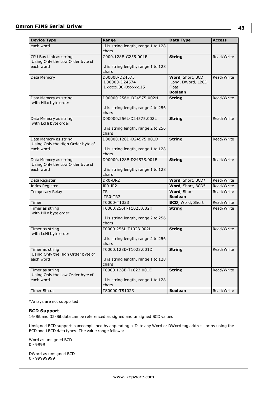# **Omron FINS Serial Driver**

| <b>Device Type</b>                                                      | Range                                                                   | Data Type                                                         | <b>Access</b> |
|-------------------------------------------------------------------------|-------------------------------------------------------------------------|-------------------------------------------------------------------|---------------|
| each word                                                               | .I is string length, range 1 to 128<br>chars                            |                                                                   |               |
| CPU Bus Link as string<br>Using Only the Low Order byte of<br>each word | G000.128E-G255.001E<br>.I is string length, range 1 to 128<br>chars     | <b>String</b>                                                     | Read/Write    |
| Data Memory                                                             | D00000-D24575<br>D00000-D24574<br>DXXXXX.00-DXXXXX.15                   | Word, Short, BCD<br>Long, DWord, LBCD,<br>Float<br><b>Boolean</b> | Read/Write    |
| Data Memory as string<br>with HiLo byte order                           | D00000.256H-D24575.002H<br>.I is string length, range 2 to 256<br>chars | <b>String</b>                                                     | Read/Write    |
| Data Memory as string<br>with LoHi byte order                           | D00000.256L-D24575.002L<br>.I is string length, range 2 to 256<br>chars | <b>String</b>                                                     | Read/Write    |
| Data Memory as string<br>Using Only the High Order byte of<br>each word | D00000.128D-D24575.001D<br>.I is string length, range 1 to 128<br>chars | <b>String</b>                                                     | Read/Write    |
| Data Memory as string<br>Using Only the Low Order byte of<br>each word  | D00000.128E-D24575.001E<br>.I is string length, range 1 to 128<br>chars | <b>String</b>                                                     | Read/Write    |
| Data Register                                                           | DR0-DR2                                                                 | Word, Short, BCD*                                                 | Read/Write    |
| Index Register                                                          | IRO-IR2                                                                 | Word, Short, BCD*                                                 | Read/Write    |
| Temporary Relay                                                         | TR<br>TRO-TR7                                                           | Word, Short<br><b>Boolean</b>                                     | Read/Write    |
| Timer                                                                   | T0000-T1023                                                             | BCD, Word, Short                                                  | Read/Write    |
| Timer as string<br>with HiLo byte order                                 | T0000.256H-T1023.002H<br>.I is string length, range 2 to 256<br>chars   | <b>String</b>                                                     | Read/Write    |
| Timer as string<br>with LoHi byte order                                 | T0000.256L-T1023.002L<br>.I is string length, range 2 to 256<br>chars   | <b>String</b>                                                     | Read/Write    |
| Timer as string<br>Using Only the High Order byte of<br>each word       | T0000.128D-T1023.001D<br>.I is string length, range 1 to 128<br>chars   | <b>String</b>                                                     | Read/Write    |
| Timer as string<br>Using Only the Low Order byte of<br>each word        | T0000.128E-T1023.001E<br>.I is string length, range 1 to 128<br>chars   | <b>String</b>                                                     | Read/Write    |
| <b>Timer Status</b>                                                     | TS0000-TS1023                                                           | <b>Boolean</b>                                                    | Read/Write    |

<span id="page-42-0"></span>\*Arrays are not supported.

### **BCD Support**

16-Bit and 32-Bit data can be referenced as signed and unsigned BCD values.

Unsigned BCD support is accomplished by appending a 'D' to any Word or DWord tag address or by using the BCD and LBCD data types. The value range follows:

Word as unsigned BCD 0 - 9999

DWord as unsigned BCD 0 - 99999999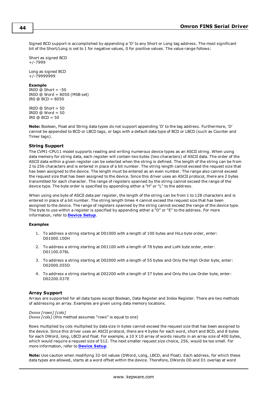Signed BCD support is accomplished by appending a 'D' to any Short or Long tag address. The most significant bit of the Short/Long is set to 1 for negative values, 0 for positive values. The value range follows:

Short as signed BCD +/-7999

Long as signed BCD +/-79999999

#### **Example**

IROD  $@$  Short =  $-50$ IR0D @ Word = 8050 (MSB set) IR0 @ BCD = 8050

IR0D  $@$  Short = 50 IROD  $@$  Word = 50 IRO  $@$  BCD = 50

<span id="page-43-0"></span>**Note:** Boolean, Float and String data types do not support appending 'D' to the tag address. Furthermore, 'D' cannot be appended to BCD or LBCD tags, or tags with a default data type of BCD or LBCD (such as Counter and Timer tags).

### **String Support**

The CVM1-CPU11 model supports reading and writing numerous device types as an ASCII string. When using data memory for string data, each register will contain two bytes (two characters) of ASCII data. The order of the ASCII data within a given register can be selected when the string is defined. The length of the string can be from 2 to 256 characters and is entered in place of a bit number. The string length cannot exceed the request size that has been assigned to the device. The length must be entered as an even number. The range also cannot exceed the request size that has been assigned to the device. Since this driver uses an ASCII protocol, there are 2 bytes transmitted for each character. The range of registers spanned by the string cannot exceed the range of the device type. The byte order is specified by appending either a "H" or "L" to the address.

When using one byte of ASCII data per register, the length of the string can be from 1 to 128 characters and is entered in place of a bit number. The string length times 4 cannot exceed the request size that has been assigned to the device. The range of registers spanned by the string cannot exceed the range of the device type. The byte to use within a register is specified by appending either a "D" or "E" to the address. For more information, refer to **[Device](#page-4-0) Setup**.

#### **Examples**

- 1. To address a string starting at D01000 with a length of 100 bytes and HiLo byte order, enter: D01000.100H
- 2. To address a string starting at D01100 with a length of 78 bytes and LoHi byte order, enter: D01100.078L
- 3. To address a string starting at D02000 with a length of 55 bytes and Only the High Order byte, enter: D02000.055D
- 4. To address a string starting at D02200 with a length of 37 bytes and Only the Low Order byte, enter: D02200.037E

#### <span id="page-43-1"></span>**Array Support**

Arrays are supported for all data types except Boolean, Data Register and Index Register. There are two methods of addressing an array. Examples are given using data memory locations.

#### *Dxxxx [rows] [cols]*

*Dxxxx [cols]* (this method assumes "rows" is equal to one)

Rows multiplied by cols multiplied by data size in bytes cannot exceed the request size that has been assigned to the device. Since this driver uses an ASCII protocol, there are 4 bytes for each word, short and BCD, and 8 bytes for each DWord, long, LBCD and float. For example, a 10 X 10 array of words results in an array size of 400 bytes, which would require a request size of 512. The next smaller request size choice, 256, would be too small. For more information, refer to **[Device](#page-4-0) Setup**.

**Note:** Use caution when modifying 32-bit values (DWord, Long, LBCD, and Float). Each address, for which these data types are allowed, starts at a word offset within the device. Therefore, DWords D0 and D1 overlap at word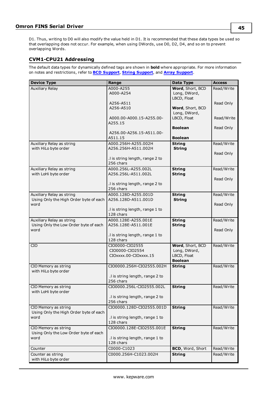D1. Thus, writing to D0 will also modify the value held in D1. It is recommended that these data types be used so that overlapping does not occur. For example, when using DWords, use D0, D2, D4, and so on to prevent overlapping Words.

# **CVM1-CPU21 Addressing**

| <b>Device Type</b>                                | Range                                        | Data Type                        | <b>Access</b> |
|---------------------------------------------------|----------------------------------------------|----------------------------------|---------------|
| <b>Auxiliary Relay</b>                            | A000-A255                                    | Word, Short, BCD                 | Read/Write    |
|                                                   | A000-A254                                    | Long, DWord,                     |               |
|                                                   |                                              | LBCD, Float                      |               |
|                                                   | A256-A511                                    |                                  | Read Only     |
|                                                   | A256-A510                                    | Word, Short, BCD<br>Long, DWord, |               |
|                                                   | A000.00-A000.15-A255.00-                     | LBCD, Float                      | Read/Write    |
|                                                   | A255.15                                      |                                  |               |
|                                                   |                                              | <b>Boolean</b>                   | Read Only     |
|                                                   | A256.00-A256.15-A511.00-                     |                                  |               |
|                                                   | A511.15                                      | <b>Boolean</b>                   |               |
| Auxiliary Relay as string                         | A000.256H-A255.002H                          | <b>String</b>                    | Read/Write    |
| with HiLo byte order                              | A256.256H-A511.002H                          | <b>String</b>                    |               |
|                                                   |                                              |                                  | Read Only     |
|                                                   | .I is string length, range 2 to              |                                  |               |
|                                                   | 256 chars                                    |                                  |               |
| Auxiliary Relay as string<br>with LoHi byte order | A000.256L-A255.002L<br>A256.256L-A511.002L   | <b>String</b><br><b>String</b>   | Read/Write    |
|                                                   |                                              |                                  | Read Only     |
|                                                   | .I is string length, range 2 to              |                                  |               |
|                                                   | 256 chars                                    |                                  |               |
| Auxiliary Relay as string                         | A000.128D-A255.001D                          | <b>String</b>                    | Read/Write    |
| Using Only the High Order byte of each            | A256.128D-A511.001D                          | <b>String</b>                    |               |
| word                                              |                                              |                                  | Read Only     |
|                                                   | .I is string length, range 1 to              |                                  |               |
|                                                   | 128 chars                                    |                                  |               |
| Auxiliary Relay as string                         | A000.128E-A255.001E                          | <b>String</b>                    | Read/Write    |
| Using Only the Low Order byte of each             | A256.128E-A511.001E                          | <b>String</b>                    |               |
| word                                              | .I is string length, range 1 to              |                                  | Read Only     |
|                                                   | 128 chars                                    |                                  |               |
| <b>CIO</b>                                        | CIO0000-CIO2555                              | Word, Short, BCD                 | Read/Write    |
|                                                   | CIO0000-CIO2554                              | Long, DWord,                     |               |
|                                                   | CIOxxxx.00-CIOxxxx.15                        | LBCD, Float                      |               |
|                                                   |                                              | <b>Boolean</b>                   |               |
| CIO Memory as string                              | CIO0000.256H-CIO2555.002H                    | <b>String</b>                    | Read/Write    |
| with HiLo byte order                              |                                              |                                  |               |
|                                                   | .I is string length, range 2 to<br>256 chars |                                  |               |
|                                                   |                                              |                                  |               |
| CIO Memory as string<br>with LoHi byte order      | CIO0000.256L-CIO2555.002L                    | <b>String</b>                    | Read/Write    |
|                                                   | .I is string length, range 2 to              |                                  |               |
|                                                   | 256 chars                                    |                                  |               |
| CIO Memory as string                              | CIO0000.128D-CIO2555.001D                    | <b>String</b>                    | Read/Write    |
| Using Only the High Order byte of each            |                                              |                                  |               |
| word                                              | .I is string length, range 1 to              |                                  |               |
|                                                   | 128 chars                                    |                                  |               |
| CIO Memory as string                              | CIO0000.128E-CIO2555.001E                    | <b>String</b>                    | Read/Write    |
| Using Only the Low Order byte of each             |                                              |                                  |               |
| word                                              | .I is string length, range 1 to              |                                  |               |
|                                                   | 128 chars                                    |                                  |               |
| Counter                                           | C0000-C1023                                  | BCD, Word, Short                 | Read/Write    |
| Counter as string                                 | C0000.256H-C1023.002H                        | <b>String</b>                    | Read/Write    |
| with HiLo byte order                              |                                              |                                  |               |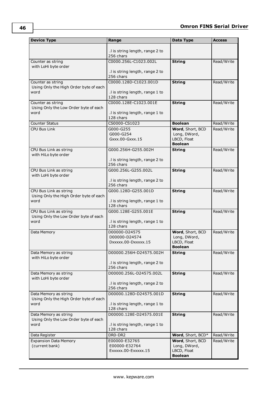| <b>Device Type</b>                                               | Range                                        | Data Type                     | <b>Access</b> |
|------------------------------------------------------------------|----------------------------------------------|-------------------------------|---------------|
|                                                                  |                                              |                               |               |
|                                                                  | .I is string length, range 2 to<br>256 chars |                               |               |
| Counter as string                                                | C0000.256L-C1023.002L                        | <b>String</b>                 | Read/Write    |
| with LoHi byte order                                             |                                              |                               |               |
|                                                                  | .I is string length, range 2 to              |                               |               |
|                                                                  | 256 chars                                    |                               |               |
| Counter as string<br>Using Only the High Order byte of each      | C0000.128D-C1023.001D                        | <b>String</b>                 | Read/Write    |
| word                                                             | .I is string length, range 1 to              |                               |               |
|                                                                  | 128 chars                                    |                               |               |
| Counter as string                                                | C0000.128E-C1023.001E                        | <b>String</b>                 | Read/Write    |
| Using Only the Low Order byte of each<br>word                    | I is string length, range 1 to               |                               |               |
|                                                                  | 128 chars                                    |                               |               |
| <b>Counter Status</b>                                            | CS0000-CS1023                                | <b>Boolean</b>                | Read/Write    |
| <b>CPU Bus Link</b>                                              | G000-G255                                    | Word, Short, BCD              | Read/Write    |
|                                                                  | G000-G254                                    | Long, DWord,                  |               |
|                                                                  | Gxxx.00-Gxxx.15                              | LBCD, Float<br><b>Boolean</b> |               |
| CPU Bus Link as string                                           | G000.256H-G255.002H                          | <b>String</b>                 | Read/Write    |
| with HiLo byte order                                             |                                              |                               |               |
|                                                                  | .I is string length, range 2 to              |                               |               |
| CPU Bus Link as string                                           | 256 chars<br>G000.256L-G255.002L             | <b>String</b>                 | Read/Write    |
| with LoHi byte order                                             |                                              |                               |               |
|                                                                  | .I is string length, range 2 to              |                               |               |
|                                                                  | 256 chars                                    |                               |               |
| CPU Bus Link as string<br>Using Only the High Order byte of each | G000.128D-G255.001D                          | <b>String</b>                 | Read/Write    |
| word                                                             | .I is string length, range 1 to              |                               |               |
|                                                                  | 128 chars                                    |                               |               |
| CPU Bus Link as string                                           | G000.128E-G255.001E                          | <b>String</b>                 | Read/Write    |
| Using Only the Low Order byte of each<br>word                    | .I is string length, range 1 to              |                               |               |
|                                                                  | 128 chars                                    |                               |               |
| Data Memory                                                      | D00000-D24575                                | Word, Short, BCD              | Read/Write    |
|                                                                  | D00000-D24574                                | Long, DWord,                  |               |
|                                                                  | DXXXXX.00-DXXXXX.15                          | LBCD, Float<br><b>Boolean</b> |               |
| Data Memory as string                                            | D00000.256H-D24575.002H                      | <b>String</b>                 | Read/Write    |
| with HiLo byte order                                             |                                              |                               |               |
|                                                                  | .I is string length, range 2 to              |                               |               |
|                                                                  | 256 chars<br>D00000.256L-D24575.002L         | <b>String</b>                 | Read/Write    |
| Data Memory as string<br>with LoHi byte order                    |                                              |                               |               |
|                                                                  | .I is string length, range 2 to              |                               |               |
|                                                                  | 256 chars                                    |                               |               |
| Data Memory as string<br>Using Only the High Order byte of each  | D00000.128D-D24575.001D                      | <b>String</b>                 | Read/Write    |
| word                                                             | .I is string length, range 1 to              |                               |               |
|                                                                  | 128 chars                                    |                               |               |
| Data Memory as string                                            | D00000.128E-D24575.001E                      | <b>String</b>                 | Read/Write    |
| Using Only the Low Order byte of each<br>word                    | .I is string length, range 1 to              |                               |               |
|                                                                  | 128 chars                                    |                               |               |
| Data Register                                                    | DR0-DR2                                      | Word, Short, BCD*             | Read/Write    |
| <b>Expansion Data Memory</b>                                     | E00000-E32765                                | Word, Short, BCD              | Read/Write    |
| (current bank)                                                   | E00000-E32764                                | Long, DWord,                  |               |
|                                                                  | Exxxxx.00-Exxxxx.15                          | LBCD, Float<br><b>Boolean</b> |               |
|                                                                  |                                              |                               |               |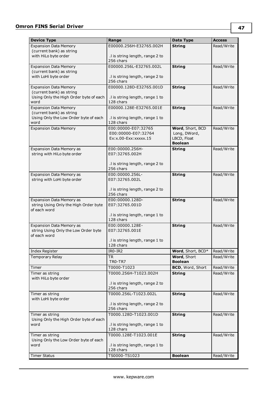| <b>Device Type</b>                                                 | Range                             | Data Type                     | Access     |
|--------------------------------------------------------------------|-----------------------------------|-------------------------------|------------|
| <b>Expansion Data Memory</b>                                       | E00000.256H-E32765.002H           | <b>String</b>                 | Read/Write |
| (current bank) as string                                           |                                   |                               |            |
| with HiLo byte order                                               | .I is string length, range 2 to   |                               |            |
|                                                                    | 256 chars                         |                               |            |
| <b>Expansion Data Memory</b>                                       | E00000.256L-E32765.002L           | <b>String</b>                 | Read/Write |
| (current bank) as string                                           |                                   |                               |            |
| with LoHi byte order                                               | .I is string length, range 2 to   |                               |            |
|                                                                    | 256 chars                         |                               |            |
| <b>Expansion Data Memory</b>                                       | E00000.128D-E32765.001D           | <b>String</b>                 | Read/Write |
| (current bank) as string<br>Using Only the High Order byte of each | .I is string length, range 1 to   |                               |            |
| word                                                               | 128 chars                         |                               |            |
| <b>Expansion Data Memory</b>                                       | E00000.128E-E32765.001E           | <b>String</b>                 | Read/Write |
| (current bank) as string                                           |                                   |                               |            |
| Using Only the Low Order byte of each                              | .I is string length, range 1 to   |                               |            |
| word                                                               | 128 chars                         |                               |            |
| <b>Expansion Data Memory</b>                                       | E00:00000-E07:32765               | Word, Short, BCD              | Read/Write |
|                                                                    | E00:00000-E07:32764               | Long, DWord,                  |            |
|                                                                    | $Ex:x.00-Exx:xxxxx.15$            | LBCD, Float                   |            |
|                                                                    |                                   | <b>Boolean</b>                |            |
| Expansion Data Memory as<br>string with HiLo byte order            | E00:00000.256H-<br>E07:32765.002H | <b>String</b>                 | Read/Write |
|                                                                    |                                   |                               |            |
|                                                                    | .I is string length, range 2 to   |                               |            |
|                                                                    | 256 chars                         |                               |            |
| Expansion Data Memory as                                           | E00:00000.256L-                   | <b>String</b>                 | Read/Write |
| string with LoHi byte order                                        | E07:32765.002L                    |                               |            |
|                                                                    |                                   |                               |            |
|                                                                    | .I is string length, range 2 to   |                               |            |
|                                                                    | 256 chars                         |                               |            |
| Expansion Data Memory as                                           | E00:00000.128D-<br>E07:32765.001D | <b>String</b>                 | Read/Write |
| string Using Only the High Order byte<br>of each word              |                                   |                               |            |
|                                                                    | .I is string length, range 1 to   |                               |            |
|                                                                    | 128 chars                         |                               |            |
| Expansion Data Memory as                                           | E00:00000.128E-                   | <b>String</b>                 | Read/Write |
| string Using Only the Low Order byte                               | E07:32765.001E                    |                               |            |
| of each word                                                       |                                   |                               |            |
|                                                                    | .I is string length, range 1 to   |                               |            |
|                                                                    | 128 chars                         |                               |            |
| Index Register                                                     | IR0-IR2                           | Word, Short, BCD*             | Read/Write |
| Temporary Relay                                                    | <b>TR</b><br>TRO-TR7              | Word, Short<br><b>Boolean</b> | Read/Write |
| Timer                                                              | T0000-T1023                       | BCD, Word, Short              | Read/Write |
| Timer as string                                                    | T0000.256H-T1023.002H             | <b>String</b>                 | Read/Write |
| with HiLo byte order                                               |                                   |                               |            |
|                                                                    | .I is string length, range 2 to   |                               |            |
|                                                                    | 256 chars                         |                               |            |
| Timer as string                                                    | T0000.256L-T1023.002L             | <b>String</b>                 | Read/Write |
| with LoHi byte order                                               |                                   |                               |            |
|                                                                    | .I is string length, range 2 to   |                               |            |
|                                                                    | 256 chars                         |                               |            |
| Timer as string                                                    | T0000.128D-T1023.001D             | <b>String</b>                 | Read/Write |
| Using Only the High Order byte of each<br>word                     | .I is string length, range 1 to   |                               |            |
|                                                                    | 128 chars                         |                               |            |
| Timer as string                                                    | T0000.128E-T1023.001E             | <b>String</b>                 | Read/Write |
| Using Only the Low Order byte of each                              |                                   |                               |            |
| word                                                               | .I is string length, range 1 to   |                               |            |
|                                                                    | 128 chars                         |                               |            |
| <b>Timer Status</b>                                                | TS0000-TS1023                     | <b>Boolean</b>                | Read/Write |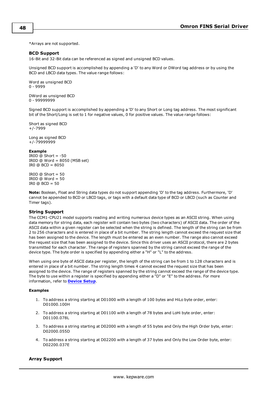<span id="page-47-0"></span>\*Arrays are not supported.

#### **BCD Support**

16-Bit and 32-Bit data can be referenced as signed and unsigned BCD values.

Unsigned BCD support is accomplished by appending a 'D' to any Word or DWord tag address or by using the BCD and LBCD data types. The value range follows:

Word as unsigned BCD 0 - 9999

DWord as unsigned BCD 0 - 99999999

Signed BCD support is accomplished by appending a 'D' to any Short or Long tag address. The most significant bit of the Short/Long is set to 1 for negative values, 0 for positive values. The value range follows:

Short as signed BCD +/-7999

Long as signed BCD +/-79999999

#### **Example**

IROD  $@$  Short = -50 IR0D @ Word = 8050 (MSB set) IR0 @ BCD = 8050

IR0D  $@$  Short = 50 IROD  $@$  Word = 50 IR0 @ BCD = 50

**Note:** Boolean, Float and String data types do not support appending 'D' to the tag address. Furthermore, 'D' cannot be appended to BCD or LBCD tags, or tags with a default data type of BCD or LBCD (such as Counter and Timer tags).

# <span id="page-47-1"></span>**String Support**

The CCM1-CPU21 model supports reading and writing numerous device types as an ASCII string. When using data memory for string data, each register will contain two bytes (two characters) of ASCII data. The order of the ASCII data within a given register can be selected when the string is defined. The length of the string can be from 2 to 256 characters and is entered in place of a bit number. The string length cannot exceed the request size that has been assigned to the device. The length must be entered as an even number. The range also cannot exceed the request size that has been assigned to the device. Since this driver uses an ASCII protocol, there are 2 bytes transmitted for each character. The range of registers spanned by the string cannot exceed the range of the device type. The byte order is specified by appending either a "H" or "L" to the address.

When using one byte of ASCII data per register, the length of the string can be from 1 to 128 characters and is entered in place of a bit number. The string length times 4 cannot exceed the request size that has been assigned to the device. The range of registers spanned by the string cannot exceed the range of the device type. The byte to use within a register is specified by appending either a "D" or "E" to the address. For more information, refer to **[Device](#page-4-0) Setup**.

#### **Examples**

- 1. To address a string starting at D01000 with a length of 100 bytes and HiLo byte order, enter: D01000.100H
- 2. To address a string starting at D01100 with a length of 78 bytes and LoHi byte order, enter: D01100.078L
- 3. To address a string starting at D02000 with a length of 55 bytes and Only the High Order byte, enter: D02000.055D
- 4. To address a string starting at D02200 with a length of 37 bytes and Only the Low Order byte, enter: D02200.037E

#### <span id="page-47-2"></span>**Array Support**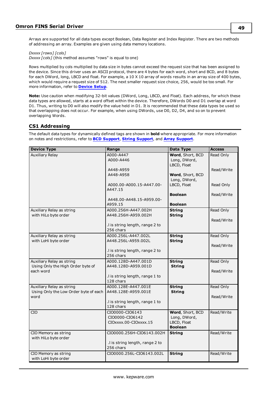Arrays are supported for all data types except Boolean, Data Register and Index Register. There are two methods of addressing an array. Examples are given using data memory locations.

*Dxxxx [rows] [cols]*

*Dxxxx [cols]* (this method assumes "rows" is equal to one)

Rows multiplied by cols multiplied by data size in bytes cannot exceed the request size that has been assigned to the device. Since this driver uses an ASCII protocol, there are 4 bytes for each word, short and BCD, and 8 bytes for each DWord, long, LBCD and float. For example, a 10 X 10 array of words results in an array size of 400 bytes, which would require a request size of 512. The next smaller request size choice, 256, would be too small. For more information, refer to **[Device](#page-4-0) Setup**.

**Note:** Use caution when modifying 32-bit values (DWord, Long, LBCD, and Float). Each address, for which these data types are allowed, starts at a word offset within the device. Therefore, DWords D0 and D1 overlap at word D1. Thus, writing to D0 will also modify the value held in D1. It is recommended that these data types be used so that overlapping does not occur. For example, when using DWords, use D0, D2, D4, and so on to prevent overlapping Words.

# **CS1 Addressing**

| <b>Device Type</b>                                                          | Range                                                                                      | Data Type                                                         | <b>Access</b>           |
|-----------------------------------------------------------------------------|--------------------------------------------------------------------------------------------|-------------------------------------------------------------------|-------------------------|
| <b>Auxiliary Relay</b>                                                      | A000-A447<br>A000-A446                                                                     | Word, Short, BCD<br>Long, DWord,<br>LBCD, Float                   | Read Only               |
|                                                                             | A448-A959<br>A448-A958                                                                     | Word, Short, BCD<br>Long, DWord,                                  | Read/Write              |
|                                                                             | A000.00-A000.15-A447.00-<br>A447.15                                                        | LBCD, Float                                                       | Read Only               |
|                                                                             | A448.00-A448.15-A959.00-<br>A959.15                                                        | <b>Boolean</b><br><b>Boolean</b>                                  | Read/Write              |
| Auxiliary Relay as string<br>with HiLo byte order                           | A000.256H-A447.002H<br>A448.256H-A959.002H<br>.I is string length, range 2 to<br>256 chars | <b>String</b><br><b>String</b>                                    | Read Only<br>Read/Write |
| Auxiliary Relay as string<br>with LoHi byte order                           | A000.256L-A447.002L<br>A448.256L-A959.002L<br>.I is string length, range 2 to<br>256 chars | <b>String</b><br><b>String</b>                                    | Read Only<br>Read/Write |
| Auxiliary Relay as string<br>Using Only the High Order byte of<br>each word | A000.128D-A447.001D<br>A448.128D-A959.001D<br>.I is string length, range 1 to<br>128 chars | <b>String</b><br><b>String</b>                                    | Read Only<br>Read/Write |
| Auxiliary Relay as string<br>Using Only the Low Order byte of each<br>word  | A000.128E-A447.001E<br>A448.128E-A959.001E<br>.I is string length, range 1 to<br>128 chars | <b>String</b><br><b>String</b>                                    | Read Only<br>Read/Write |
| <b>CIO</b>                                                                  | CIO0000-CIO6143<br>CIO0000-CIO6142<br>CIOXXXX.00-CIOXXXX.15                                | Word, Short, BCD<br>Long, DWord,<br>LBCD, Float<br><b>Boolean</b> | Read/Write              |
| CIO Memory as string<br>with HiLo byte order                                | CIO0000.256H-CIO6143.002H<br>.I is string length, range 2 to<br>256 chars                  | <b>String</b>                                                     | Read/Write              |
| CIO Memory as string<br>with LoHi byte order                                | CIO0000.256L-CIO6143.002L                                                                  | <b>String</b>                                                     | Read/Write              |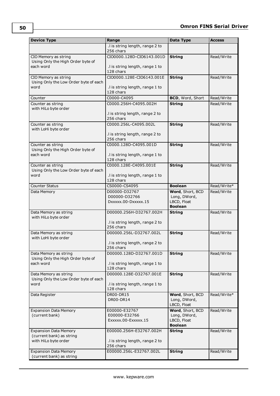| <b>Device Type</b>                                            | Range                                        | Data Type                        | <b>Access</b> |
|---------------------------------------------------------------|----------------------------------------------|----------------------------------|---------------|
|                                                               | .I is string length, range 2 to<br>256 chars |                                  |               |
| CIO Memory as string                                          | CIO0000.128D-CIO6143.001D                    | <b>String</b>                    | Read/Write    |
| Using Only the High Order byte of                             |                                              |                                  |               |
| each word                                                     | .I is string length, range 1 to              |                                  |               |
|                                                               | 128 chars                                    |                                  |               |
| CIO Memory as string<br>Using Only the Low Order byte of each | CIO0000.128E-CIO6143.001E                    | <b>String</b>                    | Read/Write    |
| word                                                          | .I is string length, range 1 to              |                                  |               |
|                                                               | 128 chars                                    |                                  |               |
| Counter                                                       | C0000-C4095                                  | BCD, Word, Short                 | Read/Write    |
| Counter as string                                             | C0000.256H-C4095.002H                        | <b>String</b>                    | Read/Write    |
| with HiLo byte order                                          | .I is string length, range 2 to              |                                  |               |
|                                                               | 256 chars                                    |                                  |               |
| Counter as string                                             | C0000.256L-C4095.002L                        | <b>String</b>                    | Read/Write    |
| with LoHi byte order                                          |                                              |                                  |               |
|                                                               | .I is string length, range 2 to              |                                  |               |
| Counter as string                                             | 256 chars<br>C0000.128D-C4095.001D           |                                  | Read/Write    |
| Using Only the High Order byte of                             |                                              | <b>String</b>                    |               |
| each word                                                     | .I is string length, range 1 to              |                                  |               |
|                                                               | 128 chars                                    |                                  |               |
| Counter as string                                             | C0000.128E-C4095.001E                        | <b>String</b>                    | Read/Write    |
| Using Only the Low Order byte of each<br>word                 | .I is string length, range 1 to              |                                  |               |
|                                                               | 128 chars                                    |                                  |               |
| <b>Counter Status</b>                                         | CS0000-CS4095                                | <b>Boolean</b>                   | Read/Write*   |
| Data Memory                                                   | D00000-D32767                                | Word, Short, BCD                 | Read/Write    |
|                                                               | D00000-D32766                                | Long, DWord,                     |               |
|                                                               | DXXXXX.00-DXXXXX.15                          | LBCD, Float<br><b>Boolean</b>    |               |
| Data Memory as string                                         | D00000.256H-D32767.002H                      | <b>String</b>                    | Read/Write    |
| with HiLo byte order                                          |                                              |                                  |               |
|                                                               | .I is string length, range 2 to              |                                  |               |
| Data Memory as string                                         | 256 chars<br>D00000.256L-D32767.002L         | <b>String</b>                    | Read/Write    |
| with LoHi byte order                                          |                                              |                                  |               |
|                                                               | .I is string length, range 2 to              |                                  |               |
|                                                               | 256 chars                                    |                                  |               |
| Data Memory as string<br>Using Only the High Order byte of    | D00000.128D-D32767.001D                      | <b>String</b>                    | Read/Write    |
| each word                                                     | .I is string length, range 1 to              |                                  |               |
|                                                               | 128 chars                                    |                                  |               |
| Data Memory as string                                         | D00000.128E-D32767.001E                      | <b>String</b>                    | Read/Write    |
| Using Only the Low Order byte of each<br>word                 | .I is string length, range 1 to              |                                  |               |
|                                                               | 128 chars                                    |                                  |               |
| Data Register                                                 | DR00-DR15                                    | Word, Short, BCD                 | Read/Write*   |
|                                                               | DR00-DR14                                    | Long, DWord,                     |               |
|                                                               |                                              | LBCD, Float                      |               |
| <b>Expansion Data Memory</b>                                  | E00000-E32767<br>E00000-E32766               | Word, Short, BCD<br>Long, DWord, | Read/Write    |
| (current bank)                                                | Exxxxx.00-Exxxxx.15                          | LBCD, Float                      |               |
|                                                               |                                              | <b>Boolean</b>                   |               |
| <b>Expansion Data Memory</b>                                  | E00000.256H-E32767.002H                      | <b>String</b>                    | Read/Write    |
| (current bank) as string                                      |                                              |                                  |               |
| with HiLo byte order                                          | .I is string length, range 2 to<br>256 chars |                                  |               |
| <b>Expansion Data Memory</b>                                  | E00000.256L-E32767.002L                      | <b>String</b>                    | Read/Write    |
| (current bank) as string                                      |                                              |                                  |               |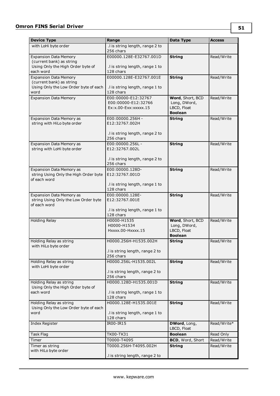| <b>Device Type</b>                                                               | Range                                                                 | Data Type                                                         | <b>Access</b> |
|----------------------------------------------------------------------------------|-----------------------------------------------------------------------|-------------------------------------------------------------------|---------------|
| with LoHi byte order                                                             | .I is string length, range 2 to                                       |                                                                   |               |
|                                                                                  | 256 chars                                                             |                                                                   |               |
| <b>Expansion Data Memory</b><br>(current bank) as string                         | E00000.128E-E32767.001D                                               | <b>String</b>                                                     | Read/Write    |
| Using Only the High Order byte of<br>each word                                   | .I is string length, range 1 to<br>128 chars                          |                                                                   |               |
| <b>Expansion Data Memory</b>                                                     | E00000.128E-E32767.001E                                               | <b>String</b>                                                     | Read/Write    |
| (current bank) as string                                                         |                                                                       |                                                                   |               |
| Using Only the Low Order byte of each<br>word                                    | .I is string length, range 1 to<br>128 chars                          |                                                                   |               |
| <b>Expansion Data Memory</b>                                                     | E00:00000-E12:32767<br>E00:00000-E12:32766<br>Ex:x.00-Exx:xxxxx.15    | Word, Short, BCD<br>Long, DWord,<br>LBCD, Float<br><b>Boolean</b> | Read/Write    |
| Expansion Data Memory as<br>string with HiLo byte order                          | E00:00000.256H -<br>E12:32767.002H<br>.I is string length, range 2 to | <b>String</b>                                                     | Read/Write    |
|                                                                                  | 256 chars                                                             |                                                                   |               |
| Expansion Data Memory as<br>string with LoHi byte order                          | E00:00000.256L -<br>E12:32767.002L                                    | <b>String</b>                                                     | Read/Write    |
|                                                                                  | .I is string length, range 2 to<br>256 chars                          |                                                                   |               |
| Expansion Data Memory as                                                         | E00:00000.128D-                                                       | <b>String</b>                                                     | Read/Write    |
| string Using Only the High Order byte<br>of each word                            | E12:32767.001D                                                        |                                                                   |               |
|                                                                                  | .I is string length, range 1 to<br>128 chars                          |                                                                   |               |
| Expansion Data Memory as<br>string Using Only the Low Order byte<br>of each word | E00:00000.128E-<br>E12:32767.001E                                     | <b>String</b>                                                     | Read/Write    |
|                                                                                  | .I is string length, range 1 to<br>128 chars                          |                                                                   |               |
| <b>Holding Relay</b>                                                             | H0000-H1535                                                           | Word, Short, BCD                                                  | Read/Write    |
|                                                                                  | H0000-H1534<br>Hxxxx.00-Hxxxx.15                                      | Long, DWord,<br>LBCD, Float<br><b>Boolean</b>                     |               |
| Holding Relay as string<br>with HiLo byte order                                  | H0000.256H-H1535.002H                                                 | <b>String</b>                                                     | Read/Write    |
|                                                                                  | .I is string length, range 2 to<br>256 chars                          |                                                                   |               |
| Holding Relay as string<br>with LoHi byte order                                  | H0000.256L-H1535.002L                                                 | <b>String</b>                                                     | Read/Write    |
|                                                                                  | .I is string length, range 2 to<br>256 chars                          |                                                                   |               |
| Holding Relay as string                                                          | H0000.128D-H1535.001D                                                 | <b>String</b>                                                     | Read/Write    |
| Using Only the High Order byte of<br>each word                                   | .I is string length, range 1 to<br>128 chars                          |                                                                   |               |
| Holding Relay as string                                                          | H0000.128E-H1535.001E                                                 | <b>String</b>                                                     | Read/Write    |
| Using Only the Low Order byte of each<br>word                                    | .I is string length, range 1 to<br>128 chars                          |                                                                   |               |
| Index Register                                                                   | IR00-IR15                                                             | DWord, Long,<br>LBCD, Float                                       | Read/Write*   |
| Task Flag                                                                        | TK00-TK31                                                             | <b>Boolean</b>                                                    | Read Only     |
| Timer                                                                            | T0000-T4095                                                           | BCD, Word, Short                                                  | Read/Write    |
| Timer as string                                                                  | T0000.256H-T4095.002H                                                 | <b>String</b>                                                     | Read/Write    |
| with HiLo byte order                                                             | .I is string length, range 2 to                                       |                                                                   |               |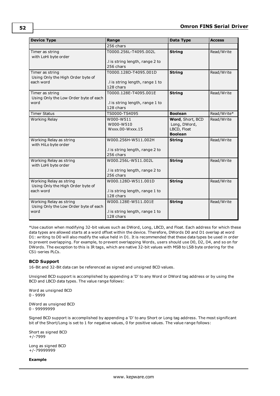| <b>Device Type</b>                                                        | Range                                                                 | Data Type                                                         | <b>Access</b> |  |
|---------------------------------------------------------------------------|-----------------------------------------------------------------------|-------------------------------------------------------------------|---------------|--|
|                                                                           | 256 chars                                                             |                                                                   |               |  |
| Timer as string<br>with LoHi byte order                                   | T0000.256L-T4095.002L<br>.I is string length, range 2 to<br>256 chars | <b>String</b>                                                     | Read/Write    |  |
| Timer as string<br>Using Only the High Order byte of<br>each word         | T0000.128D-T4095.001D<br>.I is string length, range 1 to<br>128 chars | <b>String</b>                                                     | Read/Write    |  |
| Timer as string<br>Using Only the Low Order byte of each<br>word          | T0000.128E-T4095.001E<br>.I is string length, range 1 to<br>128 chars | <b>String</b>                                                     | Read/Write    |  |
| <b>Timer Status</b>                                                       | TS0000-TS4095                                                         | <b>Boolean</b>                                                    | Read/Write*   |  |
| Working Relay                                                             | W000-W511<br>W000-W510<br>Wxxx.00-Wxxx.15                             | Word, Short, BCD<br>Long, DWord,<br>LBCD, Float<br><b>Boolean</b> | Read/Write    |  |
| Working Relay as string<br>with HiLo byte order                           | W000.256H-W511.002H<br>.I is string length, range 2 to<br>256 chars   | <b>String</b>                                                     | Read/Write    |  |
| Working Relay as string<br>with LoHi byte order                           | W000.256L-W511.002L<br>.I is string length, range 2 to<br>256 chars   | <b>String</b>                                                     | Read/Write    |  |
| Working Relay as string<br>Using Only the High Order byte of<br>each word | W000.128D-W511.001D<br>.I is string length, range 1 to<br>128 chars   | <b>String</b>                                                     | Read/Write    |  |
| Working Relay as string<br>Using Only the Low Order byte of each<br>word  | W000.128E-W511.001E<br>.I is string length, range 1 to<br>128 chars   | <b>String</b>                                                     | Read/Write    |  |

\*Use caution when modifying 32-bit values such as DWord, Long, LBCD, and Float. Each address for which these data types are allowed starts at a word offset within the device. Therefore, DWords D0 and D1 overlap at word D1: writing to D0 will also modify the value held in D1. It is recommended that these data types be used in order to prevent overlapping. For example, to prevent overlapping Words, users should use D0, D2, D4, and so on for DWords. The exception to this is IR tags, which are native 32-bit values with MSB to LSB byte ordering for the CS1-series PLCs.

# <span id="page-51-0"></span>**BCD Support**

16-Bit and 32-Bit data can be referenced as signed and unsigned BCD values.

Unsigned BCD support is accomplished by appending a 'D' to any Word or DWord tag address or by using the BCD and LBCD data types. The value range follows:

Word as unsigned BCD 0 - 9999

DWord as unsigned BCD 0 - 99999999

Signed BCD support is accomplished by appending a 'D' to any Short or Long tag address. The most significant bit of the Short/Long is set to 1 for negative values, 0 for positive values. The value range follows:

Short as signed BCD +/-7999

Long as signed BCD +/-79999999

**Example**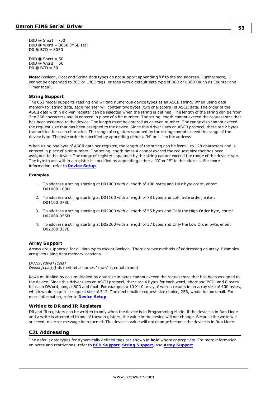D0D  $@$  Short =  $-50$ D0D @ Word = 8050 (MSB set)  $D0 @ BCD = 8050$ 

 $DOD @ Short = 50$ D0D @ Word = 50 D0 @ BCD = 50

**Note:** Boolean, Float and String data types do not support appending 'D' to the tag address. Furthermore, 'D' cannot be appended to BCD or LBCD tags, or tags with a default data type of BCD or LBCD (such as Counter and Timer tags).

# <span id="page-52-0"></span>**String Support**

The CS1 model supports reading and writing numerous device types as an ASCII string. When using data memory for string data, each register will contain two bytes (two characters) of ASCII data. The order of the ASCII data within a given register can be selected when the string is defined. The length of the string can be from 2 to 256 characters and is entered in place of a bit number. The string length cannot exceed the request size that has been assigned to the device. The length must be entered as an even number. The range also cannot exceed the request size that has been assigned to the device. Since this driver uses an ASCII protocol, there are 2 bytes transmitted for each character. The range of registers spanned by the string cannot exceed the range of the device type. The byte order is specified by appending either a "H" or "L" to the address.

When using one byte of ASCII data per register, the length of the string can be from 1 to 128 characters and is entered in place of a bit number. The string length times 4 cannot exceed the request size that has been assigned to the device. The range of registers spanned by the string cannot exceed the range of the device type. The byte to use within a register is specified by appending either a "D" or "E" to the address. For more information, refer to **[Device](#page-4-0) Setup**.

#### **Examples**

- 1. To address a string starting at D01000 with a length of 100 bytes and HiLo byte order, enter: D01000.100H
- 2. To address a string starting at D01100 with a length of 78 bytes and LoHi byte order, enter: D01100.078L
- 3. To address a string starting at D02000 with a length of 55 bytes and Only the High Order byte, enter: D02000.055D
- 4. To address a string starting at D02200 with a length of 37 bytes and Only the Low Order byte, enter: D02200.037E

#### <span id="page-52-1"></span>**Array Support**

Arrays are supported for all data types except Boolean. There are two methods of addressing an array. Examples are given using data memory locations.

*Dxxxx [rows] [cols] Dxxxx [cols]* (this method assumes "rows" is equal to one)

Rows multiplied by cols multiplied by data size in bytes cannot exceed the request size that has been assigned to the device. Since this driver uses an ASCII protocol, there are 4 bytes for each word, short and BCD, and 8 bytes for each DWord, long, LBCD and float. For example, a 10 X 10 array of words results in an array size of 400 bytes, which would require a request size of 512. The next smaller request size choice, 256, would be too small. For more information, refer to **[Device](#page-4-0) Setup**.

#### **Writing to DR and IR Registers**

DR and IR registers can be written to only when the device is in Programming Mode. If the device is in Run Mode and a write is attempted to one of these registers, the value in the device will not change. Because the write will succeed, no error message be returned. The device's value will not change because the device is in Run Mode.

# **CJ1 Addressing**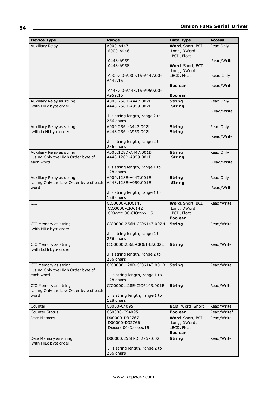| <b>Device Type</b>                             | Range                                        | Data Type               | <b>Access</b> |
|------------------------------------------------|----------------------------------------------|-------------------------|---------------|
| <b>Auxiliary Relay</b>                         | A000-A447                                    | Word, Short, BCD        | Read Only     |
|                                                | A000-A446                                    | Long, DWord,            |               |
|                                                | A448-A959                                    | LBCD, Float             | Read/Write    |
|                                                | A448-A958                                    | Word, Short, BCD        |               |
|                                                |                                              | Long, DWord,            |               |
|                                                | A000.00-A000.15-A447.00-                     | LBCD, Float             | Read Only     |
|                                                | A447.15                                      |                         |               |
|                                                | A448.00-A448.15-A959.00-                     | <b>Boolean</b>          | Read/Write    |
|                                                | A959.15                                      | <b>Boolean</b>          |               |
| Auxiliary Relay as string                      | A000.256H-A447.002H                          | <b>String</b>           | Read Only     |
| with HiLo byte order                           | A448.256H-A959.002H                          | <b>String</b>           |               |
|                                                |                                              |                         | Read/Write    |
|                                                | .I is string length, range 2 to              |                         |               |
| Auxiliary Relay as string                      | 256 chars<br>A000.256L-A447.002L             | <b>String</b>           | Read Only     |
| with LoHi byte order                           | A448.256L-A959.002L                          | <b>String</b>           |               |
|                                                |                                              |                         | Read/Write    |
|                                                | .I is string length, range 2 to              |                         |               |
|                                                | 256 chars                                    |                         |               |
| Auxiliary Relay as string                      | A000.128D-A447.001D                          | <b>String</b>           | Read Only     |
| Using Only the High Order byte of<br>each word | A448.128D-A959.001D                          | <b>String</b>           | Read/Write    |
|                                                | .I is string length, range 1 to              |                         |               |
|                                                | 128 chars                                    |                         |               |
| Auxiliary Relay as string                      | A000.128E-A447.001E                          | <b>String</b>           | Read Only     |
| Using Only the Low Order byte of each          | A448.128E-A959.001E                          | <b>String</b>           |               |
| word                                           |                                              |                         | Read/Write    |
|                                                | .I is string length, range 1 to<br>128 chars |                         |               |
| <b>CIO</b>                                     | CIO0000-CIO6143                              | Word, Short, BCD        | Read/Write    |
|                                                | CIO0000-CIO6142                              | Long, DWord,            |               |
|                                                | CIOxxxx.00-CIOxxxx.15                        | LBCD, Float             |               |
|                                                |                                              | <b>Boolean</b>          |               |
| CIO Memory as string<br>with HiLo byte order   | CIO0000.256H-CIO6143.002H                    | <b>String</b>           | Read/Write    |
|                                                | .I is string length, range 2 to              |                         |               |
|                                                | 256 chars                                    |                         |               |
| CIO Memory as string                           | CIO0000.256L-CIO6143.002L                    | <b>String</b>           | Read/Write    |
| with LoHi byte order                           |                                              |                         |               |
|                                                | .I is string length, range 2 to<br>256 chars |                         |               |
| CIO Memory as string                           | CIO0000.128D-CIO6143.001D                    | <b>String</b>           | Read/Write    |
| Using Only the High Order byte of              |                                              |                         |               |
| each word                                      | .I is string length, range 1 to              |                         |               |
|                                                | 128 chars                                    |                         |               |
| CIO Memory as string                           | CIO0000.128E-CIO6143.001E                    | <b>String</b>           | Read/Write    |
| Using Only the Low Order byte of each          | .I is string length, range 1 to              |                         |               |
| word                                           | 128 chars                                    |                         |               |
| Counter                                        | C0000-C4095                                  | <b>BCD, Word, Short</b> | Read/Write    |
| Counter Status                                 | CS0000-CS4095                                | <b>Boolean</b>          | Read/Write*   |
| Data Memory                                    | D00000-D32767                                | Word, Short, BCD        | Read/Write    |
|                                                | D00000-D32766                                | Long, DWord,            |               |
|                                                | DXXXX.00-DXXXXX.15                           | LBCD, Float             |               |
|                                                |                                              | <b>Boolean</b>          |               |
| Data Memory as string<br>with HiLo byte order  | D00000.256H-D32767.002H                      | <b>String</b>           | Read/Write    |
|                                                | .I is string length, range 2 to              |                         |               |
|                                                | 256 chars                                    |                         |               |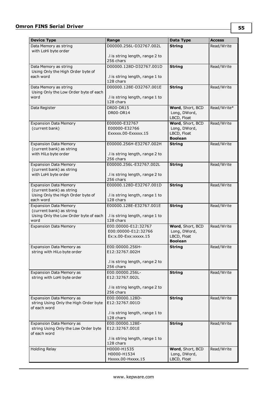| <b>Device Type</b>                                             | Range                                        | Data Type                   | Access      |
|----------------------------------------------------------------|----------------------------------------------|-----------------------------|-------------|
| Data Memory as string                                          | D00000.256L-D32767.002L                      | <b>String</b>               | Read/Write  |
| with LoHi byte order                                           |                                              |                             |             |
|                                                                | .I is string length, range 2 to<br>256 chars |                             |             |
| Data Memory as string                                          | D00000.128D-D32767.001D                      | <b>String</b>               | Read/Write  |
| Using Only the High Order byte of                              |                                              |                             |             |
| each word                                                      | .I is string length, range 1 to              |                             |             |
|                                                                | 128 chars                                    |                             |             |
| Data Memory as string<br>Using Only the Low Order byte of each | D00000.128E-D32767.001E                      | <b>String</b>               | Read/Write  |
| word                                                           | .I is string length, range 1 to              |                             |             |
|                                                                | 128 chars                                    |                             |             |
| Data Register                                                  | <b>DR00-DR15</b>                             | Word, Short, BCD            | Read/Write* |
|                                                                | DR00-DR14                                    | Long, DWord,<br>LBCD, Float |             |
| <b>Expansion Data Memory</b>                                   | E00000-E32767                                | Word, Short, BCD            | Read/Write  |
| (current bank)                                                 | E00000-E32766                                | Long, DWord,                |             |
|                                                                | Exxxxx.00-Exxxxx.15                          | LBCD, Float                 |             |
|                                                                |                                              | <b>Boolean</b>              |             |
| <b>Expansion Data Memory</b><br>(current bank) as string       | E00000.256H-E32767.002H                      | <b>String</b>               | Read/Write  |
| with HiLo byte order                                           | .I is string length, range 2 to              |                             |             |
|                                                                | 256 chars                                    |                             |             |
| <b>Expansion Data Memory</b>                                   | E00000.256L-E32767.002L                      | <b>String</b>               | Read/Write  |
| (current bank) as string                                       |                                              |                             |             |
| with LoHi byte order                                           | .I is string length, range 2 to<br>256 chars |                             |             |
| <b>Expansion Data Memory</b>                                   | E00000.128D-E32767.001D                      | <b>String</b>               | Read/Write  |
| (current bank) as string                                       |                                              |                             |             |
| Using Only the High Order byte of                              | .I is string length, range 1 to              |                             |             |
| each word                                                      | 128 chars                                    |                             |             |
| <b>Expansion Data Memory</b><br>(current bank) as string       | E00000.128E-E32767.001E                      | <b>String</b>               | Read/Write  |
| Using Only the Low Order byte of each                          | .I is string length, range 1 to              |                             |             |
| word                                                           | 128 chars                                    |                             |             |
| <b>Expansion Data Memory</b>                                   | E00:00000-E12:32767                          | Word, Short, BCD            | Read/Write  |
|                                                                | E00:00000-E12:32766<br>Ex:x.00-Exx:xxxxx.15  | Long, DWord,<br>LBCD, Float |             |
|                                                                |                                              | <b>Boolean</b>              |             |
| <b>Expansion Data Memory as</b>                                | E00:00000.256H-                              | <b>String</b>               | Read/Write  |
| string with HiLo byte order                                    | E12:32767.002H                               |                             |             |
|                                                                | .I is string length, range 2 to              |                             |             |
|                                                                | 256 chars                                    |                             |             |
| Expansion Data Memory as                                       | E00:00000.256L-                              | <b>String</b>               | Read/Write  |
| string with LoHi byte order                                    | E12:32767.002L                               |                             |             |
|                                                                |                                              |                             |             |
|                                                                | .I is string length, range 2 to<br>256 chars |                             |             |
| Expansion Data Memory as                                       | E00:00000.128D-                              | <b>String</b>               | Read/Write  |
| string Using Only the High Order byte                          | E12:32767.001D                               |                             |             |
| of each word                                                   |                                              |                             |             |
|                                                                | .I is string length, range 1 to<br>128 chars |                             |             |
| <b>Expansion Data Memory as</b>                                | E00:00000.128E-                              | <b>String</b>               | Read/Write  |
| string Using Only the Low Order byte                           | E12:32767.001E                               |                             |             |
| of each word                                                   |                                              |                             |             |
|                                                                | .I is string length, range 1 to<br>128 chars |                             |             |
| <b>Holding Relay</b>                                           | H0000-H1535                                  | Word, Short, BCD            | Read/Write  |
|                                                                | H0000-H1534                                  | Long, DWord,                |             |
|                                                                | Hxxxx.00-Hxxxx.15                            | LBCD, Float                 |             |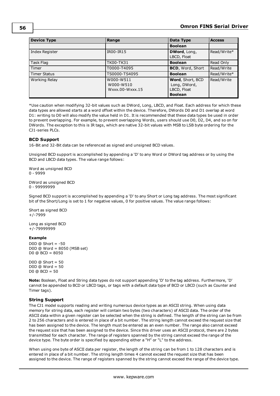| <b>Device Type</b>  | Range                                     | Data Type                                                         | <b>Access</b> |
|---------------------|-------------------------------------------|-------------------------------------------------------------------|---------------|
|                     |                                           | <b>Boolean</b>                                                    |               |
| Index Register      | IR00-IR15                                 | DWord, Long,<br>LBCD, Float                                       | Read/Write*   |
| Task Flag           | <b>TK00-TK31</b>                          | <b>Boolean</b>                                                    | Read Only     |
| Timer               | T0000-T4095                               | <b>BCD, Word, Short</b>                                           | Read/Write    |
| <b>Timer Status</b> | TS0000-TS4095                             | <b>Boolean</b>                                                    | Read/Write*   |
| Working Relay       | W000-W511<br>W000-W510<br>Wxxx.00-Wxxx.15 | Word, Short, BCD<br>Long, DWord,<br>LBCD, Float<br><b>Boolean</b> | Read/Write    |

\*Use caution when modifying 32-bit values such as DWord, Long, LBCD, and Float. Each address for which these data types are allowed starts at a word offset within the device. Therefore, DWords D0 and D1 overlap at word D1: writing to D0 will also modify the value held in D1. It is recommended that these data types be used in order to prevent overlapping. For example, to prevent overlapping Words, users should use D0, D2, D4, and so on for DWords. The exception to this is IR tags, which are native 32-bit values with MSB to LSB byte ordering for the CJ1-series PLCs.

# <span id="page-55-0"></span>**BCD Support**

16-Bit and 32-Bit data can be referenced as signed and unsigned BCD values.

Unsigned BCD support is accomplished by appending a 'D' to any Word or DWord tag address or by using the BCD and LBCD data types. The value range follows:

Word as unsigned BCD 0 - 9999

DWord as unsigned BCD 0 - 99999999

Signed BCD support is accomplished by appending a 'D' to any Short or Long tag address. The most significant bit of the Short/Long is set to 1 for negative values, 0 for positive values. The value range follows:

Short as signed BCD +/-7999

Long as signed BCD +/-79999999

# **Example**

D0D  $@$  Short =  $-50$ D0D @ Word = 8050 (MSB set) D0 @ BCD = 8050

D0D  $@$  Short = 50 D0D @ Word = 50 D0  $@$  BCD = 50

**Note:** Boolean, Float and String data types do not support appending 'D' to the tag address. Furthermore, 'D' cannot be appended to BCD or LBCD tags, or tags with a default data type of BCD or LBCD (such as Counter and Timer tags).

# <span id="page-55-1"></span>**String Support**

The CJ1 model supports reading and writing numerous device types as an ASCII string. When using data memory for string data, each register will contain two bytes (two characters) of ASCII data. The order of the ASCII data within a given register can be selected when the string is defined. The length of the string can be from 2 to 256 characters and is entered in place of a bit number. The string length cannot exceed the request size that has been assigned to the device. The length must be entered as an even number. The range also cannot exceed the request size that has been assigned to the device. Since this driver uses an ASCII protocol, there are 2 bytes transmitted for each character. The range of registers spanned by the string cannot exceed the range of the device type. The byte order is specified by appending either a "H" or "L" to the address.

When using one byte of ASCII data per register, the length of the string can be from 1 to 128 characters and is entered in place of a bit number. The string length times 4 cannot exceed the request size that has been assigned to the device. The range of registers spanned by the string cannot exceed the range of the device type.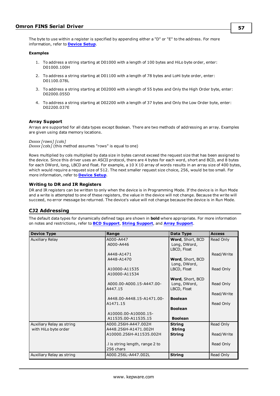The byte to use within a register is specified by appending either a "D" or "E" to the address. For more information, refer to **[Device](#page-4-0) Setup**.

#### **Examples**

- 1. To address a string starting at D01000 with a length of 100 bytes and HiLo byte order, enter: D01000.100H
- 2. To address a string starting at D01100 with a length of 78 bytes and LoHi byte order, enter: D01100.078L
- 3. To address a string starting at D02000 with a length of 55 bytes and Only the High Order byte, enter: D02000.055D
- 4. To address a string starting at D02200 with a length of 37 bytes and Only the Low Order byte, enter: D02200.037E

### **Array Support**

Arrays are supported for all data types except Boolean. There are two methods of addressing an array. Examples are given using data memory locations.

*Dxxxx [rows] [cols]*

*Dxxxx [cols]* (this method assumes "rows" is equal to one)

Rows multiplied by cols multiplied by data size in bytes cannot exceed the request size that has been assigned to the device. Since this driver uses an ASCII protocol, there are 4 bytes for each word, short and BCD, and 8 bytes for each DWord, long, LBCD and float. For example, a 10 X 10 array of words results in an array size of 400 bytes, which would require a request size of 512. The next smaller request size choice, 256, would be too small. For more information, refer to **[Device](#page-4-0) Setup**.

### **Writing to DR and IR Registers**

DR and IR registers can be written to only when the device is in Programming Mode. If the device is in Run Mode and a write is attempted to one of these registers, the value in the device will not change. Because the write will succeed, no error message be returned. The device's value will not change because the device is in Run Mode.

# **CJ2 Addressing**

| <b>Device Type</b>        | Range                          | Data Type        | <b>Access</b> |
|---------------------------|--------------------------------|------------------|---------------|
| Auxiliary Relay           | A000-A447                      | Word, Short, BCD | Read Only     |
|                           | A000-A446                      | Long, DWord,     |               |
|                           |                                | LBCD, Float      |               |
|                           | A448-A1471                     |                  | Read/Write    |
|                           | A448-A1470                     | Word, Short, BCD |               |
|                           |                                | Long, DWord,     |               |
|                           | A10000-A11535                  | LBCD, Float      | Read Only     |
|                           | A10000-A11534                  |                  |               |
|                           |                                | Word, Short, BCD |               |
|                           | A000.00-A000.15-A447.00-       | Long, DWord,     | Read Only     |
|                           | A447.15                        | LBCD, Float      |               |
|                           |                                |                  | Read/Write    |
|                           | A448.00-A448.15-A1471.00-      | <b>Boolean</b>   |               |
|                           | A1471.15                       |                  | Read Only     |
|                           |                                | <b>Boolean</b>   |               |
|                           | A10000.00-A10000.15-           |                  |               |
|                           | A11535.00-A11535.15            | <b>Boolean</b>   |               |
| Auxiliary Relay as string | A000.256H-A447.002H            | <b>String</b>    | Read Only     |
| with HiLo byte order      | A448.256H-A1471.002H           | <b>String</b>    |               |
|                           | A10000.256H-A11535.002H        | <b>String</b>    | Read/Write    |
|                           |                                |                  |               |
|                           | I is string length, range 2 to |                  | Read Only     |
|                           | 256 chars                      |                  |               |
| Auxiliary Relay as string | A000.256L-A447.002L            | <b>String</b>    | Read Only     |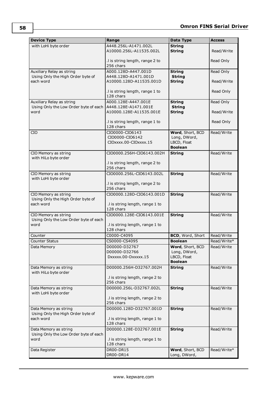| <b>Device Type</b>                                         | Range                                        | Data Type                     | <b>Access</b>             |
|------------------------------------------------------------|----------------------------------------------|-------------------------------|---------------------------|
| with LoHi byte order                                       | A448.256L-A1471.002L                         | <b>String</b>                 |                           |
|                                                            | A10000.256L-A11535.002L                      | <b>String</b>                 | Read/Write                |
|                                                            |                                              |                               |                           |
|                                                            | .I is string length, range 2 to              |                               | Read Only                 |
|                                                            | 256 chars                                    |                               |                           |
| Auxiliary Relay as string                                  | A000.128D-A447.001D                          | <b>String</b>                 | Read Only                 |
| Using Only the High Order byte of                          | A448.128D-A1471.001D                         | <b>String</b>                 |                           |
| each word                                                  | A10000.128D-A11535.001D                      | <b>String</b>                 | Read/Write                |
|                                                            | .I is string length, range 1 to              |                               | Read Only                 |
|                                                            | 128 chars                                    |                               |                           |
| Auxiliary Relay as string                                  | A000.128E-A447.001E                          | <b>String</b>                 | Read Only                 |
| Using Only the Low Order byte of each                      | A448.128E-A1471.001E                         | <b>String</b>                 |                           |
| word                                                       | A10000.128E-A11535.001E                      | <b>String</b>                 | Read/Write                |
|                                                            |                                              |                               |                           |
|                                                            | .I is string length, range 1 to              |                               | Read Only                 |
|                                                            | 128 chars                                    |                               |                           |
| <b>CIO</b>                                                 | CIO0000-CIO6143                              | Word, Short, BCD              | Read/Write                |
|                                                            | CIO0000-CIO6142                              | Long, DWord,                  |                           |
|                                                            | CIOxxxx.00-CIOxxxx.15                        | LBCD, Float<br><b>Boolean</b> |                           |
|                                                            | CIO0000.256H-CIO6143.002H                    | <b>String</b>                 | Read/Write                |
| CIO Memory as string<br>with HiLo byte order               |                                              |                               |                           |
|                                                            | .I is string length, range 2 to              |                               |                           |
|                                                            | 256 chars                                    |                               |                           |
| CIO Memory as string                                       | CIO0000.256L-CIO6143.002L                    | <b>String</b>                 | Read/Write                |
| with LoHi byte order                                       |                                              |                               |                           |
|                                                            | .I is string length, range 2 to              |                               |                           |
|                                                            | 256 chars                                    |                               |                           |
| CIO Memory as string                                       | CIO0000.128D-CIO6143.001D                    | <b>String</b>                 | Read/Write                |
| Using Only the High Order byte of                          |                                              |                               |                           |
| each word                                                  | .I is string length, range 1 to              |                               |                           |
|                                                            | 128 chars                                    |                               |                           |
| CIO Memory as string                                       | CIO0000.128E-CIO6143.001E                    | <b>String</b>                 | Read/Write                |
| Using Only the Low Order byte of each<br>word              | .I is string length, range 1 to              |                               |                           |
|                                                            | 128 chars                                    |                               |                           |
| Counter                                                    | C0000-C4095                                  | BCD, Word, Short              | Read/Write                |
| <b>Counter Status</b>                                      | CS0000-CS4095                                | <b>Boolean</b>                |                           |
| Data Memory                                                | D00000-D32767                                | Word, Short, BCD              | Read/Write*<br>Read/Write |
|                                                            | D00000-D32766                                | Long, DWord,                  |                           |
|                                                            | DXXXXX.00-DXXXXX.15                          | LBCD, Float                   |                           |
|                                                            |                                              | <b>Boolean</b>                |                           |
| Data Memory as string                                      | D00000.256H-D32767.002H                      | <b>String</b>                 | Read/Write                |
| with HiLo byte order                                       |                                              |                               |                           |
|                                                            | .I is string length, range 2 to              |                               |                           |
|                                                            | 256 chars                                    |                               |                           |
| Data Memory as string                                      | D00000.256L-D32767.002L                      | <b>String</b>                 | Read/Write                |
| with LoHi byte order                                       |                                              |                               |                           |
|                                                            | .I is string length, range 2 to<br>256 chars |                               |                           |
|                                                            |                                              |                               | Read/Write                |
| Data Memory as string<br>Using Only the High Order byte of | D00000.128D-D32767.001D                      | <b>String</b>                 |                           |
| each word                                                  | .I is string length, range 1 to              |                               |                           |
|                                                            | 128 chars                                    |                               |                           |
| Data Memory as string                                      | D00000.128E-D32767.001E                      | <b>String</b>                 | Read/Write                |
| Using Only the Low Order byte of each                      |                                              |                               |                           |
| word                                                       | .I is string length, range 1 to              |                               |                           |
|                                                            | 128 chars                                    |                               |                           |
| Data Register                                              | DR00-DR15                                    | Word, Short, BCD              | Read/Write*               |
|                                                            | DR00-DR14                                    | Long, DWord,                  |                           |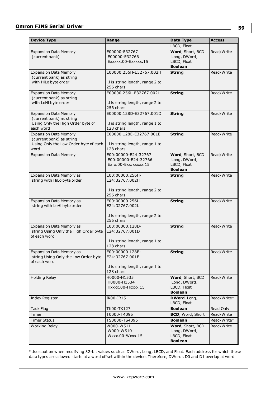| <b>Device Type</b>                                                                                         | Range                                                                             | Data Type                                                                           | <b>Access</b>             |
|------------------------------------------------------------------------------------------------------------|-----------------------------------------------------------------------------------|-------------------------------------------------------------------------------------|---------------------------|
|                                                                                                            |                                                                                   | LBCD, Float                                                                         |                           |
| <b>Expansion Data Memory</b><br>(current bank)                                                             | E00000-E32767<br>E00000-E32766<br>Exxxxx.00-Exxxxx.15                             | Word, Short, BCD<br>Long, DWord,<br>LBCD, Float<br><b>Boolean</b>                   | Read/Write                |
| <b>Expansion Data Memory</b><br>(current bank) as string<br>with HiLo byte order                           | E00000.256H-E32767.002H<br>.I is string length, range 2 to<br>256 chars           | <b>String</b>                                                                       | Read/Write                |
| <b>Expansion Data Memory</b><br>(current bank) as string<br>with LoHi byte order                           | E00000.256L-E32767.002L<br>.I is string length, range 2 to<br>256 chars           | <b>String</b>                                                                       | Read/Write                |
| <b>Expansion Data Memory</b><br>(current bank) as string<br>Using Only the High Order byte of<br>each word | E00000.128D-E32767.001D<br>.I is string length, range 1 to<br>128 chars           | <b>String</b>                                                                       | Read/Write                |
| <b>Expansion Data Memory</b><br>(current bank) as string<br>Using Only the Low Order byte of each<br>word  | E00000.128E-E32767.001E<br>.I is string length, range 1 to<br>128 chars           | <b>String</b>                                                                       | Read/Write                |
| <b>Expansion Data Memory</b>                                                                               | E00:00000-E24:32767<br>E00:00000-E24:32766<br>$Ex:x.00-Exx:xxxxx.15$              | Word, Short, BCD<br>Long, DWord,<br>LBCD, Float<br><b>Boolean</b>                   | Read/Write                |
| Expansion Data Memory as<br>string with HiLo byte order                                                    | E00:00000.256H-<br>E24:32767.002H<br>.I is string length, range 2 to<br>256 chars | <b>String</b>                                                                       | Read/Write                |
| Expansion Data Memory as<br>string with LoHi byte order                                                    | E00:00000.256L-<br>E24:32767.002L<br>.I is string length, range 2 to<br>256 chars | <b>String</b>                                                                       | Read/Write                |
| Expansion Data Memory as<br>string Using Only the High Order byte<br>of each word                          | E00:00000.128D-<br>E24:32767.001D<br>.I is string length, range 1 to<br>128 chars | <b>String</b>                                                                       | Read/Write                |
| <b>Expansion Data Memory as</b><br>string Using Only the Low Order byte<br>of each word                    | E00:00000.128E-<br>E24:32767.001E<br>.I is string length, range 1 to<br>128 chars | <b>String</b>                                                                       | Read/Write                |
| <b>Holding Relay</b>                                                                                       | H0000-H1535<br>H0000-H1534<br>Hxxxx.00-Hxxxx.15                                   | Word, Short, BCD<br>Long, DWord,<br>LBCD, Float<br><b>Boolean</b>                   | Read/Write                |
| Index Register                                                                                             | IR00-IR15                                                                         | DWord, Long,<br>LBCD, Float                                                         | Read/Write*               |
| Task Flag                                                                                                  | TK00-TK127                                                                        | <b>Boolean</b>                                                                      | Read Only                 |
| Timer                                                                                                      | T0000-T4095                                                                       | BCD, Word, Short                                                                    | Read/Write                |
| <b>Timer Status</b><br>Working Relay                                                                       | TS0000-TS4095<br>W000-W511<br>W000-W510<br>Wxxx.00-Wxxx.15                        | <b>Boolean</b><br>Word, Short, BCD<br>Long, DWord,<br>LBCD, Float<br><b>Boolean</b> | Read/Write*<br>Read/Write |

\*Use caution when modifying 32-bit values such as DWord, Long, LBCD, and Float. Each address for which these data types are allowed starts at a word offset within the device. Therefore, DWords D0 and D1 overlap at word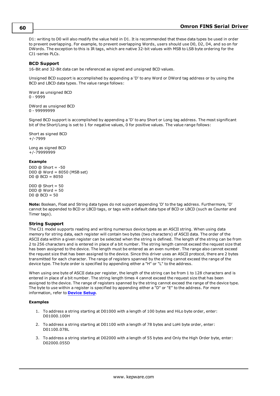D1: writing to D0 will also modify the value held in D1. It is recommended that these data types be used in order to prevent overlapping. For example, to prevent overlapping Words, users should use D0, D2, D4, and so on for DWords. The exception to this is IR tags, which are native 32-bit values with MSB to LSB byte ordering for the CJ1-series PLCs.

# <span id="page-59-0"></span>**BCD Support**

16-Bit and 32-Bit data can be referenced as signed and unsigned BCD values.

Unsigned BCD support is accomplished by appending a 'D' to any Word or DWord tag address or by using the BCD and LBCD data types. The value range follows:

Word as unsigned BCD 0 - 9999

DWord as unsigned BCD 0 - 99999999

Signed BCD support is accomplished by appending a 'D' to any Short or Long tag address. The most significant bit of the Short/Long is set to 1 for negative values, 0 for positive values. The value range follows:

Short as signed BCD +/-7999

Long as signed BCD +/-79999999

#### **Example**

 $DOD @ Short = -50$ D0D @ Word = 8050 (MSB set)  $D0 @ BCD = 8050$ 

 $DOD @ Short = 50$ D0D @ Word = 50 D0 @ BCD = 50

**Note:** Boolean, Float and String data types do not support appending 'D' to the tag address. Furthermore, 'D' cannot be appended to BCD or LBCD tags, or tags with a default data type of BCD or LBCD (such as Counter and Timer tags).

#### <span id="page-59-1"></span>**String Support**

The CJ1 model supports reading and writing numerous device types as an ASCII string. When using data memory for string data, each register will contain two bytes (two characters) of ASCII data. The order of the ASCII data within a given register can be selected when the string is defined. The length of the string can be from 2 to 256 characters and is entered in place of a bit number. The string length cannot exceed the request size that has been assigned to the device. The length must be entered as an even number. The range also cannot exceed the request size that has been assigned to the device. Since this driver uses an ASCII protocol, there are 2 bytes transmitted for each character. The range of registers spanned by the string cannot exceed the range of the device type. The byte order is specified by appending either a "H" or "L" to the address.

When using one byte of ASCII data per register, the length of the string can be from 1 to 128 characters and is entered in place of a bit number. The string length times 4 cannot exceed the request size that has been assigned to the device. The range of registers spanned by the string cannot exceed the range of the device type. The byte to use within a register is specified by appending either a "D" or "E" to the address. For more information, refer to **[Device](#page-4-0) Setup**.

#### **Examples**

- 1. To address a string starting at D01000 with a length of 100 bytes and HiLo byte order, enter: D01000.100H
- 2. To address a string starting at D01100 with a length of 78 bytes and LoHi byte order, enter: D01100.078L
- 3. To address a string starting at D02000 with a length of 55 bytes and Only the High Order byte, enter: D02000.055D

#### **60**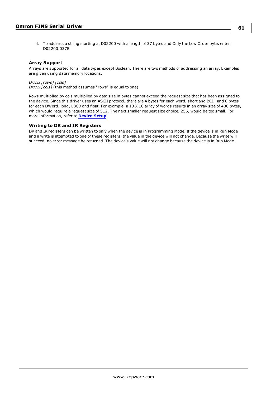4. To address a string starting at D02200 with a length of 37 bytes and Only the Low Order byte, enter: D02200.037E

# **Array Support**

Arrays are supported for all data types except Boolean. There are two methods of addressing an array. Examples are given using data memory locations.

*Dxxxx [rows] [cols] Dxxxx [cols]* (this method assumes "rows" is equal to one)

Rows multiplied by cols multiplied by data size in bytes cannot exceed the request size that has been assigned to the device. Since this driver uses an ASCII protocol, there are 4 bytes for each word, short and BCD, and 8 bytes for each DWord, long, LBCD and float. For example, a 10 X 10 array of words results in an array size of 400 bytes, which would require a request size of 512. The next smaller request size choice, 256, would be too small. For more information, refer to **[Device](#page-4-0) Setup**.

### **Writing to DR and IR Registers**

DR and IR registers can be written to only when the device is in Programming Mode. If the device is in Run Mode and a write is attempted to one of these registers, the value in the device will not change. Because the write will succeed, no error message be returned. The device's value will not change because the device is in Run Mode.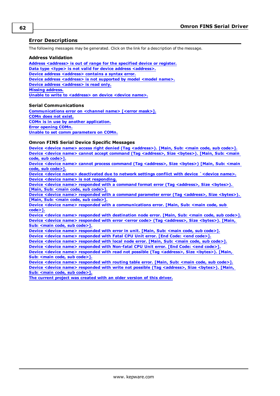# **Error Descriptions**

The following messages may be generated. Click on the link for a description of the message.

#### **Address Validation**

**Address [<address>](#page-62-0) is out of range for the specified device or register. Data type <type> is not valid for device address [<address>.](#page-62-1) Device address [<address>](#page-62-2)** contains a syntax error. **Device** address [<address>](#page-62-3) is not supported by model <model name>. **Device address [<address>](#page-62-4)** is read only. **Missing [address.](#page-62-5) Unable to write to [<address>](#page-63-0) on device <device name>.**

#### **Serial Communications**

**[Communications](#page-63-1) error on <channel name> [<error mask>]. [COMn](#page-63-2) does not exist. COMn is in use by another [application.](#page-64-0) Error [opening](#page-64-1) COMn. Unable to set comm [parameters](#page-64-2) on COMn.**

# **Omron FINS Serial Device Specific Messages**

**Device <device name> access right denied (Tag [<address>\).](#page-64-3) [Main, Sub: <main code, sub code>]. Device <device name> cannot accept command (Tag [<address>,](#page-64-4) Size <bytes>). [Main, Sub: <main code, sub [code>\].](#page-64-4)**

**Device <device name> cannot process command (Tag [<address>,](#page-65-0) Size <bytes>) [Main, Sub: <main code, sub [code>\].](#page-65-0)**

**Device <device name> [deactivated](#page-65-1) due to network settings conflict with device `<device name>. Device <device name> is not [responding.](#page-65-2)**

**Device <device name> responded with a command format error (Tag [<address>,](#page-65-3) Size <bytes>). [Main, Sub: <main code, sub [code>\].](#page-65-3)**

**Device <device name> responded with a command parameter error (Tag [<address>,](#page-66-0) Size <bytes>). [Main, Sub: <main code, sub [code>\].](#page-66-0)**

**Device <device name> responded with a [communications](#page-66-1) error. [Main, Sub: <main code, sub [code>\].](#page-66-1)**

**Device <device name> responded with [destination](#page-66-2) node error. [Main, Sub: <main code, sub code>]. Device <device name> responded with error <error code> (Tag [<address>,](#page-66-3) Size <bytes>). [Main, Sub: <main code, sub [code>\].](#page-66-3)**

**Device <device name> [responded](#page-66-4) with error in unit. [Main, Sub: <main code, sub code>]. Device <device name> [responded](#page-67-0) with Fatal CPU Unit error. [End Code: <end code>].**

**Device <device name> [responded](#page-67-1) with local node error. [Main, Sub: <main code, sub code>]. Device <device name> [responded](#page-67-2) with Non-fatal CPU Unit error. [End Code: <end code>].**

**Device <device name> responded with read not possible (Tag [<address>,](#page-67-3) Size <bytes>). [Main, Sub: <main code, sub [code>\].](#page-67-3)**

**Device <device name> [responded](#page-68-0) with routing table error. [Main, Sub: <main code, sub code>]. Device <device name> responded with write not possible (Tag [<address>,](#page-68-1) Size <bytes>). [Main, Sub: <main code, sub [code>\].](#page-68-1)**

**The current project was [created](#page-68-2) with an older version of this driver.**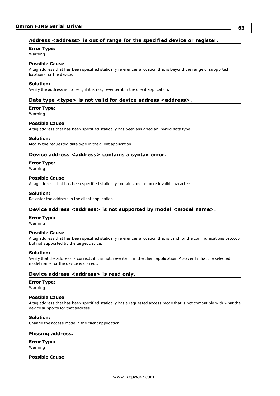# <span id="page-62-0"></span>**Address <address> is out of range for the specified device or register.**

**Error Type:**

Warning

# **Possible Cause:**

A tag address that has been specified statically references a location that is beyond the range of supported locations for the device.

### **Solution:**

<span id="page-62-1"></span>Verify the address is correct; if it is not, re-enter it in the client application.

# **Data type <type> is not valid for device address <address>.**

# **Error Type:**

Warning

### **Possible Cause:**

A tag address that has been specified statically has been assigned an invalid data type.

### **Solution:**

<span id="page-62-2"></span>Modify the requested data type in the client application.

# **Device address <address> contains a syntax error.**

#### **Error Type:**

Warning

#### **Possible Cause:**

A tag address that has been specified statically contains one or more invalid characters.

### **Solution:**

<span id="page-62-3"></span>Re-enter the address in the client application.

# **Device address <address> is not supported by model <model name>.**

#### **Error Type:**

Warning

#### **Possible Cause:**

A tag address that has been specified statically references a location that is valid for the communications protocol but not supported by the target device.

#### **Solution:**

Verify that the address is correct; if it is not, re-enter it in the client application. Also verify that the selected model name for the device is correct.

# <span id="page-62-4"></span>**Device address <address>** is read only.

#### **Error Type:**

Warning

# **Possible Cause:**

A tag address that has been specified statically has a requested access mode that is not compatible with what the device supports for that address.

#### **Solution:**

<span id="page-62-5"></span>Change the access mode in the client application.

# **Missing address.**

**Error Type:** Warning

#### **Possible Cause:**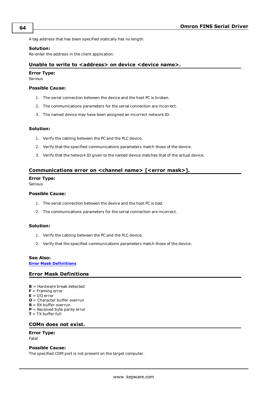A tag address that has been specified statically has no length.

#### **Solution:**

<span id="page-63-0"></span>Re-enter the address in the client application.

### **Unable to write to <address> on device <device name>.**

# **Error Type:**

Serious

#### **Possible Cause:**

- 1. The serial connection between the device and the host PC is broken.
- 2. The communications parameters for the serial connection are incorrect.
- 3. The named device may have been assigned an incorrect network ID.

### **Solution:**

- 1. Verify the cabling between the PC and the PLC device.
- 2. Verify that the specified communications parameters match those of the device.
- 3. Verify that the network ID given to the named device matches that of the actual device.

# <span id="page-63-1"></span>**Communications error on <channel name> [<error mask>].**

#### **Error Type:**

Serious

### **Possible Cause:**

- 1. The serial connection between the device and the host PC is bad.
- 2. The communications parameters for the serial connection are incorrect.

#### **Solution:**

- 1. Verify the cabling between the PC and the PLC device.
- 2. Verify that the specified communications parameters match those of the device.

#### **See Also:**

<span id="page-63-3"></span>**Error Mask [Definitions](#page-63-3)**

# **Error Mask Definitions**

- **B** = Hardware break detected
- **F** = Framing error
- $E = I/O$  error
- **O** = Character buffer overrun
- **R** = RX buffer overrun
- **P** = Received byte parity error
- <span id="page-63-2"></span>**T** = TX buffer full

#### **COMn does not exist.**

### **Error Type:**

Fatal

# **Possible Cause:**

The specified COM port is not present on the target computer.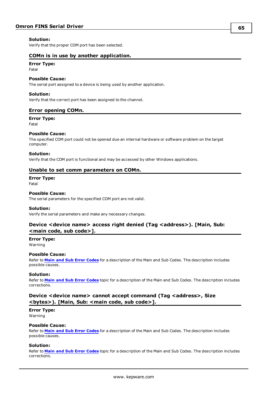### **Solution:**

<span id="page-64-0"></span>Verify that the proper COM port has been selected.

# **COMn is in use by another application.**

# **Error Type:**

Fatal

### **Possible Cause:**

The serial port assigned to a device is being used by another application.

#### **Solution:**

<span id="page-64-1"></span>Verify that the correct port has been assigned to the channel.

# **Error opening COMn.**

#### **Error Type:**

Fatal

#### **Possible Cause:**

The specified COM port could not be opened due an internal hardware or software problem on the target computer.

#### **Solution:**

<span id="page-64-2"></span>Verify that the COM port is functional and may be accessed by other Windows applications.

### **Unable to set comm parameters on COMn.**

**Error Type:** Fatal

#### **Possible Cause:**

The serial parameters for the specified COM port are not valid.

#### **Solution:**

<span id="page-64-3"></span>Verify the serial parameters and make any necessary changes.

# **Device <device name> access right denied (Tag <address>). [Main, Sub: <main code, sub code>].**

# **Error Type:**

Warning

#### **Possible Cause:**

Refer to **Main and Sub Error [Codes](#page-75-0)** for a description of the Main and Sub Codes. The description includes possible causes.

#### **Solution:**

Refer to **Main and Sub Error [Codes](#page-75-0)** topic for a description of the Main and Sub Codes. The description includes corrections.

# <span id="page-64-4"></span>**Device <device name> cannot accept command (Tag <address>, Size <bytes>). [Main, Sub: <main code, sub code>].**

# **Error Type:**

Warning

#### **Possible Cause:**

Refer to **Main and Sub Error [Codes](#page-75-0)** for a description of the Main and Sub Codes. The description includes possible causes.

#### **Solution:**

Refer to **Main and Sub Error [Codes](#page-75-0)** topic for a description of the Main and Sub Codes. The description includes corrections.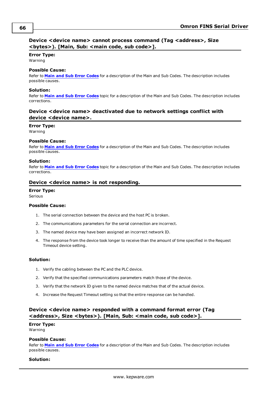# <span id="page-65-0"></span>**Device <device name> cannot process command (Tag <address>, Size <bytes>). [Main, Sub: <main code, sub code>].**

#### **Error Type:**

Warning

### **Possible Cause:**

Refer to **Main and Sub Error [Codes](#page-75-0)** for a description of the Main and Sub Codes. The description includes possible causes.

# **Solution:**

Refer to **Main and Sub Error [Codes](#page-75-0)** topic for a description of the Main and Sub Codes. The description includes corrections.

# <span id="page-65-1"></span>**Device <device name> deactivated due to network settings conflict with device <device name>.**

### **Error Type:**

Warning

#### **Possible Cause:**

Refer to **Main and Sub Error [Codes](#page-75-0)** for a description of the Main and Sub Codes. The description includes possible causes.

### **Solution:**

Refer to **Main and Sub Error [Codes](#page-75-0)** topic for a description of the Main and Sub Codes. The description includes corrections.

# <span id="page-65-2"></span>**Device <device name> is not responding.**

### **Error Type:**

Serious

### **Possible Cause:**

- 1. The serial connection between the device and the host PC is broken.
- 2. The communications parameters for the serial connection are incorrect.
- 3. The named device may have been assigned an incorrect network ID.
- 4. The response from the device took longer to receive than the amount of time specified in the Request Timeout device setting.

#### **Solution:**

- 1. Verify the cabling between the PC and the PLC device.
- 2. Verify that the specified communications parameters match those of the device.
- 3. Verify that the network ID given to the named device matches that of the actual device.
- 4. Increase the Request Timeout setting so that the entire response can be handled.

# <span id="page-65-3"></span>**Device <device name> responded with a command format error (Tag <address>, Size <bytes>). [Main, Sub: <main code, sub code>].**

# **Error Type:**

Warning

#### **Possible Cause:**

Refer to **Main and Sub Error [Codes](#page-75-0)** for a description of the Main and Sub Codes. The description includes possible causes.

#### **Solution:**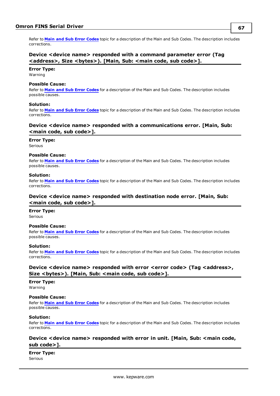Refer to **Main and Sub Error [Codes](#page-75-0)** topic for a description of the Main and Sub Codes. The description includes corrections.

# <span id="page-66-0"></span>**Device <device name> responded with a command parameter error (Tag <address>, Size <bytes>). [Main, Sub: <main code, sub code>].**

#### **Error Type:**

Warning

#### **Possible Cause:**

Refer to **Main and Sub Error [Codes](#page-75-0)** for a description of the Main and Sub Codes. The description includes possible causes.

#### **Solution:**

Refer to **Main and Sub Error [Codes](#page-75-0)** topic for a description of the Main and Sub Codes. The description includes corrections.

# <span id="page-66-1"></span>**Device <device name> responded with a communications error. [Main, Sub: <main code, sub code>].**

### **Error Type:**

Serious

### **Possible Cause:**

Refer to **Main and Sub Error [Codes](#page-75-0)** for a description of the Main and Sub Codes. The description includes possible causes.

#### **Solution:**

Refer to **Main and Sub Error [Codes](#page-75-0)** topic for a description of the Main and Sub Codes. The description includes corrections.

# <span id="page-66-2"></span>**Device <device name> responded with destination node error. [Main, Sub: <main code, sub code>].**

# **Error Type:**

Serious

### **Possible Cause:**

Refer to **Main and Sub Error [Codes](#page-75-0)** for a description of the Main and Sub Codes. The description includes possible causes.

#### **Solution:**

Refer to **Main and Sub Error [Codes](#page-75-0)** topic for a description of the Main and Sub Codes. The description includes corrections.

# <span id="page-66-3"></span>**Device <device name> responded with error <error code> (Tag <address>, Size <bytes>). [Main, Sub: <main code, sub code>].**

# **Error Type:**

Warning

#### **Possible Cause:**

Refer to **Main and Sub Error [Codes](#page-75-0)** for a description of the Main and Sub Codes. The description includes possible causes.

#### **Solution:**

Refer to **Main and Sub Error [Codes](#page-75-0)** topic for a description of the Main and Sub Codes. The description includes corrections.

# <span id="page-66-4"></span>**Device <device name> responded with error in unit. [Main, Sub: <main code, sub code>].**

**Error Type:**

Serious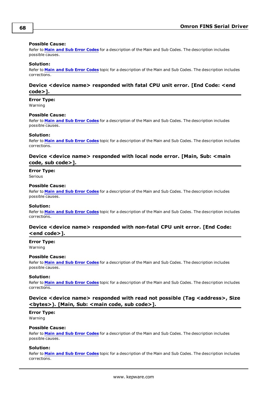#### **Possible Cause:**

Refer to **Main and Sub Error [Codes](#page-75-0)** for a description of the Main and Sub Codes. The description includes possible causes.

#### **Solution:**

Refer to **Main and Sub Error [Codes](#page-75-0)** topic for a description of the Main and Sub Codes. The description includes corrections.

# <span id="page-67-0"></span>**Device <device name> responded with fatal CPU unit error. [End Code: <end code>].**

**Error Type:**

Warning

# **Possible Cause:**

Refer to **Main and Sub Error [Codes](#page-75-0)** for a description of the Main and Sub Codes. The description includes possible causes.

### **Solution:**

Refer to **Main and Sub Error [Codes](#page-75-0)** topic for a description of the Main and Sub Codes. The description includes corrections.

# <span id="page-67-1"></span>**Device <device name> responded with local node error. [Main, Sub: <main code, sub code>].**

# **Error Type:**

Serious

### **Possible Cause:**

Refer to **Main and Sub Error [Codes](#page-75-0)** for a description of the Main and Sub Codes. The description includes possible causes.

#### **Solution:**

Refer to **Main and Sub Error [Codes](#page-75-0)** topic for a description of the Main and Sub Codes. The description includes corrections.

# <span id="page-67-2"></span>**Device <device name> responded with non-fatal CPU unit error. [End Code: <end code>].**

#### **Error Type:** Warning

#### **Possible Cause:**

Refer to **Main and Sub Error [Codes](#page-75-0)** for a description of the Main and Sub Codes. The description includes possible causes.

#### **Solution:**

Refer to **Main and Sub Error [Codes](#page-75-0)** topic for a description of the Main and Sub Codes. The description includes corrections.

# <span id="page-67-3"></span>**Device <device name> responded with read not possible (Tag <address>, Size <bytes>). [Main, Sub: <main code, sub code>].**

# **Error Type:**

Warning

# **Possible Cause:**

Refer to **Main and Sub Error [Codes](#page-75-0)** for a description of the Main and Sub Codes. The description includes possible causes.

#### **Solution:**

Refer to **Main and Sub Error [Codes](#page-75-0)** topic for a description of the Main and Sub Codes. The description includes corrections.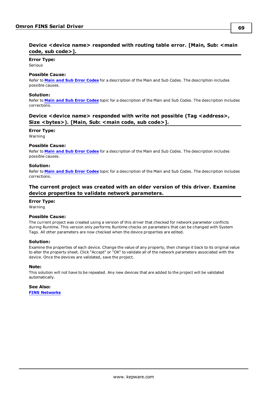# <span id="page-68-0"></span>**Error Type:**

**Serious** 

# **Possible Cause:**

Refer to **Main and Sub Error [Codes](#page-75-0)** for a description of the Main and Sub Codes. The description includes possible causes.

# **Solution:**

Refer to **Main and Sub Error [Codes](#page-75-0)** topic for a description of the Main and Sub Codes. The description includes corrections.

# <span id="page-68-1"></span>**Device <device name> responded with write not possible (Tag <address>, Size <bytes>). [Main, Sub: <main code, sub code>].**

**Error Type:**

Warning

# **Possible Cause:**

Refer to **Main and Sub Error [Codes](#page-75-0)** for a description of the Main and Sub Codes. The description includes possible causes.

# **Solution:**

Refer to **Main and Sub Error [Codes](#page-75-0)** topic for a description of the Main and Sub Codes. The description includes corrections.

# <span id="page-68-2"></span>**The current project was created with an older version of this driver. Examine device properties to validate network parameters.**

# **Error Type:**

Warning

# **Possible Cause:**

The current project was created using a version of this driver that checked for network parameter conflicts during Runtime. This version only performs Runtime checks on parameters that can be changed with System Tags. All other parameters are now checked when the device properties are edited.

# **Solution:**

Examine the properties of each device. Change the value of any property, then change it back to its original value to alter the property sheet. Click "Accept" or "OK" to validate all of the network parameters associated with the device. Once the devices are validated, save the project.

# **Note:**

This solution will not have to be repeated. Any new devices that are added to the project will be validated automatically.

**See Also: FINS [Networks](#page-6-0)**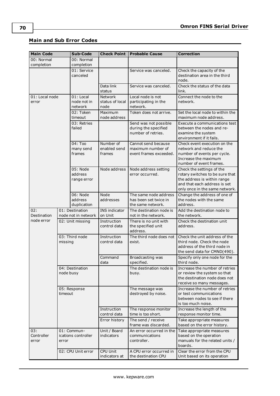# **Main and Sub Error Codes**

| <b>Main Code</b>           |                              | Sub-Code                               | <b>Check Point</b>                        | <b>Probable Cause</b>                                               | <b>Correction</b>                                                                                                                                             |
|----------------------------|------------------------------|----------------------------------------|-------------------------------------------|---------------------------------------------------------------------|---------------------------------------------------------------------------------------------------------------------------------------------------------------|
| 00: Normal                 |                              | 00: Normal                             |                                           |                                                                     |                                                                                                                                                               |
| completion                 |                              | completion<br>01: Service<br>canceled  |                                           | Service was canceled.                                               | Check the capacity of the<br>destination area in the third<br>node.                                                                                           |
|                            |                              |                                        | Data link<br>status                       | Service was canceled.                                               | Check the status of the data<br>link.                                                                                                                         |
| 01: Local node<br>error    |                              | 01: Local<br>node not in<br>network    | <b>Network</b><br>status of local<br>node | Local node is not<br>participating in the<br>network.               | Connect the node to the<br>network.                                                                                                                           |
|                            |                              | 02: Token<br>timeout                   | Maximum<br>node address                   | Token does not arrive.                                              | Set the local node to within the<br>maximum node address.                                                                                                     |
|                            |                              | 03: Retries<br>failed                  |                                           | Send was not possible<br>during the specified<br>number of retries. | Execute a communications test<br>between the nodes and re-<br>examine the system<br>environment if it fails.                                                  |
|                            |                              | $04:$ Too<br>many send<br>frames       | Number of<br>enabled send<br>frames       | Cannot send because<br>maximum number of<br>event frames exceeded.  | Check event execution on the<br>network and reduce the<br>number of events per cycle.<br>Increase the maximum<br>number of event frames.                      |
|                            |                              | 05: Node<br>address<br>range error     | Node address                              | Node address setting<br>error occurred.                             | Check the settings of the<br>rotary switches to be sure that<br>the address is within range<br>and that each address is set<br>only once in the same network. |
|                            |                              | 06: Node<br>address<br>duplication     | <b>Node</b><br>addresses                  | The same node address<br>has been set twice in<br>the same network. | Change the address of one of<br>the nodes with the same<br>address.                                                                                           |
| 02:<br>Destination         |                              | 01: Destination<br>node not in network | INS indicator<br>on Unit                  | The destination node is<br>not in the network.                      | Add the destination node to<br>the network.                                                                                                                   |
| node error                 | 02: Unit missing             |                                        | Instruction<br>control data               | There is no unit with<br>the specified unit<br>address.             | Check the destination unit<br>address.                                                                                                                        |
|                            | missing                      | 03: Third node                         | Instruction<br>control data               | The third node does not<br>exist.                                   | Check the unit address of the<br>third node. Check the node<br>address of the third node in<br>the send data for CMND(490).                                   |
|                            |                              |                                        | Command<br>data                           | Broadcasting was<br>specified.                                      | Specify only one node for the<br>third node.                                                                                                                  |
|                            | 04: Destination<br>node busy |                                        |                                           | The destination node is<br>busy.                                    | Increase the number of retries<br>or review the system so that<br>the destination node does not<br>receive so many messages.                                  |
| timeout                    |                              | 05: Response                           |                                           | The message was<br>destroyed by noise.                              | Increase the number of retries<br>or test communications<br>between nodes to see if there<br>is too much noise.                                               |
|                            |                              |                                        | Instruction<br>control data               | The response monitor<br>time is too short.                          | Increase the length of the<br>response monitor time.                                                                                                          |
|                            |                              |                                        | Error history                             | The send / receive<br>frame was discarded.                          | Take appropriate measures<br>based on the error history.                                                                                                      |
| 03:<br>Controller<br>error | error                        | 01: Commun-<br>ications controller     | Unit / Board<br>indicators                | An error occurred in the<br>communications<br>controller.           | Take appropriate measures<br>based on the operation<br>manuals for the related units /<br>boards.                                                             |
|                            |                              | 02: CPU Unit error                     | CPU Unit<br>indicators at                 | A CPU error occurred in<br>the destination CPU                      | Clear the error from the CPU<br>Unit based on its operation                                                                                                   |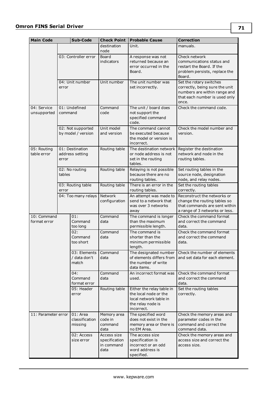| <b>Main Code</b>            |         | Sub-Code                                | <b>Check Point</b>                                 | <b>Probable Cause</b>                                                                                           | <b>Correction</b>                                                                                                                   |
|-----------------------------|---------|-----------------------------------------|----------------------------------------------------|-----------------------------------------------------------------------------------------------------------------|-------------------------------------------------------------------------------------------------------------------------------------|
|                             |         |                                         | destination<br>node                                | Unit.                                                                                                           | manuals.                                                                                                                            |
|                             |         | 03: Controller error                    | Board<br>indicators                                | A response was not<br>returned because an<br>error occurred in the<br>Board.                                    | Check network<br>communications status and<br>restart the Board. If the<br>problem persists, replace the<br>Board.                  |
|                             | error   | 04: Unit number                         | Unit number                                        | The unit number was<br>set incorrectly.                                                                         | Set the rotary switches<br>correctly, being sure the unit<br>numbers are within range and<br>that each number is used only<br>once. |
| 04: Service<br>unsupported  | command | 01: Undefined                           | Command<br>code                                    | The unit / board does<br>not support the<br>specified command<br>code.                                          | Check the command code.                                                                                                             |
|                             |         | 02: Not supported<br>by model / version | Unit model<br>and version                          | The command cannot<br>be executed because<br>the model or version is<br>incorrect.                              | Check the model number and<br>version.                                                                                              |
| 05: Routing<br>table error  | error   | 01: Destination<br>address setting      | Routing table                                      | The destination network  <br>or node address is not<br>set in the routing<br>tables.                            | Register the destination<br>network and node in the<br>routing tables.                                                              |
|                             | tables  | 02: No routing                          | Routing table                                      | Relaying is not possible<br>because there are no<br>routing tables.                                             | Set routing tables in the<br>source node, designation<br>node, and relay nodes.                                                     |
|                             | error   | 03: Routing table                       | Routing table                                      | There is an error in the<br>routing tables.                                                                     | Set the routing tables<br>correctly.                                                                                                |
|                             |         | 04: Too many relays                     | Network<br>configuration                           | An attempt was made to<br>send to a network that<br>was over 3 networks<br>away                                 | Reconstruct the networks or<br>change the routing tables so<br>that commands are sent within<br>a range of 3 networks or less.      |
| 10: Command<br>format error |         | 01:<br>Command<br>too long              | Command<br>data                                    | The command is longer<br>than the maximum<br>permissible length.                                                | Check the command format<br>and correct the command<br>data.                                                                        |
|                             |         | 02:<br>Command<br>too short             | Command<br>data                                    | The command is<br>shorter than the<br>minimum permissible<br>length.                                            | Check the command format<br>and correct the command<br>data.                                                                        |
|                             |         | 03: Elements<br>/ data don't<br>match   | Command<br>data                                    | The designated number<br>of elements differs from<br>the number of write<br>data items.                         | Check the number of elements<br>and set data for each element.                                                                      |
|                             |         | 04:<br>Command<br>format error          | Command<br>data                                    | An incorrect format was<br>used.                                                                                | Check the command format<br>and correct the command<br>data.                                                                        |
|                             |         | 05: Header<br>error                     | Routing table                                      | Either the relay table in<br>the local node or the<br>local network table in<br>the relay node is<br>incorrect. | Set the routing tables<br>correctly.                                                                                                |
| 11: Parameter error         |         | 01: Area<br>classification<br>missing   | Memory area<br>code in<br>command<br>data          | The specified word<br>does not exist in the<br>memory area or there is<br>no EM Area.                           | Check the memory areas and<br>parameter codes in the<br>command and correct the<br>command data.                                    |
|                             |         | 02: Access<br>size error                | Access size<br>specification<br>in command<br>data | The access size<br>specification is<br>incorrect or an odd<br>word address is<br>specified.                     | Check the memory areas and<br>access size and correct the<br>access size.                                                           |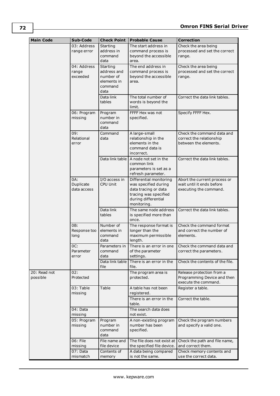| <b>Main Code</b>         | Sub-Code                         | <b>Check Point</b>                                                             | <b>Probable Cause</b>                                                                                                                  | <b>Correction</b>                                                                   |
|--------------------------|----------------------------------|--------------------------------------------------------------------------------|----------------------------------------------------------------------------------------------------------------------------------------|-------------------------------------------------------------------------------------|
|                          | 03: Address<br>range error       | Starting<br>address in<br>command                                              | The start address in<br>command process is<br>beyond the accessible                                                                    | Check the area being<br>processed and set the correct<br>range.                     |
|                          | 04: Address<br>range<br>exceeded | data<br>Starting<br>address and<br>number of<br>elements in<br>command<br>data | area.<br>The end address in<br>command process is<br>beyond the accessible<br>area.                                                    | Check the area being<br>processed and set the correct<br>range.                     |
|                          |                                  | Data link<br>tables                                                            | The total number of<br>words is beyond the<br>limit.                                                                                   | Correct the data link tables.                                                       |
|                          | 06: Program<br>missing           | Program<br>number in<br>command<br>data                                        | FFFF Hex was not<br>specified.                                                                                                         | Specify FFFF Hex.                                                                   |
|                          | 09:<br>Relational<br>error       | Command<br>data                                                                | A large-small<br>relationship in the<br>elements in the<br>command data is<br>incorrect.                                               | Check the command data and<br>correct the relationship<br>between the elements.     |
|                          |                                  | Data link table                                                                | A node not set in the<br>common link<br>parameters is set as a<br>refresh parameter.                                                   | Correct the data link tables.                                                       |
|                          | 0A:<br>Duplicate<br>data access  | I/O access in<br><b>CPU Unit</b>                                               | Differential monitoring<br>was specified during<br>data tracing or data<br>tracing was specified<br>during differential<br>monitoring. | Abort the current process or<br>wait until it ends before<br>executing the command. |
|                          |                                  | Data link<br>tables                                                            | The same node address<br>is specified more than<br>once.                                                                               | Correct the data link tables.                                                       |
|                          | OB:<br>Response too<br>long      | Number of<br>elements in<br>command<br>data                                    | The response format is<br>longer than the<br>maximum permissible<br>length.                                                            | Check the command format<br>and correct the number of<br>elements.                  |
|                          | OC:<br>Parameter<br>error        | Parameters in<br>command<br>data                                               | There is an error in one<br>of the parameter<br>settings.                                                                              | Check the command data and<br>correct the parameters.                               |
|                          |                                  | Data link table<br>file                                                        | There is an error in the<br>file.                                                                                                      | Check the contents of the file.                                                     |
| 20: Read not<br>possible | 02:<br>Protected                 |                                                                                | The program area is<br>protected.                                                                                                      | Release protection from a<br>Programming Device and then<br>execute the command.    |
|                          | 03: Table<br>missing             | Table                                                                          | A table has not been<br>registered.                                                                                                    | Register a table.                                                                   |
|                          |                                  |                                                                                | There is an error in the<br>table.                                                                                                     | Correct the table.                                                                  |
|                          | 04: Data<br>missing              |                                                                                | The search data does<br>not exist.                                                                                                     |                                                                                     |
|                          | 05: Program<br>missing           | Program<br>number in<br>command<br>data                                        | A non-existing program<br>number has been<br>specified.                                                                                | Check the program numbers<br>and specify a valid one.                               |
|                          | 06: File<br>missing              | File name and<br>file device                                                   | The file does not exist at<br>the specified file device.                                                                               | Check the path and file name,<br>and correct them.                                  |
|                          | 07: Data<br>mismatch             | Contents of<br>memory                                                          | A data being compared<br>is not the same.                                                                                              | Check memory contents and<br>use the correct data.                                  |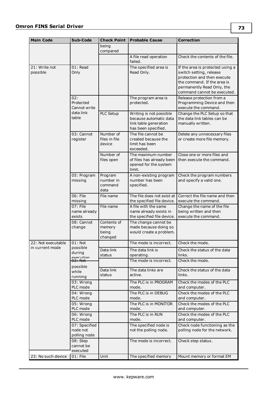| <b>Main Code</b>          | Sub-Code                                  | <b>Check Point</b>                        | <b>Probable Cause</b>                                                                             | <b>Correction</b>                                                                                                                                                                      |
|---------------------------|-------------------------------------------|-------------------------------------------|---------------------------------------------------------------------------------------------------|----------------------------------------------------------------------------------------------------------------------------------------------------------------------------------------|
|                           |                                           | being<br>compared                         |                                                                                                   |                                                                                                                                                                                        |
|                           |                                           |                                           | A file read operation<br>failed.                                                                  | Check the contents of the file.                                                                                                                                                        |
| 21: Write not<br>possible | 01: Read<br>Only                          |                                           | The specified area is<br>Read Only.                                                               | If the area is protected using a<br>switch setting, release<br>protection and then execute<br>the command. If the area is<br>permanently Read Only, the<br>command cannot be executed. |
|                           | 02:<br>Protected<br>Cannot write          |                                           | The program area is<br>protected.                                                                 | Release protection from a<br>Programming Device and then<br>execute the command.                                                                                                       |
|                           | data link<br>table                        | PLC Setup                                 | Writing is not possible<br>because automatic data<br>link table generation<br>has been specified. | Change the PLC Setup so that<br>the data link tables can be<br>manually written.                                                                                                       |
|                           | 03: Cannot<br>register                    | Number of<br>files in file<br>device      | The file cannot be<br>created because the<br>limit has been<br>exceeded.                          | Delete any unnecessary files<br>or create more file memory.                                                                                                                            |
|                           |                                           | Number of<br>files open                   | The maximum number<br>of files has already been<br>opened for the system<br>limit.                | Close one or more files and<br>then execute the command.                                                                                                                               |
|                           | 05: Program<br>missing                    | Program<br>number in<br>command<br>data   | A non-existing program<br>number has been<br>specified.                                           | Check the program numbers<br>and specify a valid one.                                                                                                                                  |
|                           | 06: File<br>missing                       | File name                                 | The file does not exist at<br>the specified file device.                                          | Correct the file name and then<br>execute the command.                                                                                                                                 |
|                           | 07: File<br>name already<br>exists        | File name                                 | A file with the same<br>name already exists in<br>the specified file device.                      | Change the name of the file<br>being written and then<br>execute the command.                                                                                                          |
|                           | 08: Cannot<br>change                      | Contents of<br>memory<br>being<br>changed | The change cannot be<br>made because doing so<br>would create a problem.                          |                                                                                                                                                                                        |
| 22: Not executable        | $01:$ Not                                 |                                           | The mode is incorrect.                                                                            | Check the mode.                                                                                                                                                                        |
| in current mode           | possible<br>during                        | Data link<br>status                       | The data link is<br>operating.                                                                    | Check the status of the data<br>links.                                                                                                                                                 |
|                           | execution<br>02: Not                      |                                           | The mode is incorrect.                                                                            | Check the mode.                                                                                                                                                                        |
|                           | possible<br>while<br>running              | Data link<br>status                       | The data links are<br>active.                                                                     | Check the status of the data<br>links.                                                                                                                                                 |
|                           | 03: Wrong<br>PLC mode                     |                                           | The PLC is in PROGRAM<br>mode.                                                                    | Check the modes of the PLC<br>and computer.                                                                                                                                            |
|                           | 04: Wrong<br>PLC mode                     |                                           | The PLC is in DEBUG<br>mode.                                                                      | Check the modes of the PLC<br>and computer.                                                                                                                                            |
|                           | 05: Wrong<br>PLC mode                     |                                           | The PLC is in MONITOR<br>mode.                                                                    | Check the modes of the PLC<br>and computer.                                                                                                                                            |
|                           | 06: Wrong<br>PLC mode                     |                                           | The PLC is in RUN<br>mode.                                                                        | Check the modes of the PLC<br>and computer.                                                                                                                                            |
|                           | 07: Specified<br>node not<br>polling node |                                           | The specified node is<br>not the polling node.                                                    | Check node functioning as the<br>polling node for the network.                                                                                                                         |
|                           | 08: Step<br>cannot be<br>executed         |                                           | The mode is incorrect.                                                                            | Check step status.                                                                                                                                                                     |
| 23: No such device        | 01: File                                  | Unit                                      | The specified memory                                                                              | Mount memory or format EM                                                                                                                                                              |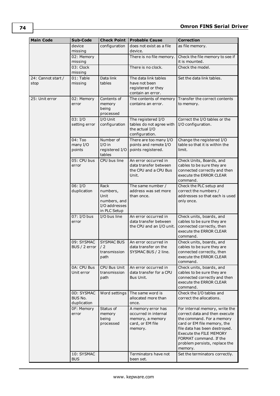| <b>Main Code</b>           | Sub-Code                                  | <b>Check Point</b>                                                        | <b>Probable Cause</b>                                                                         | <b>Correction</b>                                                                                                                                                                                                                                                    |
|----------------------------|-------------------------------------------|---------------------------------------------------------------------------|-----------------------------------------------------------------------------------------------|----------------------------------------------------------------------------------------------------------------------------------------------------------------------------------------------------------------------------------------------------------------------|
|                            | device<br>missing                         | configuration                                                             | does not exist as a file<br>device.                                                           | as file memory.                                                                                                                                                                                                                                                      |
|                            | 02: Memory<br>missing                     |                                                                           | There is no file memory.                                                                      | Check the file memory to see if<br>it is mounted.                                                                                                                                                                                                                    |
|                            | 03: Clock<br>missing                      |                                                                           | There is no clock.                                                                            | Check the model.                                                                                                                                                                                                                                                     |
| 24: Cannot start /<br>stop | 01: Table<br>missing                      | Data link<br>tables                                                       | The data link tables<br>have not been<br>registered or they<br>contain an error.              | Set the data link tables.                                                                                                                                                                                                                                            |
| 25: Unit error             | 02: Memory<br>error                       | Contents of<br>memory<br>being<br>processed                               | The contents of memory<br>contains an error.                                                  | Transfer the correct contents<br>to memory.                                                                                                                                                                                                                          |
|                            | 03: I/O<br>setting error                  | I/O Unit<br>configuration                                                 | The registered I/O<br>tables do not agree with<br>the actual I/O<br>configuration.            | Correct the I/O tables or the<br>I/O configuration.                                                                                                                                                                                                                  |
|                            | 04: Too<br>many I/O<br>points             | Number of<br>$I/O$ in<br>registered I/O<br>tables                         | There are too many I/O<br>points and remote I/O<br>points registered.                         | Change the registered I/O<br>table so that it is within the<br>limit.                                                                                                                                                                                                |
|                            | 05: CPU bus<br>error                      | CPU bus line                                                              | An error occurred in<br>data transfer between<br>the CPU and a CPU Bus<br>Unit.               | Check Units, Boards, and<br>cables to be sure they are<br>connected correctly and then<br>execute the ERROR CLEAR<br>command.                                                                                                                                        |
|                            | 06: I/O<br>duplication                    | Rack<br>numbers,<br>Unit<br>numbers, and<br>I/O addresses<br>in PLC Setup | The same number /<br>address was set more<br>than once.                                       | Check the PLC setup and<br>correct the numbers /<br>addresses so that each is used<br>only once.                                                                                                                                                                     |
|                            | 07: I/O bus<br>error                      | I/O bus line                                                              | An error occurred in<br>data transfer between<br>the CPU and an I/O unit.                     | Check units, boards, and<br>cables to be sure they are<br>connected correctly, then<br>execute the ERROR CLEAR<br>command.                                                                                                                                           |
|                            | 09: SYSMAC<br>BUS / 2 error $\frac{1}{2}$ | <b>SYSMAC BUS</b><br>transmission<br>path                                 | An error occurred in<br>data transfer on the<br>SYSMAC BUS / 2 line.                          | Check units, boards, and<br>cables to be sure they are<br>connected correctly, then<br>execute the ERROR CLEAR<br>command.                                                                                                                                           |
|                            | 0A: CPU Bus<br>Unit error                 | CPU Bus Unit<br>transmission<br>path                                      | An error occurred in<br>data transfer for a CPU<br>Bus Unit.                                  | Check units, boards, and<br>cables to be sure they are<br>connected correctly and then<br>execute the ERROR CLEAR<br>command.                                                                                                                                        |
|                            | 0D: SYSMAC<br>BUS No.<br>duplication      | Word settings                                                             | The same word is<br>allocated more than<br>once.                                              | Check the I/O tables and<br>correct the allocations.                                                                                                                                                                                                                 |
|                            | OF: Memory<br>error                       | Status of<br>memory<br>being<br>processed                                 | A memory error has<br>occurred in internal<br>memory, a memory<br>card, or EM file<br>memory. | For internal memory, write the<br>correct data and then execute<br>the command. For a memory<br>card or EM file memory, the<br>file data has been destroyed.<br><b>Execute the FILE MEMORY</b><br>FORMAT command. If the<br>problem persists, replace the<br>memory. |
|                            | 10: SYSMAC<br><b>BUS</b>                  |                                                                           | Terminators have not<br>been set.                                                             | Set the terminators correctly.                                                                                                                                                                                                                                       |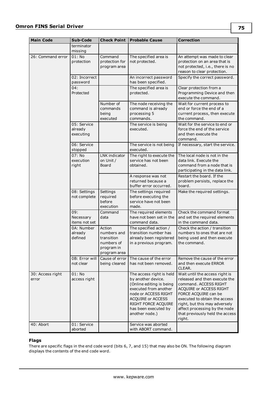| <b>Main Code</b>          | Sub-Code                            | <b>Check Point</b>                                                              | <b>Probable Cause</b>                                                                                                                                                                                             | <b>Correction</b>                                                                                                                                                                                                                                                                           |
|---------------------------|-------------------------------------|---------------------------------------------------------------------------------|-------------------------------------------------------------------------------------------------------------------------------------------------------------------------------------------------------------------|---------------------------------------------------------------------------------------------------------------------------------------------------------------------------------------------------------------------------------------------------------------------------------------------|
|                           | terminator<br>missing               |                                                                                 |                                                                                                                                                                                                                   |                                                                                                                                                                                                                                                                                             |
| 26: Command error         | $01:$ No<br>protection              | Command<br>protection for<br>program area                                       | The specified area is<br>not protected.                                                                                                                                                                           | An attempt was made to clear<br>protection on an area that is<br>not protected, i.e., there is no<br>reason to clear protection.                                                                                                                                                            |
|                           | 02: Incorrect<br>password           |                                                                                 | An incorrect password<br>has been specified.                                                                                                                                                                      | Specify the correct password.                                                                                                                                                                                                                                                               |
|                           | 04:<br>Protected                    |                                                                                 | The specified area is<br>protected.                                                                                                                                                                               | Clear protection from a<br>Programming Device and then<br>execute the command.                                                                                                                                                                                                              |
|                           |                                     | Number of<br>commands<br>being<br>executed                                      | The node receiving the<br>command is already<br>processing 5<br>commands.                                                                                                                                         | Wait for current process to<br>end or force the end of a<br>current process, then execute<br>the command.                                                                                                                                                                                   |
|                           | 05: Service<br>already<br>executing |                                                                                 | The service is being<br>executed.                                                                                                                                                                                 | Wait for the service to end or<br>force the end of the service<br>and then execute the<br>command.                                                                                                                                                                                          |
|                           | 06: Service<br>stopped              |                                                                                 | The service is not being<br>executed.                                                                                                                                                                             | If necessary, start the service.                                                                                                                                                                                                                                                            |
|                           | 07: No<br>execution<br>right        | LNK indicator<br>on Unit/<br>Board                                              | The right to execute the<br>service has not been<br>obtained.                                                                                                                                                     | The local node is not in the<br>data link. Execute the<br>command from a node that is<br>participating in the data link.                                                                                                                                                                    |
|                           |                                     |                                                                                 | A response was not<br>returned because a<br>buffer error occurred.                                                                                                                                                | Restart the board. If the<br>problem persists, replace the<br>board.                                                                                                                                                                                                                        |
|                           | 08: Settings<br>not complete        | Settings<br>required<br>before<br>execution                                     | The settings required<br>before executing the<br>service have not been<br>made.                                                                                                                                   | Make the required settings.                                                                                                                                                                                                                                                                 |
|                           | 09:<br>Necessary<br>items not set   | Command<br>data                                                                 | The required elements<br>have not been set in the<br>command data.                                                                                                                                                | Check the command format<br>and set the required elements<br>in the command data.                                                                                                                                                                                                           |
|                           | 0A: Number<br>already<br>defined    | Action<br>numbers and<br>transition<br>numbers of<br>program in<br>program area | The specified action /<br>transition number has<br>already been registered<br>in a previous program.                                                                                                              | Check the action / transition<br>numbers to ones that are not<br>being used and then execute<br>the command.                                                                                                                                                                                |
|                           | 0B: Error will<br>not clear         | Cause of error<br>being cleared                                                 | The cause of the error<br>has not been removed.                                                                                                                                                                   | Remove the cause of the error<br>and then execute ERROR<br>CLEAR.                                                                                                                                                                                                                           |
| 30: Access right<br>error | $01:$ No<br>access right            |                                                                                 | The access right is held<br>by another device.<br>(Online editing is being<br>executed from another<br>node or ACCESS RIGHT<br>ACQUIRE or ACCESS<br>RIGHT FORCE ACQUIRE<br>has been executed by<br>another node.) | Wait until the access right is<br>released and then execute the<br>command. ACCESS RIGHT<br>ACQUIRE or ACCESS RIGHT<br>FORCE ACQUIRE can be<br>executed to obtain the access<br>right, but this may adversely<br>affect processing by the node<br>that previously held the access<br>right. |
| 40: Abort                 | 01: Service<br>aborted              |                                                                                 | Service was aborted<br>with ABORT command.                                                                                                                                                                        |                                                                                                                                                                                                                                                                                             |

#### **Flags**

There are specific flags in the end code word (bits 6, 7, and 15) that may also be ON. The following diagram displays the contents of the end code word.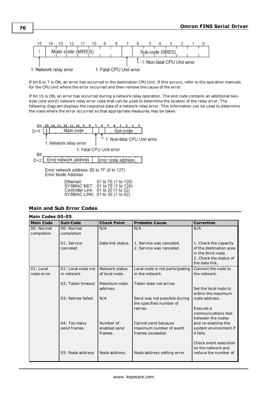

If bit 6 or 7 is ON, an error has occurred in the destination CPU Unit. If this occurs, refer to the operation manuals for the CPU Unit where the error occurred and then remove the cause of the error.

If bit 15 is ON, an error has occurred during a network relay operation. The end code contains an additional twobyte (one word) network relay error code that can be used to determine the location of the relay error. The following diagram displays the response data of a network relay error. This information can be used to determine the node where the error occurred so that appropriate measures may be taken.



<span id="page-75-0"></span>

|  |  | <b>Main and Sub Error Codes</b> |
|--|--|---------------------------------|
|  |  |                                 |

|                          | Main Codes 00-05         |                          |                                                         |                                                                                                                    |  |  |
|--------------------------|--------------------------|--------------------------|---------------------------------------------------------|--------------------------------------------------------------------------------------------------------------------|--|--|
| <b>Main Code</b>         | Sub-Code                 | <b>Check Point</b>       | <b>Probable Cause</b>                                   | <b>Correction</b>                                                                                                  |  |  |
| 00: Normal<br>completion | 00: Normal<br>completion | N/A                      | N/A                                                     | N/A                                                                                                                |  |  |
|                          | 01: Service<br>canceled  | Data link status.        | 1. Service was canceled.<br>2. Service was canceled.    | 1. Check the capacity<br>of the destination area<br>in the third node.<br>2. Check the status of<br>the data link. |  |  |
| $01:$ Local              | 01: Local node not       | Network status           | Local node is not participating                         | Connect the node to                                                                                                |  |  |
| node error               | in network               | of local node.           | in the network.                                         | the network.                                                                                                       |  |  |
|                          | 02: Token timeout        | Maximum node<br>address. | Token does not arrive.                                  | Set the local node to<br>within the maximum                                                                        |  |  |
|                          | 03: Retries failed       | N/A                      | Send was not possible during<br>the specified number of | node address.                                                                                                      |  |  |
|                          |                          |                          | retries.                                                | Execute a<br>communications test<br>between the nodes                                                              |  |  |
|                          | 04: Too many             | Number of                | Cannot send because                                     | and re-examine the                                                                                                 |  |  |
|                          | send frames              | enabled send<br>frames.  | maximum number of event<br>frames exceeded.             | system environment if<br>it fails.                                                                                 |  |  |
|                          | 05: Node address         | Node address.            | Node address setting error                              | Check event execution<br>on the network and<br>reduce the number of                                                |  |  |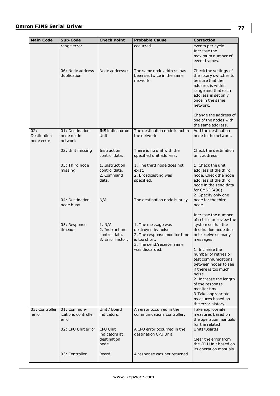| <b>Main Code</b>                 | Sub-Code                                    | <b>Check Point</b>                                             | <b>Probable Cause</b>                                                                                                                     | <b>Correction</b>                                                                                                                                                      |
|----------------------------------|---------------------------------------------|----------------------------------------------------------------|-------------------------------------------------------------------------------------------------------------------------------------------|------------------------------------------------------------------------------------------------------------------------------------------------------------------------|
|                                  | range error                                 |                                                                | occurred.                                                                                                                                 | events per cycle.<br>Increase the<br>maximum number of<br>event frames.                                                                                                |
|                                  | 06: Node address<br>duplication             | Node addresses.                                                | The same node address has<br>been set twice in the same<br>network.                                                                       | Check the settings of<br>the rotary switches to<br>be sure that the<br>address is within<br>range and that each<br>address is set only<br>once in the same<br>network. |
|                                  |                                             |                                                                |                                                                                                                                           | Change the address of<br>one of the nodes with<br>the same address.                                                                                                    |
| 02:<br>Destination<br>node error | 01: Destination<br>node not in<br>network   | INS indicator on<br>Unit.                                      | The destination node is not in<br>the network.                                                                                            | Add the destination<br>node to the network.                                                                                                                            |
|                                  | 02: Unit missing                            | Instruction<br>control data.                                   | There is no unit with the<br>specified unit address.                                                                                      | Check the destination<br>unit address.                                                                                                                                 |
|                                  | 03: Third node<br>missing                   | 1. Instruction<br>control data.<br>2. Command<br>data.         | 1. The third node does not<br>exist.<br>2. Broadcasting was<br>specified.                                                                 | 1. Check the unit<br>address of the third<br>node. Check the node<br>address of the third<br>node in the send data<br>for CMND(490).                                   |
|                                  | 04: Destination<br>node busy                | N/A                                                            | The destination node is busy.                                                                                                             | 2. Specify only one<br>node for the third<br>node.                                                                                                                     |
|                                  | 05: Response<br>timeout                     | 1. N/A<br>2. Instruction<br>control data.<br>3. Error history. | 1. The message was<br>destroyed by noise.<br>2. The response monitor time<br>is too short.<br>3. The send/receive frame<br>was discarded. | Increase the number<br>of retries or review the<br>system so that the<br>destination node does<br>not receive so many<br>messages.<br>1. Increase the                  |
|                                  |                                             |                                                                |                                                                                                                                           | number of retries or<br>test communications<br>between nodes to see<br>if there is too much<br>noise.                                                                  |
|                                  |                                             |                                                                |                                                                                                                                           | 2. Increase the length<br>of the response<br>monitor time.<br>3. Take appropriate<br>measures based on<br>the error history.                                           |
| 03: Controller<br>error          | 01: Commun-<br>ications controller<br>error | Unit / Board<br>indicators.                                    | An error occurred in the<br>communications controller.                                                                                    | Take appropriate<br>measures based on<br>the operation manuals                                                                                                         |
|                                  | 02: CPU Unit error                          | <b>CPU Unit</b><br>indicators at<br>destination<br>node.       | A CPU error occurred in the<br>destination CPU Unit.                                                                                      | for the related<br>Units/Boards.<br>Clear the error from<br>the CPU Unit based on                                                                                      |
|                                  | 03: Controller                              | Board                                                          | A response was not returned                                                                                                               | its operation manuals.                                                                                                                                                 |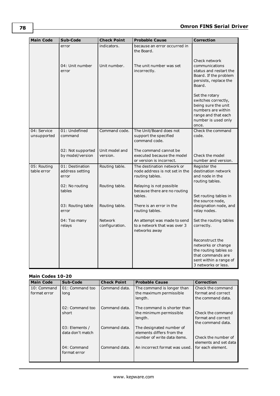| <b>Main Code</b>           | Sub-Code                                    | <b>Check Point</b>         | <b>Probable Cause</b>                                                           | <b>Correction</b>                                                                                                                         |
|----------------------------|---------------------------------------------|----------------------------|---------------------------------------------------------------------------------|-------------------------------------------------------------------------------------------------------------------------------------------|
|                            | error                                       | indicators.                | because an error occurred in<br>the Board.                                      |                                                                                                                                           |
|                            | 04: Unit number<br>error                    | Unit number.               | The unit number was set<br>incorrectly.                                         | Check network<br>communications<br>status and restart the<br>Board. If the problem<br>persists, replace the<br>Board.                     |
|                            |                                             |                            |                                                                                 | Set the rotary<br>switches correctly,<br>being sure the unit<br>numbers are within<br>range and that each<br>number is used only<br>once. |
| 04: Service<br>unsupported | 01: Undefined<br>command                    | Command code.              | The Unit/Board does not<br>support the specified<br>command code.               | Check the command<br>code.                                                                                                                |
|                            | 02: Not supported<br>by model/version       | Unit model and<br>version. | The command cannot be<br>executed because the model<br>or version is incorrect. | Check the model<br>number and version.                                                                                                    |
| 05: Routing<br>table error | 01: Destination<br>address setting<br>error | Routing table.             | The destination network or<br>node address is not set in the<br>routing tables. | Register the<br>destination network<br>and node in the<br>routing tables.                                                                 |
|                            | 02: No routing<br>tables                    | Routing table.             | Relaying is not possible<br>because there are no routing<br>tables.             | Set routing tables in                                                                                                                     |
|                            | 03: Routing table<br>error                  | Routing table.             | There is an error in the<br>routing tables.                                     | the source node,<br>designation node, and<br>relay nodes.                                                                                 |
|                            | 04: Too many<br>relays                      | Network<br>configuration.  | An attempt was made to send<br>to a network that was over 3<br>networks away    | Set the routing tables<br>correctly.                                                                                                      |
|                            |                                             |                            |                                                                                 | Reconstruct the<br>networks or change<br>the routing tables so<br>that commands are<br>sent within a range of<br>3 networks or less.      |

#### **Main Codes 10-20**

| <b>Main Code</b>            | Sub-Code                           | <b>Check Point</b> | <b>Probable Cause</b>                                                                | <b>Correction</b>                                            |
|-----------------------------|------------------------------------|--------------------|--------------------------------------------------------------------------------------|--------------------------------------------------------------|
| 10: Command<br>format error | 01: Command too<br>long            | Command data.      | The command is longer than<br>the maximum permissible<br>length.                     | Check the command<br>format and correct<br>the command data. |
|                             | 02: Command too<br>short           | Command data.      | The command is shorter than<br>the minimum permissible<br>length.                    | Check the command<br>format and correct<br>the command data. |
|                             | 03: Elements /<br>data don't match | Command data.      | The designated number of<br>elements differs from the<br>number of write data items. | Check the number of<br>elements and set data                 |
|                             | 04: Command<br>format error        | Command data.      | An incorrect format was used.                                                        | for each element.                                            |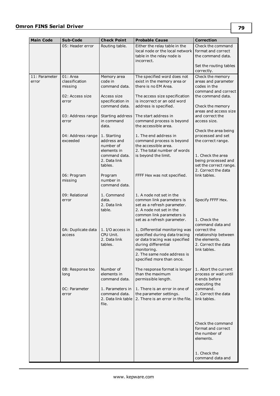| <b>Main Code</b>       | Sub-Code                              | <b>Check Point</b>                                               | <b>Probable Cause</b>                                                                                                                                                                              | <b>Correction</b>                                                                                               |
|------------------------|---------------------------------------|------------------------------------------------------------------|----------------------------------------------------------------------------------------------------------------------------------------------------------------------------------------------------|-----------------------------------------------------------------------------------------------------------------|
|                        | 05: Header error                      | Routing table.                                                   | Either the relay table in the<br>local node or the local network I<br>table in the relay node is<br>incorrect.                                                                                     | Check the command<br>format and correct<br>the command data.                                                    |
|                        |                                       |                                                                  |                                                                                                                                                                                                    | Set the routing tables<br>correctly.                                                                            |
| 11: Parameter<br>error | 01: Area<br>classification<br>missing | Memory area<br>code in<br>command data.                          | The specified word does not<br>exist in the memory area or<br>there is no EM Area.                                                                                                                 | Check the memory<br>areas and parameter<br>codes in the<br>command and correct                                  |
|                        | 02: Access size<br>error              | Access size<br>specification in<br>command data.                 | The access size specification<br>is incorrect or an odd word<br>address is specified.                                                                                                              | the command data.<br>Check the memory<br>areas and access size                                                  |
|                        | 03: Address range<br>error            | Starting address<br>in command<br>data.                          | The start address in<br>command process is beyond<br>the accessible area.                                                                                                                          | and correct the<br>access size.                                                                                 |
|                        | 04: Address range<br>exceeded         | 1. Starting<br>address and<br>number of                          | 1. The end address in<br>command process is beyond<br>the accessible area.                                                                                                                         | Check the area being<br>processed and set<br>the correct range.                                                 |
|                        |                                       | elements in<br>command data.<br>2. Data link<br>tables.          | 2. The total number of words<br>is beyond the limit.                                                                                                                                               | 1. Check the area<br>being processed and<br>set the correct range.<br>2. Correct the data                       |
|                        | 06: Program<br>missing                | Program<br>number in<br>command data.                            | FFFF Hex was not specified.                                                                                                                                                                        | link tables.                                                                                                    |
|                        | 09: Relational<br>error               | 1. Command<br>data.<br>2. Data link<br>table.                    | 1. A node not set in the<br>common link parameters is<br>set as a refresh parameter.<br>2. A node not set in the<br>common link parameters is<br>set as a refresh parameter.                       | Specify FFFF Hex.<br>1. Check the                                                                               |
|                        | 0A: Duplicate data<br>access          | 1. I/O access in<br>CPU Unit.<br>2. Data link<br>tables.         | 1. Differential monitoring was<br>specified during data tracing<br>or data tracing was specified<br>during differential<br>monitoring.<br>2. The same node address is<br>specified more than once. | command data and<br>correct the<br>relationship between<br>the elements.<br>2. Correct the data<br>link tables. |
|                        | 0B: Response too<br>long              | Number of<br>elements in<br>command data.                        | The response format is longer<br>than the maximum<br>permissible length.                                                                                                                           | 1. Abort the current<br>process or wait until<br>it ends before<br>executing the                                |
|                        | OC: Parameter<br>error                | 1. Parameters in<br>command data.<br>2. Data link table<br>file. | 1. There is an error in one of<br>the parameter settings.<br>2. There is an error in the file.                                                                                                     | command.<br>2. Correct the data<br>link tables.                                                                 |
|                        |                                       |                                                                  |                                                                                                                                                                                                    | Check the command<br>format and correct<br>the number of<br>elements.                                           |
|                        |                                       |                                                                  |                                                                                                                                                                                                    | 1. Check the<br>command data and                                                                                |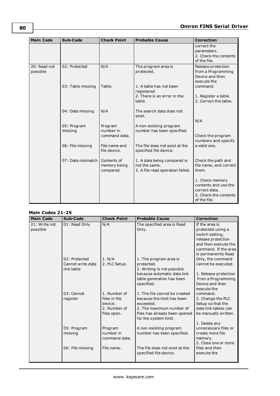| <b>Main Code</b>         | Sub-Code               | <b>Check Point</b>                       | <b>Probable Cause</b>                                                            | <b>Correction</b>                                                                                 |
|--------------------------|------------------------|------------------------------------------|----------------------------------------------------------------------------------|---------------------------------------------------------------------------------------------------|
|                          |                        |                                          |                                                                                  | correct the<br>parameters.<br>2. Check the contents<br>of the file.                               |
| 20: Read not<br>possible | 02: Protected          | N/A                                      | The program area is<br>protected.                                                | Release protection<br>from a Programming<br>Device and then<br>execute the                        |
|                          | 03: Table missing      | Table.                                   | 1. A table has not been<br>registered.<br>2. There is an error in the<br>table.  | command.<br>1. Register a table.<br>2. Correct the table.                                         |
|                          | 04: Data missing       | N/A                                      | The search data does not<br>exist.                                               | N/A                                                                                               |
|                          | 05: Program<br>missing | Program<br>number in<br>command data.    | A non-existing program<br>number has been specified.                             | Check the program<br>numbers and specify                                                          |
|                          | 06: File missing       | File name and<br>file device.            | The file does not exist at the<br>specified file device.                         | a valid one.                                                                                      |
|                          | 07: Data mismatch      | Contents of<br>memory being<br>compared. | 1. A data being compared is<br>not the same.<br>2. A file read operation failed. | Check the path and<br>file name, and correct<br>them.                                             |
|                          |                        |                                          |                                                                                  | 1. Check memory<br>contents and use the<br>correct data.<br>2. Check the contents<br>of the file. |

#### **Main Codes 21-25**

| <b>Main Code</b>          | Sub-Code                                         | <b>Check Point</b>                                                      | <b>Probable Cause</b>                                                                                                                                          | <b>Correction</b>                                                                                                                                   |
|---------------------------|--------------------------------------------------|-------------------------------------------------------------------------|----------------------------------------------------------------------------------------------------------------------------------------------------------------|-----------------------------------------------------------------------------------------------------------------------------------------------------|
| 21: Write not<br>possible | 01: Read Only                                    | N/A                                                                     | The specified area is Read<br>Only.                                                                                                                            | If the area is<br>protected using a<br>switch setting,<br>release protection<br>and then execute the<br>command. If the area<br>is permanently Read |
|                           | 02: Protected<br>Cannot write data<br>link table | 1. N/A<br>2. PLC Setup.                                                 | 1. The program area is<br>protected.<br>2. Writing is not possible<br>because automatic data link<br>table generation has been<br>specified.                   | Only, the command<br>cannot be executed.<br>1. Release protection<br>from a Programming<br>Device and then<br>execute the                           |
|                           | 03: Cannot<br>register                           | 1. Number of<br>files in file<br>device.<br>2. Number of<br>files open. | 1. The file cannot be created<br>because the limit has been<br>exceeded.<br>2. The maximum number of<br>files has already been opened<br>for the system limit. | command.<br>2. Change the PLC<br>Setup so that the<br>data link tables can<br>be manually written.<br>1. Delete any                                 |
|                           | 05: Program<br>missing<br>06: File missing       | Program<br>number in<br>command data.<br>File name.                     | A non-existing program<br>number has been specified.<br>The file does not exist at the<br>specified file device.                                               | unnecessary files or<br>create more file<br>memory.<br>2. Close one or more<br>files and then<br>execute the                                        |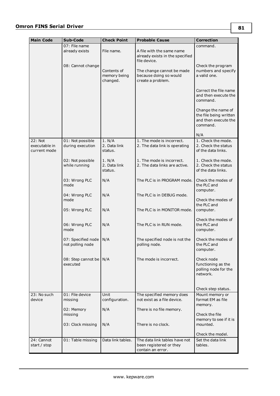#### **Omron FINS Serial Driver**

| <b>Main Code</b>                         | Sub-Code                               | <b>Check Point</b>                      | <b>Probable Cause</b>                                                         | <b>Correction</b>                                                                |
|------------------------------------------|----------------------------------------|-----------------------------------------|-------------------------------------------------------------------------------|----------------------------------------------------------------------------------|
|                                          | 07: File name                          |                                         |                                                                               | command.                                                                         |
|                                          | already exists                         | File name.                              | A file with the same name<br>already exists in the specified<br>file device.  |                                                                                  |
|                                          | 08: Cannot change                      | Contents of<br>memory being<br>changed. | The change cannot be made<br>because doing so would<br>create a problem.      | Check the program<br>numbers and specify<br>a valid one.                         |
|                                          |                                        |                                         |                                                                               | Correct the file name<br>and then execute the<br>command.                        |
|                                          |                                        |                                         |                                                                               | Change the name of<br>the file being written<br>and then execute the<br>command. |
|                                          |                                        |                                         |                                                                               | N/A                                                                              |
| 22: Not<br>executable in<br>current mode | 01: Not possible<br>during execution   | 1. N/A<br>2. Data link<br>status.       | 1. The mode is incorrect.<br>2. The data link is operating                    | 1. Check the mode.<br>2. Check the status<br>of the data links.                  |
|                                          | 02: Not possible<br>while running      | 1. N/A<br>2. Data link<br>status.       | 1. The mode is incorrect.<br>2. The data links are active.                    | 1. Check the mode.<br>2. Check the status<br>of the data links.                  |
|                                          | 03: Wrong PLC<br>mode                  | N/A                                     | The PLC is in PROGRAM mode.                                                   | Check the modes of<br>the PLC and<br>computer.                                   |
|                                          | 04: Wrong PLC<br>mode                  | N/A                                     | The PLC is in DEBUG mode.                                                     | Check the modes of<br>the PLC and                                                |
|                                          | 05: Wrong PLC                          | N/A                                     | The PLC is in MONITOR mode.                                                   | computer.<br>Check the modes of                                                  |
|                                          | 06: Wrong PLC<br>mode                  | N/A                                     | The PLC is in RUN mode.                                                       | the PLC and<br>computer.                                                         |
|                                          | 07: Specified node<br>not polling node | N/A                                     | The specified node is not the<br>polling node.                                | Check the modes of<br>the PLC and<br>computer.                                   |
|                                          | 08: Step cannot be<br>executed         | N/A                                     | The mode is incorrect.                                                        | Check node<br>functioning as the<br>polling node for the<br>network.             |
|                                          |                                        |                                         |                                                                               | Check step status.                                                               |
| 23: No such<br>device                    | 01: File device<br>missing             | Unit<br>configuration.                  | The specified memory does<br>not exist as a file device.                      | Mount memory or<br>format EM as file<br>memory.                                  |
|                                          | 02: Memory                             | N/A                                     | There is no file memory.                                                      |                                                                                  |
|                                          | missing                                |                                         |                                                                               | Check the file                                                                   |
|                                          | 03: Clock missing                      | N/A                                     | There is no clock.                                                            | memory to see if it is<br>mounted.                                               |
|                                          |                                        |                                         |                                                                               | Check the model.                                                                 |
| 24: Cannot<br>start / stop               | 01: Table missing                      | Data link tables.                       | The data link tables have not<br>been registered or they<br>contain an error. | Set the data link<br>tables.                                                     |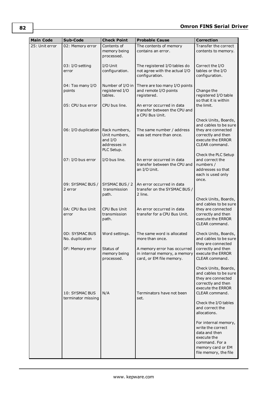| <b>Main Code</b> | Sub-Code                                 | <b>Check Point</b>                                                      | <b>Probable Cause</b>                                                                   | <b>Correction</b>                                                                                                                         |
|------------------|------------------------------------------|-------------------------------------------------------------------------|-----------------------------------------------------------------------------------------|-------------------------------------------------------------------------------------------------------------------------------------------|
| 25: Unit error   | 02: Memory error                         | Contents of<br>memory being<br>processed.                               | The contents of memory<br>contains an error.                                            | Transfer the correct<br>contents to memory.                                                                                               |
|                  | 03: I/O setting<br>error                 | I/O Unit<br>configuration.                                              | The registered I/O tables do<br>not agree with the actual I/O<br>configuration.         | Correct the I/O<br>tables or the I/O<br>configuration.                                                                                    |
|                  | 04: Too many I/O<br>points               | Number of I/O in<br>registered I/O<br>tables.                           | There are too many I/O points<br>and remote I/O points<br>registered.                   | Change the<br>registered I/O table<br>so that it is within                                                                                |
|                  | 05: CPU bus error                        | CPU bus line.                                                           | An error occurred in data<br>transfer between the CPU and<br>a CPU Bus Unit.            | the limit.                                                                                                                                |
|                  | 06: I/O duplication                      | Rack numbers,<br>Unit numbers,<br>and I/O<br>addresses in<br>PLC Setup. | The same number / address<br>was set more than once.                                    | Check Units, Boards,<br>and cables to be sure<br>they are connected<br>correctly and then<br>execute the ERROR<br>CLEAR command.          |
|                  | 07: I/O bus error                        | I/O bus line.                                                           | An error occurred in data<br>transfer between the CPU and<br>an I/O Unit.               | Check the PLC Setup<br>and correct the<br>numbers /<br>addresses so that<br>each is used only<br>once.                                    |
|                  | 09: SYSMAC BUS /<br>2 error              | SYSMAC BUS / 2<br>transmission<br>path.                                 | An error occurred in data<br>transfer on the SYSMAC BUS /<br>2 line.                    |                                                                                                                                           |
|                  | 0A: CPU Bus Unit<br>error                | <b>CPU Bus Unit</b><br>transmission<br>path.                            | An error occurred in data<br>transfer for a CPU Bus Unit.                               | Check Units, Boards,<br>and cables to be sure<br>they are connected<br>correctly and then<br>execute the ERROR<br>CLEAR command.          |
|                  | <b>0D: SYSMAC BUS</b><br>No. duplication | Word settings.                                                          | The same word is allocated<br>more than once.                                           | Check Units, Boards,<br>and cables to be sure<br>they are connected                                                                       |
|                  | OF: Memory error                         | Status of<br>memory being<br>processed.                                 | A memory error has occurred<br>in internal memory, a memory<br>card, or EM file memory. | correctly and then<br>execute the ERROR<br>CLEAR command.                                                                                 |
|                  | 10: SYSMAC BUS<br>terminator missing     | N/A                                                                     | Terminators have not been<br>set.                                                       | Check Units, Boards,<br>and cables to be sure<br>they are connected<br>correctly and then<br>execute the ERROR<br>CLEAR command.          |
|                  |                                          |                                                                         |                                                                                         | Check the I/O tables<br>and correct the<br>allocations.                                                                                   |
|                  |                                          |                                                                         |                                                                                         | For internal memory,<br>write the correct<br>data and then<br>execute the<br>command. For a<br>memory card or EM<br>file memory, the file |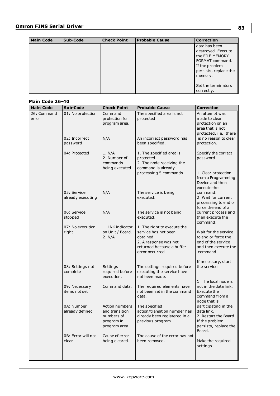| <b>Main Code</b> | Sub-Code | <b>Check Point</b> | <b>Probable Cause</b> | <b>Correction</b>     |
|------------------|----------|--------------------|-----------------------|-----------------------|
|                  |          |                    |                       | data has been         |
|                  |          |                    |                       | destroyed. Execute    |
|                  |          |                    |                       | the FILE MEMORY       |
|                  |          |                    |                       | FORMAT command.       |
|                  |          |                    |                       | If the problem        |
|                  |          |                    |                       | persists, replace the |
|                  |          |                    |                       | memory.               |
|                  |          |                    |                       |                       |
|                  |          |                    |                       | Set the terminators   |
|                  |          |                    |                       | correctly.            |

#### **Main Code 26-40**

| <b>Main Code</b>     | Sub-Code                         | <b>Check Point</b>                                                            | <b>Probable Cause</b>                                                                                                                     | <b>Correction</b>                                                                                                |
|----------------------|----------------------------------|-------------------------------------------------------------------------------|-------------------------------------------------------------------------------------------------------------------------------------------|------------------------------------------------------------------------------------------------------------------|
| 26: Command<br>error | 01: No protection                | Command<br>protection for<br>program area.                                    | The specified area is not<br>protected.                                                                                                   | An attempt was<br>made to clear<br>protection on an<br>area that is not<br>protected, i.e., there                |
|                      | 02: Incorrect<br>password        | N/A                                                                           | An incorrect password has<br>been specified.                                                                                              | is no reason to clear<br>protection.                                                                             |
|                      | 04: Protected                    | 1. N/A<br>2. Number of<br>commands<br>being executed.                         | 1. The specified area is<br>protected.<br>2. The node receiving the<br>command is already<br>processing 5 commands.                       | Specify the correct<br>password.<br>1. Clear protection<br>from a Programming<br>Device and then                 |
|                      | 05: Service<br>already executing | N/A                                                                           | The service is being<br>executed.                                                                                                         | execute the<br>command.<br>2. Wait for current<br>processing to end or<br>force the end of a                     |
|                      | 06: Service<br>stopped           | N/A                                                                           | The service is not being<br>executed.                                                                                                     | current process and<br>then execute the<br>command.                                                              |
|                      | 07: No execution<br>right        | 1. LNK indicator<br>on Unit / Board.<br>2. N/A                                | 1. The right to execute the<br>service has not been<br>obtained.<br>2. A response was not<br>returned because a buffer<br>error occurred. | Wait for the service<br>to end or force the<br>end of the service<br>and then execute the<br>command.            |
|                      | 08: Settings not<br>complete     | Settings<br>required before<br>execution.                                     | The settings required before<br>executing the service have<br>not been made.                                                              | If necessary, start<br>the service.                                                                              |
|                      | 09: Necessary<br>items not set   | Command data.                                                                 | The required elements have<br>not been set in the command<br>data.                                                                        | 1. The local node is<br>not in the data link.<br>Execute the<br>command from a<br>node that is                   |
|                      | 0A: Number<br>already defined    | Action numbers<br>and transition<br>numbers of<br>program in<br>program area. | The specified<br>action/transition number has<br>already been registered in a<br>previous program.                                        | participating in the<br>data link.<br>2. Restart the Board.<br>If the problem<br>persists, replace the<br>Board. |
|                      | 0B: Error will not<br>clear      | Cause of error<br>being cleared.                                              | The cause of the error has not<br>been removed.                                                                                           | Make the required<br>settings.                                                                                   |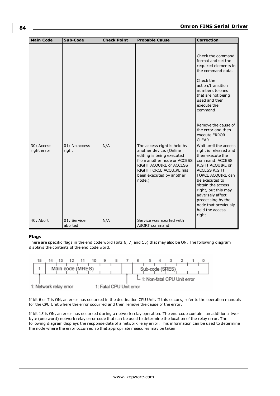| <b>Main Code</b>          | Sub-Code               | <b>Check Point</b> | <b>Probable Cause</b>                                                                                                                                                                                          | <b>Correction</b>                                                                                                                                                                                                                                                                                                 |
|---------------------------|------------------------|--------------------|----------------------------------------------------------------------------------------------------------------------------------------------------------------------------------------------------------------|-------------------------------------------------------------------------------------------------------------------------------------------------------------------------------------------------------------------------------------------------------------------------------------------------------------------|
|                           |                        |                    |                                                                                                                                                                                                                | Check the command<br>format and set the<br>required elements in<br>the command data.<br>Check the<br>action/transition<br>numbers to ones<br>that are not being<br>used and then<br>execute the<br>command.<br>Remove the cause of<br>the error and then<br>execute ERROR<br>CLEAR.                               |
| 30: Access<br>right error | 01: No access<br>right | N/A                | The access right is held by<br>another device. (Online<br>editing is being executed<br>from another node or ACCESS<br>RIGHT ACQUIRE or ACCESS<br>RIGHT FORCE ACQUIRE has<br>been executed by another<br>node.) | Wait until the access<br>right is released and<br>then execute the<br>command, ACCESS<br>RIGHT ACQUIRE or<br><b>ACCESS RIGHT</b><br>FORCE ACQUIRE can<br>be executed to<br>obtain the access<br>right, but this may<br>adversely affect<br>processing by the<br>node that previously<br>held the access<br>right. |
| 40: Abort                 | 01: Service<br>aborted | N/A                | Service was aborted with<br>ABORT command.                                                                                                                                                                     |                                                                                                                                                                                                                                                                                                                   |

#### **Flags**

There are specific flags in the end code word (bits 6, 7, and 15) that may also be ON. The following diagram displays the contents of the end code word.



If bit 6 or 7 is ON, an error has occurred in the destination CPU Unit. If this occurs, refer to the operation manuals for the CPU Unit where the error occurred and then remove the cause of the error.

If bit 15 is ON, an error has occurred during a network relay operation. The end code contains an additional twobyte (one word) network relay error code that can be used to determine the location of the relay error. The following diagram displays the response data of a network relay error. This information can be used to determine the node where the error occurred so that appropriate measures may be taken.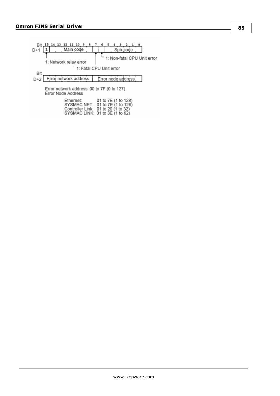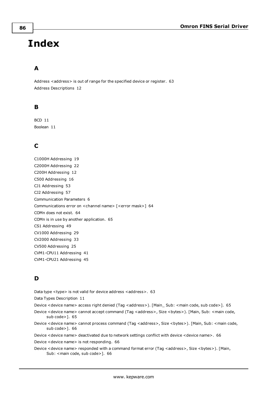# **Index**

# **A**

Address <address> is out of range for the specified device or register. [63](#page-62-0) Address Descriptions [12](#page-11-0)

## **B**

BCD [11](#page-10-0) Boolean [11](#page-10-1)

# **C**

C1000H Addressing [19](#page-18-0) C2000H Addressing [22](#page-21-0) C200H Addressing [12](#page-11-1) C500 Addressing [16](#page-15-0) CJ1 Addressing [53](#page-52-0) CJ2 Addressing [57](#page-56-0) Communication Parameters [6](#page-5-0) Communications error on <channel name> [<error mask>] [64](#page-63-0) COMn does not exist. [64](#page-63-1) COMn is in use by another application. [65](#page-64-0) CS1 Addressing [49](#page-48-0) CV1000 Addressing [29](#page-28-0) CV2000 Addressing [33](#page-32-0) CV500 Addressing [25](#page-24-0) CVM1-CPU11 Addressing [41](#page-40-0) CVM1-CPU21 Addressing [45](#page-44-0)

# **D**

Data type <type> is not valid for device address <address>. [63](#page-62-1)

Data Types Description [11](#page-10-2)

Device <device name> access right denied (Tag <address>). [Main\_ Sub: <main code, sub code>]. [65](#page-64-1)

- Device <device name> cannot accept command (Tag <address>, Size <br/> <br/>bytes>). [Main, Sub: <main code, sub code>]. [65](#page-64-2)
- Device <device name> cannot process command (Tag <address>, Size <br/> <br/>bytes>). [Main, Sub: <main code, sub code>]. [66](#page-65-0)

Device <device name> deactivated due to network settings conflict with device <device name>. [66](#page-65-1)

Device <device name> is not responding. [66](#page-65-2)

Device <device name> responded with a command format error (Tag <address>, Size <br/> <br/>stytes>). [Main, Sub: <main code, sub code>]. [66](#page-65-3)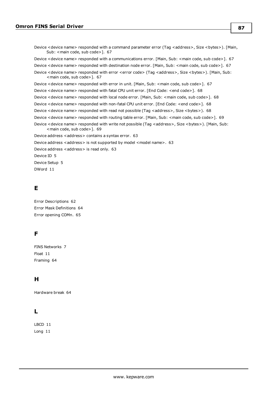Device <device name> responded with a command parameter error (Tag <address>, Size <br/> <br/>stophenon . [Main, Sub: <main code, sub code>]. [67](#page-66-0) Device <device name> responded with a communications error. [Main, Sub: <main code, sub code>]. [67](#page-66-1) Device <device name> responded with destination node error. [Main, Sub: <main code, sub code>]. [67](#page-66-2) Device <device name> responded with error <error code> (Tag <address>, Size <br/> <br/>stytes>). [Main, Sub: <main code, sub code>]. [67](#page-66-3) Device <device name> responded with error in unit. [Main, Sub: <main code, sub code>]. [67](#page-66-4) Device <device name> responded with fatal CPU unit error. [End Code: <end code>]. [68](#page-67-0) Device <device name> responded with local node error. [Main, Sub: <main code, sub code>]. [68](#page-67-1) Device <device name> responded with non-fatal CPU unit error. [End Code: <end code>]. [68](#page-67-2) Device <device name> responded with read not possible (Tag <address>, Size <br/> <br/>stytes>). [68](#page-67-3) Device <device name> responded with routing table error. [Main, Sub: <main code, sub code>]. [69](#page-68-0) Device <device name> responded with write not possible (Tag <address>, Size <br/> <br/> <br/> <br/>Sub: Main, Sub: <main code, sub code>]. [69](#page-68-1) Device address <address> contains a syntax error. [63](#page-62-2) Device address <address> is not supported by model <model name>. [63](#page-62-3) Device address <address> is read only. [63](#page-62-4) Device ID [5](#page-4-0) Device Setup [5](#page-4-1) DWord [11](#page-10-3)

#### **E**

Error Descriptions [62](#page-61-0) Error Mask Definitions [64](#page-63-2) Error opening COMn. [65](#page-64-3)

## **F**

FINS Networks [7](#page-6-0) Float [11](#page-10-4) Framing [64](#page-63-3)

## **H**

Hardware break [64](#page-63-4)

# **L**

LBCD [11](#page-10-5) Long [11](#page-10-6)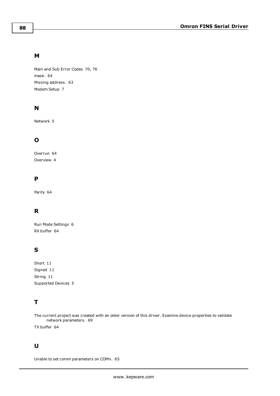#### **M**

Main and Sub Error Codes [70](#page-69-0), [76](#page-75-0) mask. [64](#page-63-0) Missing address. [63](#page-62-5) Modem Setup [7](#page-6-1)

## **N**

Network [5](#page-4-2)

# **O**

Overrun [64](#page-63-5) Overview [4](#page-3-0)

## **P**

Parity [64](#page-63-6)

# **R**

Run Mode Settings [6](#page-5-1) RX buffer [64](#page-63-7)

## **S**

Short [11](#page-10-7) Signed [11](#page-10-8) String [11](#page-10-9) Supported Devices [5](#page-4-3)

# **T**

The current project was created with an older version of this driver. Examine device properties to validate network parameters. [69](#page-68-2)

TX buffer [64](#page-63-8)

# **U**

Unable to set comm parameters on COMn. [65](#page-64-4)